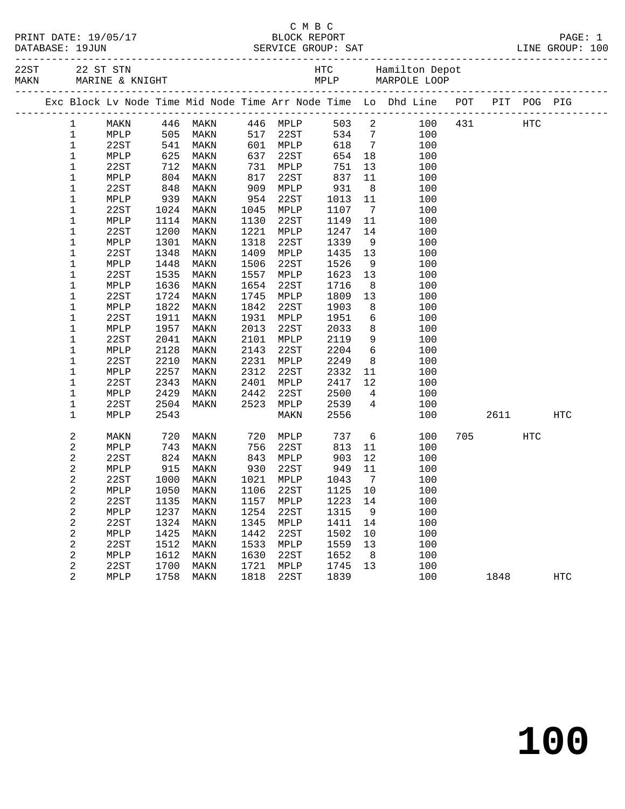|  | PRINT DATE: 19/05/17          |
|--|-------------------------------|
|  | $\blacksquare$ $\blacksquare$ |

|  |                |      |      |                                                                      |      |                      |                 |                 | Exc Block Lv Node Time Mid Node Time Arr Node Time Lo Dhd Line POT PIT POG PIG |     |             |            |            |
|--|----------------|------|------|----------------------------------------------------------------------|------|----------------------|-----------------|-----------------|--------------------------------------------------------------------------------|-----|-------------|------------|------------|
|  | $\mathbf{1}$   |      |      | MAKN 446 MAKN 446 MPLP                                               |      |                      | 503 2           |                 |                                                                                |     | 100 431 HTC |            |            |
|  | $\mathbf 1$    | MPLP |      |                                                                      |      |                      | $534$ 7         |                 | 100                                                                            |     |             |            |            |
|  | $\mathbf 1$    | 22ST |      |                                                                      |      | 517 22ST<br>601 MPLP | 618 7           |                 | 100                                                                            |     |             |            |            |
|  | $\mathbf 1$    | MPLP |      | 105 MAKN<br>541 MAKN<br>625 MAKN<br>712 MAKN<br>804 MAKN<br>848 MAKN |      | 637 22ST<br>731 MPLP | 654             | 18              | 100                                                                            |     |             |            |            |
|  | $1\,$          | 22ST |      |                                                                      |      |                      | 751             | 13              | 100                                                                            |     |             |            |            |
|  | $\mathbf 1$    | MPLP |      |                                                                      |      | 817 22ST<br>909 MPLP | 837             | 11              | 100                                                                            |     |             |            |            |
|  | $\mathbf 1$    | 22ST |      |                                                                      |      |                      | $931$<br>$1013$ | 8 <sup>8</sup>  | 100                                                                            |     |             |            |            |
|  | $1\,$          | MPLP | 939  | MAKN                                                                 | 954  | 22ST                 | 1013            | 11              | 100                                                                            |     |             |            |            |
|  | $1\,$          | 22ST | 1024 | MAKN                                                                 |      | 1045 MPLP            | 1107            | $7\overline{ }$ | 100                                                                            |     |             |            |            |
|  | $\mathbf 1$    | MPLP | 1114 | MAKN                                                                 | 1130 | 22ST                 | 1149            | 11              | 100                                                                            |     |             |            |            |
|  | $1\,$          | 22ST | 1200 | MAKN                                                                 | 1221 | MPLP                 | 1247            | 14              | 100                                                                            |     |             |            |            |
|  | $1\,$          | MPLP | 1301 | MAKN                                                                 | 1318 | 22ST                 | 1339            | 9               | 100                                                                            |     |             |            |            |
|  | $\mathbf 1$    | 22ST | 1348 | MAKN                                                                 | 1409 | MPLP                 | 1435            | 13              | 100                                                                            |     |             |            |            |
|  | $\mathbf 1$    | MPLP | 1448 | MAKN                                                                 | 1506 | 22ST                 | 1526            | 9               | 100                                                                            |     |             |            |            |
|  | $\mathbf 1$    | 22ST | 1535 | MAKN                                                                 | 1557 | MPLP                 | 1623            | 13              | 100                                                                            |     |             |            |            |
|  | $1\,$          | MPLP | 1636 | MAKN                                                                 | 1654 | 22ST                 | 1716            | 8               | 100                                                                            |     |             |            |            |
|  | $\mathbf 1$    | 22ST | 1724 | MAKN                                                                 | 1745 | MPLP                 | 1809            | 13              | 100                                                                            |     |             |            |            |
|  | $\mathbf 1$    | MPLP | 1822 | MAKN                                                                 | 1842 | 22ST                 | 1903            | 8               | 100                                                                            |     |             |            |            |
|  | 1              | 22ST | 1911 | MAKN                                                                 | 1931 | MPLP                 | 1951            | 6               | 100                                                                            |     |             |            |            |
|  | 1              | MPLP | 1957 | MAKN                                                                 | 2013 | 22ST                 | 2033            | 8 <sup>8</sup>  | 100                                                                            |     |             |            |            |
|  | 1              | 22ST | 2041 | MAKN                                                                 | 2101 | MPLP                 | 2119            | 9               | 100                                                                            |     |             |            |            |
|  | $\mathbf 1$    | MPLP | 2128 | MAKN                                                                 | 2143 | 22ST                 | 2204            | $6\overline{6}$ | 100                                                                            |     |             |            |            |
|  | 1              | 22ST | 2210 | MAKN                                                                 | 2231 | MPLP                 | 2249            | 8 <sup>8</sup>  | 100                                                                            |     |             |            |            |
|  | $1\,$          | MPLP | 2257 | MAKN                                                                 | 2312 | 22ST                 | 2332            | 11              | 100                                                                            |     |             |            |            |
|  | $\mathbf 1$    | 22ST | 2343 | MAKN                                                                 | 2401 | MPLP                 | 2417            | 12              | 100                                                                            |     |             |            |            |
|  | $1\,$          | MPLP | 2429 | MAKN                                                                 | 2442 | 22ST                 | 2500            | $\overline{4}$  | 100                                                                            |     |             |            |            |
|  | $1\,$          | 22ST | 2504 | MAKN                                                                 | 2523 | MPLP                 | 2539            | $4\overline{4}$ | 100                                                                            |     |             |            |            |
|  | $\mathbf 1$    | MPLP | 2543 |                                                                      |      | MAKN                 | 2556            |                 | 100                                                                            |     | 2611        |            | HTC        |
|  | $\overline{c}$ | MAKN | 720  | MAKN                                                                 |      | 720 MPLP             | 737             | 6               | 100                                                                            | 705 |             | <b>HTC</b> |            |
|  | 2              | MPLP | 743  | MAKN                                                                 | 756  | 22ST                 | 813             | 11              | 100                                                                            |     |             |            |            |
|  | 2              | 22ST | 824  | MAKN                                                                 | 843  | MPLP                 | 903             | 12              | 100                                                                            |     |             |            |            |
|  | $\sqrt{2}$     | MPLP | 915  | MAKN                                                                 | 930  | 22ST                 | 949             | 11              | 100                                                                            |     |             |            |            |
|  | 2              | 22ST | 1000 | MAKN                                                                 | 1021 | MPLP                 | 1043            | $\overline{7}$  | 100                                                                            |     |             |            |            |
|  | 2              | MPLP | 1050 | MAKN                                                                 | 1106 | 22ST                 | 1125            | 10              | 100                                                                            |     |             |            |            |
|  | $\overline{c}$ | 22ST | 1135 | MAKN                                                                 | 1157 | MPLP                 | 1223            | 14              | 100                                                                            |     |             |            |            |
|  | $\overline{c}$ | MPLP | 1237 | MAKN                                                                 | 1254 | 22ST                 | 1315            | 9               | 100                                                                            |     |             |            |            |
|  | 2              | 22ST | 1324 | MAKN                                                                 | 1345 | MPLP                 | 1411            | 14              | 100                                                                            |     |             |            |            |
|  | 2              | MPLP | 1425 | MAKN                                                                 | 1442 | 22ST                 | 1502            | 10              | 100                                                                            |     |             |            |            |
|  | 2              | 22ST | 1512 | MAKN                                                                 | 1533 | MPLP                 | 1559            | 13              | 100                                                                            |     |             |            |            |
|  | $\sqrt{2}$     | MPLP | 1612 | MAKN                                                                 | 1630 | 22ST                 | 1652            | 8 <sup>8</sup>  | 100                                                                            |     |             |            |            |
|  | $\overline{2}$ | 22ST | 1700 | MAKN                                                                 | 1721 | MPLP                 | 1745            | 13              | 100                                                                            |     |             |            |            |
|  | $\overline{2}$ | MPLP | 1758 | MAKN                                                                 | 1818 | 22ST                 | 1839            |                 | 100                                                                            |     | 1848        |            | <b>HTC</b> |
|  |                |      |      |                                                                      |      |                      |                 |                 |                                                                                |     |             |            |            |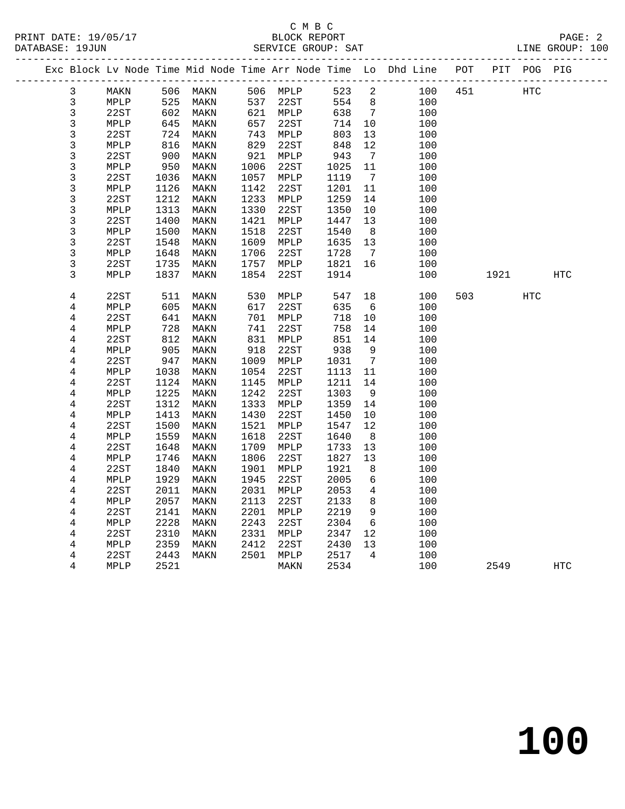|                         |              |              |              |              |              |              |                                    | Exc Block Lv Node Time Mid Node Time Arr Node Time Lo Dhd Line POT PIT POG PIG |     |      |            |     |
|-------------------------|--------------|--------------|--------------|--------------|--------------|--------------|------------------------------------|--------------------------------------------------------------------------------|-----|------|------------|-----|
| 3                       | MAKN         |              | 506 MAKN     |              | 506 MPLP     | 523          | 2                                  | 100                                                                            | 451 |      | <b>HTC</b> |     |
| 3                       | MPLP         | 525          | MAKN         | 537          | 22ST         | 554          | 8                                  | 100                                                                            |     |      |            |     |
| 3                       | 22ST         | 602          | MAKN         |              | 621 MPLP     | 638          | $\overline{7}$                     | 100                                                                            |     |      |            |     |
| $\overline{3}$          | MPLP         | 645          | MAKN         | 657          | 22ST         | 714          | 10                                 | 100                                                                            |     |      |            |     |
| 3                       | 22ST         | 724          | MAKN         | 743          | MPLP         | 803          | 13                                 | 100                                                                            |     |      |            |     |
| 3                       | MPLP         | 816          | MAKN         | 829          | 22ST         | 848          | 12                                 | 100                                                                            |     |      |            |     |
| 3                       | 22ST         | 900          | MAKN         | 921          | MPLP         | 943          | $\overline{7}$                     | 100                                                                            |     |      |            |     |
| $\mathsf{3}$            | MPLP         | 950          | MAKN         | 1006         | 22ST         | 1025         | 11                                 | 100                                                                            |     |      |            |     |
| 3                       | 22ST         | 1036         | MAKN         | 1057         | MPLP         | 1119         | $7\overline{ }$                    | 100                                                                            |     |      |            |     |
| 3                       | MPLP         | 1126         | MAKN         | 1142         | 22ST         | 1201         | 11                                 | 100                                                                            |     |      |            |     |
| $\mathsf{3}$            | 22ST         | 1212         | MAKN         | 1233         | MPLP         | 1259         | 14                                 | 100                                                                            |     |      |            |     |
| 3                       | MPLP         | 1313         | MAKN         | 1330         | 22ST         | 1350         | 10                                 | 100                                                                            |     |      |            |     |
| $\mathsf{3}$<br>3       | 22ST         | 1400<br>1500 | MAKN         | 1421<br>1518 | MPLP<br>22ST | 1447         | 13                                 | 100                                                                            |     |      |            |     |
| 3                       | MPLP<br>22ST | 1548         | MAKN<br>MAKN | 1609         |              | 1540<br>1635 | 8                                  | 100<br>100                                                                     |     |      |            |     |
| 3                       | MPLP         | 1648         | MAKN         | 1706         | MPLP<br>22ST | 1728         | 13<br>$7\phantom{.0}\phantom{.0}7$ | 100                                                                            |     |      |            |     |
| 3                       | 22ST         | 1735         | MAKN         | 1757         | MPLP         | 1821         | 16                                 | 100                                                                            |     |      |            |     |
| 3                       | MPLP         | 1837         | MAKN         | 1854         | 22ST         | 1914         |                                    | 100                                                                            |     | 1921 |            | HTC |
|                         |              |              |              |              |              |              |                                    |                                                                                |     |      |            |     |
| 4                       | 22ST         | 511          | MAKN         | 530          | MPLP         | 547          | 18                                 | 100                                                                            | 503 |      | <b>HTC</b> |     |
| 4                       | MPLP         | 605          | MAKN         | 617          | 22ST         | 635          | 6                                  | 100                                                                            |     |      |            |     |
| 4                       | 22ST         | 641          | MAKN         | 701          | MPLP         | 718          | 10                                 | 100                                                                            |     |      |            |     |
| 4                       | MPLP         | 728          | MAKN         | 741          | 22ST         | 758          | 14                                 | 100                                                                            |     |      |            |     |
| $\overline{4}$          | 22ST         | 812          | MAKN         | 831          | MPLP         | 851          | 14                                 | 100                                                                            |     |      |            |     |
| 4                       | MPLP         | 905          | MAKN         | 918          | 22ST         | 938          | 9                                  | 100                                                                            |     |      |            |     |
| 4                       | 22ST         | 947          | MAKN         | 1009         | MPLP         | 1031         | $\overline{7}$                     | 100                                                                            |     |      |            |     |
| $\,4$                   | MPLP         | 1038         | MAKN         | 1054         | 22ST         | 1113         | 11                                 | 100                                                                            |     |      |            |     |
| 4                       | 22ST         | 1124         | MAKN         | 1145         | MPLP         | 1211         | 14                                 | 100                                                                            |     |      |            |     |
| 4                       | MPLP         | 1225         | MAKN         | 1242         | 22ST         | 1303         | 9                                  | 100                                                                            |     |      |            |     |
| 4<br>$\overline{4}$     | 22ST<br>MPLP | 1312<br>1413 | MAKN<br>MAKN | 1333<br>1430 | MPLP<br>22ST | 1359<br>1450 | 14<br>10                           | 100<br>100                                                                     |     |      |            |     |
| 4                       | 22ST         | 1500         | MAKN         | 1521         | MPLP         | 1547         | 12                                 | 100                                                                            |     |      |            |     |
| 4                       | MPLP         | 1559         | MAKN         | 1618         | 22ST         | 1640         | 8                                  | 100                                                                            |     |      |            |     |
| $\bf 4$                 | 22ST         | 1648         | MAKN         | 1709         | MPLP         | 1733         | 13                                 | 100                                                                            |     |      |            |     |
| $\overline{\mathbf{4}}$ | MPLP         | 1746         | MAKN         | 1806         | 22ST         | 1827         | 13                                 | 100                                                                            |     |      |            |     |
| 4                       | 22ST         | 1840         | MAKN         | 1901         | MPLP         | 1921         | 8                                  | 100                                                                            |     |      |            |     |
| 4                       | MPLP         | 1929         | MAKN         | 1945         | 22ST         | 2005         | $\epsilon$                         | 100                                                                            |     |      |            |     |
| $\,4$                   | 22ST         | 2011         | MAKN         | 2031         | MPLP         | 2053         | $\overline{4}$                     | 100                                                                            |     |      |            |     |
| 4                       | MPLP         | 2057         | MAKN         | 2113         | 22ST         | 2133         | 8                                  | 100                                                                            |     |      |            |     |
| 4                       | 22ST         | 2141         | MAKN         | 2201         | MPLP         | 2219         | $\overline{9}$                     | 100                                                                            |     |      |            |     |
| 4                       | MPLP         | 2228         | MAKN         | 2243         | 22ST         | 2304         | 6                                  | 100                                                                            |     |      |            |     |
| 4                       | 22ST         | 2310         | MAKN         | 2331         | MPLP         | 2347         | 12                                 | 100                                                                            |     |      |            |     |
| 4                       | MPLP         | 2359         | MAKN         | 2412         | 22ST         | 2430         | 13                                 | 100                                                                            |     |      |            |     |
| 4                       | 22ST         | 2443         | MAKN         |              | 2501 MPLP    | 2517         | $\overline{4}$                     | 100                                                                            |     |      |            |     |
| 4                       | MPLP         | 2521         |              |              | MAKN         | 2534         |                                    | 100                                                                            |     | 2549 |            | HTC |
|                         |              |              |              |              |              |              |                                    |                                                                                |     |      |            |     |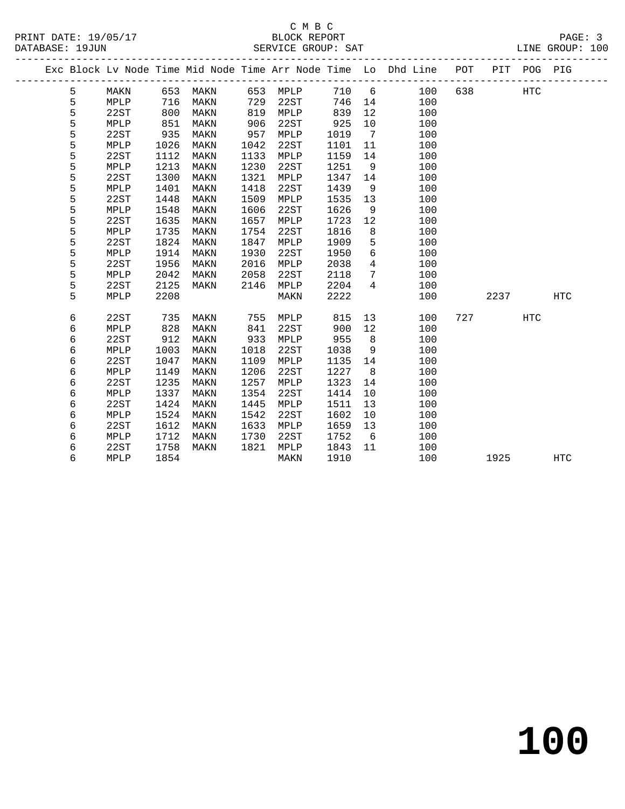|  |   |      |      |      |      |      |      |                | Exc Block Lv Node Time Mid Node Time Arr Node Time Lo Dhd Line POT |     | PIT  | POG PIG    |            |
|--|---|------|------|------|------|------|------|----------------|--------------------------------------------------------------------|-----|------|------------|------------|
|  | 5 | MAKN | 653  | MAKN | 653  | MPLP | 710  | 6              | 100                                                                | 638 |      | <b>HTC</b> |            |
|  | 5 | MPLP | 716  | MAKN | 729  | 22ST | 746  | 14             | 100                                                                |     |      |            |            |
|  | 5 | 22ST | 800  | MAKN | 819  | MPLP | 839  | 12             | 100                                                                |     |      |            |            |
|  | 5 | MPLP | 851  | MAKN | 906  | 22ST | 925  | 10             | 100                                                                |     |      |            |            |
|  | 5 | 22ST | 935  | MAKN | 957  | MPLP | 1019 | $\overline{7}$ | 100                                                                |     |      |            |            |
|  | 5 | MPLP | 1026 | MAKN | 1042 | 22ST | 1101 | 11             | 100                                                                |     |      |            |            |
|  | 5 | 22ST | 1112 | MAKN | 1133 | MPLP | 1159 | 14             | 100                                                                |     |      |            |            |
|  | 5 | MPLP | 1213 | MAKN | 1230 | 22ST | 1251 | 9              | 100                                                                |     |      |            |            |
|  | 5 | 22ST | 1300 | MAKN | 1321 | MPLP | 1347 | 14             | 100                                                                |     |      |            |            |
|  | 5 | MPLP | 1401 | MAKN | 1418 | 22ST | 1439 | 9              | 100                                                                |     |      |            |            |
|  | 5 | 22ST | 1448 | MAKN | 1509 | MPLP | 1535 | 13             | 100                                                                |     |      |            |            |
|  | 5 | MPLP | 1548 | MAKN | 1606 | 22ST | 1626 | 9              | 100                                                                |     |      |            |            |
|  | 5 | 22ST | 1635 | MAKN | 1657 | MPLP | 1723 | 12             | 100                                                                |     |      |            |            |
|  | 5 | MPLP | 1735 | MAKN | 1754 | 22ST | 1816 | 8              | 100                                                                |     |      |            |            |
|  | 5 | 22ST | 1824 | MAKN | 1847 | MPLP | 1909 | 5              | 100                                                                |     |      |            |            |
|  | 5 | MPLP | 1914 | MAKN | 1930 | 22ST | 1950 | $\sqrt{6}$     | 100                                                                |     |      |            |            |
|  | 5 | 22ST | 1956 | MAKN | 2016 | MPLP | 2038 | $\overline{4}$ | 100                                                                |     |      |            |            |
|  | 5 | MPLP | 2042 | MAKN | 2058 | 22ST | 2118 | 7              | 100                                                                |     |      |            |            |
|  | 5 | 22ST | 2125 | MAKN | 2146 | MPLP | 2204 | $\overline{4}$ | 100                                                                |     |      |            |            |
|  | 5 | MPLP | 2208 |      |      | MAKN | 2222 |                | 100                                                                |     | 2237 |            | HTC        |
|  |   |      |      |      |      |      |      |                |                                                                    |     |      |            |            |
|  | 6 | 22ST | 735  | MAKN | 755  | MPLP | 815  | 13             | 100                                                                |     | 727  | HTC        |            |
|  | 6 | MPLP | 828  | MAKN | 841  | 22ST | 900  | 12             | 100                                                                |     |      |            |            |
|  | 6 | 22ST | 912  | MAKN | 933  | MPLP | 955  | 8              | 100                                                                |     |      |            |            |
|  | 6 | MPLP | 1003 | MAKN | 1018 | 22ST | 1038 | 9              | 100                                                                |     |      |            |            |
|  | 6 | 22ST | 1047 | MAKN | 1109 | MPLP | 1135 | 14             | 100                                                                |     |      |            |            |
|  | 6 | MPLP | 1149 | MAKN | 1206 | 22ST | 1227 | 8              | 100                                                                |     |      |            |            |
|  | 6 | 22ST | 1235 | MAKN | 1257 | MPLP | 1323 | 14             | 100                                                                |     |      |            |            |
|  | 6 | MPLP | 1337 | MAKN | 1354 | 22ST | 1414 | 10             | 100                                                                |     |      |            |            |
|  | 6 | 22ST | 1424 | MAKN | 1445 | MPLP | 1511 | 13             | 100                                                                |     |      |            |            |
|  | 6 | MPLP | 1524 | MAKN | 1542 | 22ST | 1602 | 10             | 100                                                                |     |      |            |            |
|  | 6 | 22ST | 1612 | MAKN | 1633 | MPLP | 1659 | 13             | 100                                                                |     |      |            |            |
|  | 6 | MPLP | 1712 | MAKN | 1730 | 22ST | 1752 | - 6            | 100                                                                |     |      |            |            |
|  | 6 | 22ST | 1758 | MAKN | 1821 | MPLP | 1843 | 11             | 100                                                                |     |      |            |            |
|  | 6 | MPLP | 1854 |      |      | MAKN | 1910 |                | 100                                                                |     | 1925 |            | <b>HTC</b> |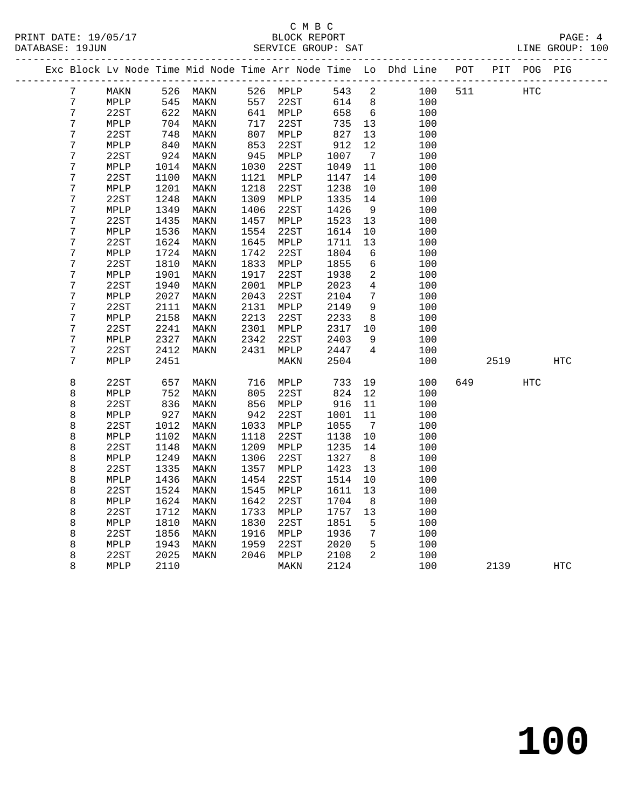|  |                       |              |              |              |              |                         |              |                      | Exc Block Lv Node Time Mid Node Time Arr Node Time Lo Dhd Line | POT |      | PIT POG PIG |            |
|--|-----------------------|--------------|--------------|--------------|--------------|-------------------------|--------------|----------------------|----------------------------------------------------------------|-----|------|-------------|------------|
|  | 7                     | MAKN         |              | 526 MAKN     |              | 526 MPLP                | 543          | $\overline{2}$       | 100                                                            | 511 |      | HTC         |            |
|  | $\overline{7}$        | MPLP         | 545          | MAKN         | 557          | 22ST                    | 614          | 8                    | 100                                                            |     |      |             |            |
|  | 7                     | 22ST         | 622          | MAKN         |              | 641 MPLP                | 658          | 6                    | 100                                                            |     |      |             |            |
|  | 7                     | MPLP         | 704          | MAKN         | 717          | 22ST                    | 735          | 13                   | 100                                                            |     |      |             |            |
|  | $\boldsymbol{7}$      | 22ST         | 748          | MAKN         | 807          | MPLP                    | 827          | 13                   | 100                                                            |     |      |             |            |
|  | $\boldsymbol{7}$      | MPLP         | 840          | MAKN         | 853          | 22ST                    | 912          | 12                   | 100                                                            |     |      |             |            |
|  | $\boldsymbol{7}$      | 22ST         | 924          | MAKN         | 945          | MPLP                    | 1007         | $7\overline{ }$      | 100                                                            |     |      |             |            |
|  | 7                     | MPLP         | 1014         | MAKN         | 1030         | 22ST                    | 1049         | 11                   | 100                                                            |     |      |             |            |
|  | $\overline{7}$        | 22ST         | 1100         | MAKN         | 1121         | MPLP                    | 1147         | 14                   | 100                                                            |     |      |             |            |
|  | $\boldsymbol{7}$      | MPLP         | 1201         | MAKN         | 1218         | 22ST                    | 1238         | 10                   | 100                                                            |     |      |             |            |
|  | $\boldsymbol{7}$      | 22ST         | 1248         | MAKN         | 1309         | MPLP                    | 1335         | 14                   | 100                                                            |     |      |             |            |
|  | 7                     | MPLP         | 1349         | MAKN         | 1406         | 22ST                    | 1426         | 9                    | 100                                                            |     |      |             |            |
|  | 7                     | 22ST         | 1435         | MAKN         | 1457         | MPLP                    | 1523         | 13                   | 100                                                            |     |      |             |            |
|  | 7                     | MPLP         | 1536         | MAKN         | 1554         | 22ST                    | 1614         | 10                   | 100                                                            |     |      |             |            |
|  | 7                     | 22ST         | 1624         | MAKN         | 1645         | MPLP                    | 1711         | 13                   | 100                                                            |     |      |             |            |
|  | 7                     | MPLP         | 1724         | MAKN         | 1742         | 22ST                    | 1804         | 6                    | 100                                                            |     |      |             |            |
|  | $\boldsymbol{7}$      | 22ST         | 1810         | MAKN         | 1833         | MPLP                    | 1855         | 6                    | 100                                                            |     |      |             |            |
|  | 7                     | MPLP         | 1901         | MAKN         | 1917         | 22ST                    | 1938         | $\overline{a}$       | 100                                                            |     |      |             |            |
|  | 7                     | 22ST         | 1940         | MAKN         | 2001         | MPLP                    | 2023         | 4                    | 100                                                            |     |      |             |            |
|  | 7<br>$\boldsymbol{7}$ | MPLP<br>22ST | 2027<br>2111 | MAKN         | 2043<br>2131 | 22ST                    | 2104<br>2149 | 7<br>9               | 100                                                            |     |      |             |            |
|  | $\overline{7}$        | MPLP         | 2158         | MAKN<br>MAKN | 2213         | MPLP<br>22ST            | 2233         | 8                    | 100<br>100                                                     |     |      |             |            |
|  | $\boldsymbol{7}$      | 22ST         | 2241         | MAKN         | 2301         | MPLP                    | 2317         | 10                   | 100                                                            |     |      |             |            |
|  | 7                     | MPLP         | 2327         | MAKN         | 2342         | 22ST                    | 2403         | 9                    | 100                                                            |     |      |             |            |
|  | 7                     | 22ST         | 2412         | MAKN         | 2431         | MPLP                    | 2447         | $\overline{4}$       | 100                                                            |     |      |             |            |
|  | $\overline{7}$        | MPLP         | 2451         |              |              | $\texttt{MAXN}$         | 2504         |                      | 100                                                            |     | 2519 |             | <b>HTC</b> |
|  |                       |              |              |              |              |                         |              |                      |                                                                |     |      |             |            |
|  | 8                     | 22ST         | 657          | MAKN         | 716          | MPLP                    | 733          | 19                   | 100                                                            | 649 |      | HTC         |            |
|  | 8                     | MPLP         | 752          | MAKN         | 805          | 22ST                    | 824          | 12                   | 100                                                            |     |      |             |            |
|  | 8                     | 22ST         | 836          | MAKN         | 856          | MPLP                    | 916          | 11                   | 100                                                            |     |      |             |            |
|  | 8                     | MPLP         | 927          | MAKN         | 942          | 22ST                    | 1001         | 11                   | 100                                                            |     |      |             |            |
|  | 8                     | 22ST         | 1012         | MAKN         | 1033         | MPLP                    | 1055         | $\overline{7}$       | 100                                                            |     |      |             |            |
|  | 8                     | MPLP         | 1102         | MAKN         | 1118         | 22ST                    | 1138         | $10\,$               | 100                                                            |     |      |             |            |
|  | 8                     | 22ST         | 1148         | MAKN         | 1209         | MPLP                    | 1235         | 14                   | 100                                                            |     |      |             |            |
|  | 8                     | MPLP         | 1249         | MAKN         | 1306         | 22ST                    | 1327         | 8                    | 100                                                            |     |      |             |            |
|  | 8                     | 22ST         | 1335         | MAKN         | 1357         | MPLP                    | 1423         | 13                   | 100                                                            |     |      |             |            |
|  | 8                     | MPLP         | 1436         | MAKN         | 1454         | 22ST                    | 1514         | 10                   | 100                                                            |     |      |             |            |
|  | 8                     | 22ST         | 1524         | MAKN         | 1545         | MPLP                    | 1611         | 13                   | 100                                                            |     |      |             |            |
|  | 8                     | MPLP         | 1624         | MAKN         | 1642         | 22ST                    | 1704         | 8                    | 100                                                            |     |      |             |            |
|  | 8                     | 22ST         | 1712         | MAKN         | 1733         | MPLP                    | 1757         | 13                   | 100                                                            |     |      |             |            |
|  | 8<br>8                | MPLP<br>22ST | 1810<br>1856 | MAKN<br>MAKN | 1830<br>1916 | 22ST<br>$\texttt{MPLP}$ | 1851<br>1936 | 5<br>$7\phantom{.0}$ | 100<br>100                                                     |     |      |             |            |
|  | 8                     | MPLP         | 1943         | MAKN         | 1959         | 22ST                    | 2020         | 5                    | 100                                                            |     |      |             |            |
|  | 8                     | 22ST         | 2025         | MAKN         | 2046         | MPLP                    | 2108         | $\overline{2}$       | 100                                                            |     |      |             |            |
|  | 8                     | MPLP         | 2110         |              |              | MAKN                    | 2124         |                      | 100                                                            |     | 2139 |             | <b>HTC</b> |
|  |                       |              |              |              |              |                         |              |                      |                                                                |     |      |             |            |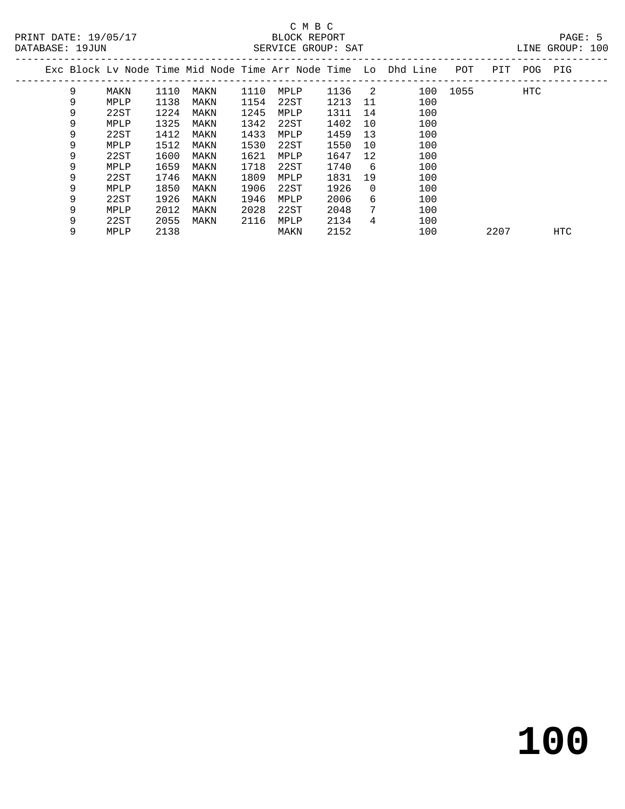|   |      |      |      |      |      |      |          | Exc Block Ly Node Time Mid Node Time Arr Node Time Lo Dhd Line | POT      | PIT  | POG | PIG        |  |
|---|------|------|------|------|------|------|----------|----------------------------------------------------------------|----------|------|-----|------------|--|
| 9 | MAKN | 1110 | MAKN | 1110 | MPLP | 1136 | -2       |                                                                | 100 1055 |      | HTC |            |  |
| 9 | MPLP | 1138 | MAKN | 1154 | 22ST | 1213 | 11       | 100                                                            |          |      |     |            |  |
| 9 | 22ST | 1224 | MAKN | 1245 | MPLP | 1311 | 14       | 100                                                            |          |      |     |            |  |
| 9 | MPLP | 1325 | MAKN | 1342 | 22ST | 1402 | 10       | 100                                                            |          |      |     |            |  |
| 9 | 22ST | 1412 | MAKN | 1433 | MPLP | 1459 | 13       | 100                                                            |          |      |     |            |  |
| 9 | MPLP | 1512 | MAKN | 1530 | 22ST | 1550 | 10       | 100                                                            |          |      |     |            |  |
| 9 | 22ST | 1600 | MAKN | 1621 | MPLP | 1647 | 12       | 100                                                            |          |      |     |            |  |
| 9 | MPLP | 1659 | MAKN | 1718 | 22ST | 1740 | -6       | 100                                                            |          |      |     |            |  |
| 9 | 22ST | 1746 | MAKN | 1809 | MPLP | 1831 | 19       | 100                                                            |          |      |     |            |  |
| 9 | MPLP | 1850 | MAKN | 1906 | 22ST | 1926 | $\Omega$ | 100                                                            |          |      |     |            |  |
| 9 | 22ST | 1926 | MAKN | 1946 | MPLP | 2006 | 6        | 100                                                            |          |      |     |            |  |
| 9 | MPLP | 2012 | MAKN | 2028 | 22ST | 2048 | 7        | 100                                                            |          |      |     |            |  |
| 9 | 22ST | 2055 | MAKN | 2116 | MPLP | 2134 | 4        | 100                                                            |          |      |     |            |  |
| 9 | MPLP | 2138 |      |      | MAKN | 2152 |          | 100                                                            |          | 2207 |     | <b>HTC</b> |  |
|   |      |      |      |      |      |      |          |                                                                |          |      |     |            |  |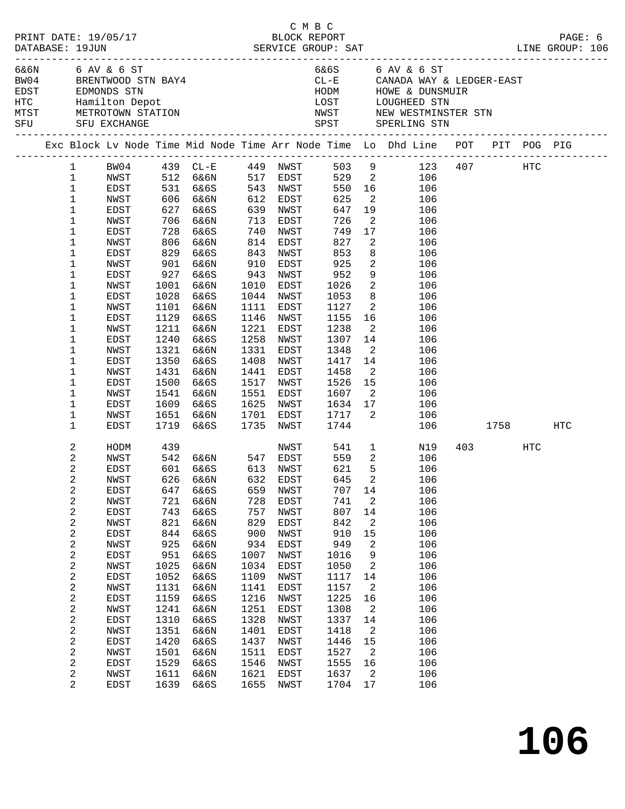| PRINT DATE: 19/05/17<br>DATABASE: 19JUN |                              |              |              |                                                         |                                           |                        | смвс<br>BLOCK REPORT     |                            |                                                                                                                                                                  |              | PAGE: 6 |
|-----------------------------------------|------------------------------|--------------|--------------|---------------------------------------------------------|-------------------------------------------|------------------------|--------------------------|----------------------------|------------------------------------------------------------------------------------------------------------------------------------------------------------------|--------------|---------|
| 6&6N 6 AV & 6 ST<br>SFU SFU EXCHANGE    |                              |              |              | BW04 BRENTWOOD STN BAY4                                 |                                           |                        |                          |                            | 6&6S 6 AV & 6 ST<br>CL-E CANADA WAY & LEDGER-EAST<br>HODM HOWE & DUNSMUIR<br>LOST LOUGHEED STN<br>NWST NEW WESTMINSTER STN<br>SPST SPERLING STN                  |              |         |
|                                         |                              |              |              |                                                         |                                           |                        |                          |                            | Exc Block Lv Node Time Mid Node Time Arr Node Time Lo Dhd Line POT PIT POG PIG<br>Exc Block Lv Node Time Mid Node Time Arr Node Time Lo Dhd Line POT PIT POG PIG |              |         |
|                                         |                              |              |              |                                                         |                                           |                        |                          |                            | 1 BW04 439 CL-E 449 NWST 503 9 123 407 HTC                                                                                                                       |              |         |
|                                         | $\mathbf{1}$                 |              |              |                                                         |                                           |                        |                          |                            | NWST 512 6&6N 517 EDST 529 2 106<br>EDST 531 6&6S 543 NWST 550 16 106<br>NWST 606 6&6N 612 EDST 625 2 106                                                        |              |         |
|                                         | $\mathbf{1}$                 |              |              |                                                         |                                           |                        |                          |                            |                                                                                                                                                                  |              |         |
|                                         | $\mathbf 1$                  |              |              |                                                         |                                           |                        |                          |                            |                                                                                                                                                                  |              |         |
|                                         | 1                            | EDST         |              | 627 6&6S                                                |                                           | 639 NWST               | 647                      |                            | 19<br>106                                                                                                                                                        |              |         |
|                                         | 1                            | NWST         |              | 706 6&6N                                                |                                           | 713 EDST               |                          | $\overline{\mathbf{2}}$    | 106                                                                                                                                                              |              |         |
|                                         | 1                            | EDST         |              | 728 6&6S<br>806 6&6N                                    | $\begin{array}{c} 740 \\ 814 \end{array}$ | NWST                   |                          |                            | 17<br>106                                                                                                                                                        |              |         |
|                                         | 1                            | NWST         | 829          |                                                         | 843                                       | EDST                   | 726<br>749<br>827<br>853 | $\overline{\mathbf{2}}$    | 106<br>8 <sup>1</sup>                                                                                                                                            |              |         |
|                                         | 1<br>1                       | EDST<br>NWST | 901          | 6&6S<br>6&6N                                            | 910                                       | NWST<br>EDST           | 925                      |                            | 106<br>$\overline{2}$<br>106                                                                                                                                     |              |         |
|                                         | 1                            | EDST         | 927          | 6&6S                                                    | 943                                       | NWST                   |                          |                            | 9<br>106                                                                                                                                                         |              |         |
|                                         | 1                            | NWST         |              | 1001 6&6N                                               | 1010                                      | EDST                   | 952<br>1026              | $\overline{\mathbf{2}}$    | 106                                                                                                                                                              |              |         |
|                                         | 1                            | EDST         | 1028         | 6&6S                                                    |                                           | 1044 NWST              | 1053                     |                            | 8 <sup>1</sup><br>106                                                                                                                                            |              |         |
|                                         | 1                            | NWST         |              | 1101 6&6N                                               | 1111                                      | EDST                   | 1127                     |                            | $\overline{2}$<br>106                                                                                                                                            |              |         |
|                                         | 1                            | EDST         | 1129         | 6&6S                                                    | 1146                                      | NWST                   | 1155                     |                            | 16<br>106                                                                                                                                                        |              |         |
|                                         | 1                            | NWST         | 1211         | 6&6N                                                    | 1221                                      | EDST                   | 1238                     | $\overline{\mathbf{2}}$    | 106                                                                                                                                                              |              |         |
|                                         | 1                            | EDST         | 1240         | 6&6S                                                    | 1258                                      | NWST                   | 1307                     |                            | 14<br>106                                                                                                                                                        |              |         |
|                                         | $\mathbf 1$                  | NWST         | 1321         | 6&6N                                                    | 1331                                      | EDST                   | 1348                     |                            | $\overline{2}$<br>106                                                                                                                                            |              |         |
|                                         | 1                            | EDST         | 1350         | 6&6S                                                    | 1408                                      | NWST                   | 1417                     |                            | 14<br>106                                                                                                                                                        |              |         |
|                                         | 1                            | NWST         | 1431         | 6&6N                                                    | 1441                                      | EDST                   | 1458                     | $\overline{\mathbf{2}}$    | 106                                                                                                                                                              |              |         |
|                                         | 1                            | EDST         | 1500         | 6&6S                                                    |                                           | 1517 NWST              | 1526                     |                            | $\overline{15}$<br>106                                                                                                                                           |              |         |
|                                         | 1                            | NWST         |              | 1541 6&6N                                               |                                           | 1551 EDST              | 1607                     |                            | $\overline{2}$<br>106                                                                                                                                            |              |         |
|                                         | 1                            | EDST         | 1609         | 6&6S                                                    |                                           | 1625 NWST              |                          |                            | 106<br>106                                                                                                                                                       |              |         |
|                                         | 1<br>1                       | NWST<br>EDST | 1719         | 1651 6&6N<br>6&6S                                       |                                           | 1701 EDST<br>1735 NWST |                          |                            |                                                                                                                                                                  | 106 1758 HTC |         |
|                                         |                              |              |              |                                                         |                                           |                        |                          |                            |                                                                                                                                                                  |              |         |
|                                         | 2                            | HODM         | 439          |                                                         |                                           |                        | NWST 541                 |                            | $1 \qquad \qquad$<br>N19                                                                                                                                         | 403 HTC      |         |
|                                         | 2                            | NWST         |              | 542 6&6N      547   EDST<br>601   6&6S       613   NWST |                                           |                        | 559<br>621               |                            | $\overline{2}$<br>106                                                                                                                                            |              |         |
|                                         | $\overline{c}$               | EDST         |              |                                                         |                                           |                        |                          | 5                          | 106                                                                                                                                                              |              |         |
|                                         | 2                            | NWST         |              | 626 6&6N 632 EDST 645 2                                 |                                           |                        |                          |                            | 106                                                                                                                                                              |              |         |
|                                         | 2                            | EDST         | 647          | 6&6S                                                    | 659                                       | NWST                   | 707<br>741               | 14                         | 106<br>106                                                                                                                                                       |              |         |
|                                         | 2<br>$\overline{\mathbf{c}}$ | NWST<br>EDST | 721<br>743   | 6&6N<br>6&6S                                            | 728<br>757                                | EDST<br>NWST           | 807                      | 2<br>14                    | 106                                                                                                                                                              |              |         |
|                                         | 2                            | NWST         | 821          | 6&6N                                                    | 829                                       | EDST                   | 842                      | 2                          | 106                                                                                                                                                              |              |         |
|                                         | $\boldsymbol{2}$             | EDST         | 844          | 6&6S                                                    | 900                                       | NWST                   | 910                      | 15                         | 106                                                                                                                                                              |              |         |
|                                         | $\boldsymbol{2}$             | NWST         | 925          | 6&6N                                                    | 934                                       | EDST                   | 949                      | 2                          | 106                                                                                                                                                              |              |         |
|                                         | $\mathbf 2$                  | EDST         | 951          | 6&6S                                                    | 1007                                      | NWST                   | 1016                     | 9                          | 106                                                                                                                                                              |              |         |
|                                         | 2                            | NWST         | 1025         | 6&6N                                                    | 1034                                      | EDST                   | 1050                     | 2                          | 106                                                                                                                                                              |              |         |
|                                         | $\sqrt{2}$                   | EDST         | 1052         | 6&6S                                                    | 1109                                      | NWST                   | 1117                     | 14                         | 106                                                                                                                                                              |              |         |
|                                         | $\boldsymbol{2}$             | NWST         | 1131         | 6&6N                                                    | 1141                                      | EDST                   | 1157                     | 2                          | 106                                                                                                                                                              |              |         |
|                                         | $\sqrt{2}$                   | EDST         | 1159         | 6&6S                                                    | 1216                                      | NWST                   | 1225                     | 16                         | 106                                                                                                                                                              |              |         |
|                                         | $\overline{\mathbf{c}}$      | NWST         | 1241         | 6&6N                                                    | 1251                                      | EDST                   | 1308                     | 2                          | 106                                                                                                                                                              |              |         |
|                                         | $\sqrt{2}$                   | EDST         | 1310         | 6&6S                                                    | 1328                                      | NWST                   | 1337                     | 14                         | 106                                                                                                                                                              |              |         |
|                                         | $\boldsymbol{2}$             | NWST         | 1351         | 6&6N                                                    | 1401                                      | EDST                   | 1418                     | 2                          | 106                                                                                                                                                              |              |         |
|                                         | $\sqrt{2}$                   | EDST         | 1420         | 6&6S                                                    | 1437                                      | NWST                   | 1446                     | 15                         | 106                                                                                                                                                              |              |         |
|                                         | $\overline{\mathbf{c}}$      | NWST         | 1501         | 6&6N                                                    | 1511                                      | EDST                   | 1527                     | $\overline{\phantom{a}}^2$ | 106                                                                                                                                                              |              |         |
|                                         | $\overline{c}$<br>2          | EDST<br>NWST | 1529<br>1611 | 6&6S<br>6&6N                                            | 1546<br>1621                              | NWST<br>EDST           | 1555<br>1637             | 16<br>2                    | 106<br>106                                                                                                                                                       |              |         |
|                                         | $\overline{2}$               | EDST         | 1639         | 6&6S                                                    | 1655                                      | NWST                   | 1704                     | 17                         | 106                                                                                                                                                              |              |         |
|                                         |                              |              |              |                                                         |                                           |                        |                          |                            |                                                                                                                                                                  |              |         |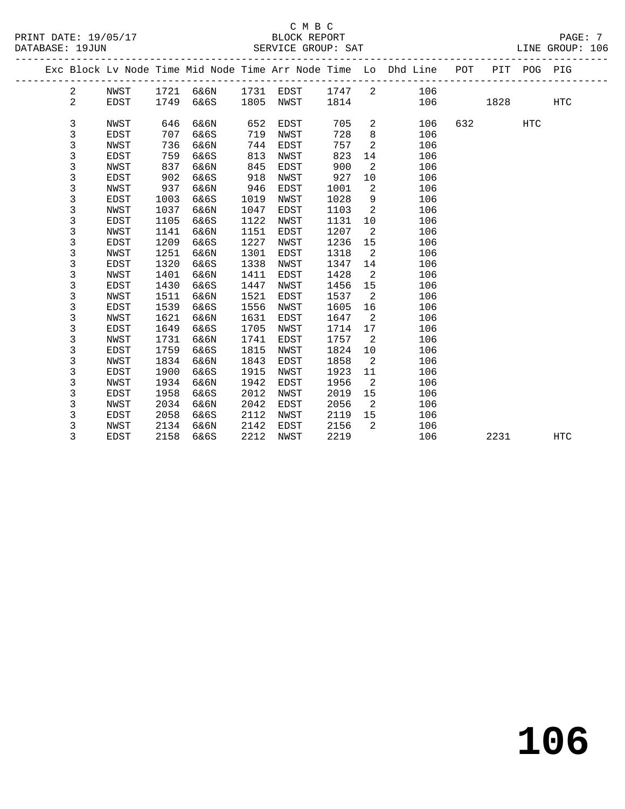#### C M B C<br>BLOCK REPORT SERVICE GROUP: SAT

PRINT DATE: 19/05/17 BLOCK REPORT PAGE: 7

|  |                |             |      |      |      |      |      |    | Exc Block Lv Node Time Mid Node Time Arr Node Time Lo Dhd Line | POT | PIT  | POG PIG    |            |
|--|----------------|-------------|------|------|------|------|------|----|----------------------------------------------------------------|-----|------|------------|------------|
|  | $\overline{a}$ | NWST        | 1721 | 6&6N | 1731 | EDST | 1747 | 2  | 106                                                            |     |      |            |            |
|  | $\overline{a}$ | EDST        | 1749 | 6&6S | 1805 | NWST | 1814 |    | 106                                                            |     | 1828 |            | <b>HTC</b> |
|  |                |             |      |      |      |      |      |    |                                                                |     |      |            |            |
|  | $\mathbf{3}$   | <b>NWST</b> | 646  | 6&6N | 652  | EDST | 705  | 2  | 106                                                            | 632 |      | <b>HTC</b> |            |
|  | 3              | <b>EDST</b> | 707  | 6&6S | 719  | NWST | 728  | 8  | 106                                                            |     |      |            |            |
|  | 3              | NWST        | 736  | 6&6N | 744  | EDST | 757  | 2  | 106                                                            |     |      |            |            |
|  | 3              | EDST        | 759  | 6&6S | 813  | NWST | 823  | 14 | 106                                                            |     |      |            |            |
|  | 3              | NWST        | 837  | 6&6N | 845  | EDST | 900  | 2  | 106                                                            |     |      |            |            |
|  | 3              | <b>EDST</b> | 902  | 6&6S | 918  | NWST | 927  | 10 | 106                                                            |     |      |            |            |
|  | 3              | NWST        | 937  | 6&6N | 946  | EDST | 1001 | 2  | 106                                                            |     |      |            |            |
|  | 3              | <b>EDST</b> | 1003 | 6&6S | 1019 | NWST | 1028 | 9  | 106                                                            |     |      |            |            |
|  | 3              | NWST        | 1037 | 6&6N | 1047 | EDST | 1103 | 2  | 106                                                            |     |      |            |            |
|  | 3              | EDST        | 1105 | 6&6S | 1122 | NWST | 1131 | 10 | 106                                                            |     |      |            |            |
|  | 3              | NWST        | 1141 | 6&6N | 1151 | EDST | 1207 | 2  | 106                                                            |     |      |            |            |
|  | 3              | EDST        | 1209 | 6&6S | 1227 | NWST | 1236 | 15 | 106                                                            |     |      |            |            |
|  | 3              | NWST        | 1251 | 6&6N | 1301 | EDST | 1318 | 2  | 106                                                            |     |      |            |            |
|  | 3              | <b>EDST</b> | 1320 | 6&6S | 1338 | NWST | 1347 | 14 | 106                                                            |     |      |            |            |
|  | 3              | NWST        | 1401 | 6&6N | 1411 | EDST | 1428 | 2  | 106                                                            |     |      |            |            |
|  | 3              | <b>EDST</b> | 1430 | 6&6S | 1447 | NWST | 1456 | 15 | 106                                                            |     |      |            |            |
|  | 3              | NWST        | 1511 | 6&6N | 1521 | EDST | 1537 | 2  | 106                                                            |     |      |            |            |
|  | 3              | <b>EDST</b> | 1539 | 6&6S | 1556 | NWST | 1605 | 16 | 106                                                            |     |      |            |            |
|  | 3              | NWST        | 1621 | 6&6N | 1631 | EDST | 1647 | 2  | 106                                                            |     |      |            |            |
|  | 3              | EDST        | 1649 | 6&6S | 1705 | NWST | 1714 | 17 | 106                                                            |     |      |            |            |
|  | 3              | NWST        | 1731 | 6&6N | 1741 | EDST | 1757 | 2  | 106                                                            |     |      |            |            |
|  | 3              | EDST        | 1759 | 6&6S | 1815 | NWST | 1824 | 10 | 106                                                            |     |      |            |            |
|  | 3              | NWST        | 1834 | 6&6N | 1843 | EDST | 1858 | 2  | 106                                                            |     |      |            |            |
|  | 3              | EDST        | 1900 | 6&6S | 1915 | NWST | 1923 | 11 | 106                                                            |     |      |            |            |
|  | 3              | NWST        | 1934 | 6&6N | 1942 | EDST | 1956 | 2  | 106                                                            |     |      |            |            |
|  | 3              | <b>EDST</b> | 1958 | 6&6S | 2012 | NWST | 2019 | 15 | 106                                                            |     |      |            |            |
|  | 3              | NWST        | 2034 | 6&6N | 2042 | EDST | 2056 | 2  | 106                                                            |     |      |            |            |
|  | 3              | EDST        | 2058 | 6&6S | 2112 | NWST | 2119 | 15 | 106                                                            |     |      |            |            |
|  | 3<br>3         | NWST        | 2134 | 6&6N | 2142 | EDST | 2156 | 2  | 106                                                            |     |      |            |            |
|  |                | <b>EDST</b> | 2158 | 6&6S | 2212 | NWST | 2219 |    | 106                                                            |     | 2231 |            | <b>HTC</b> |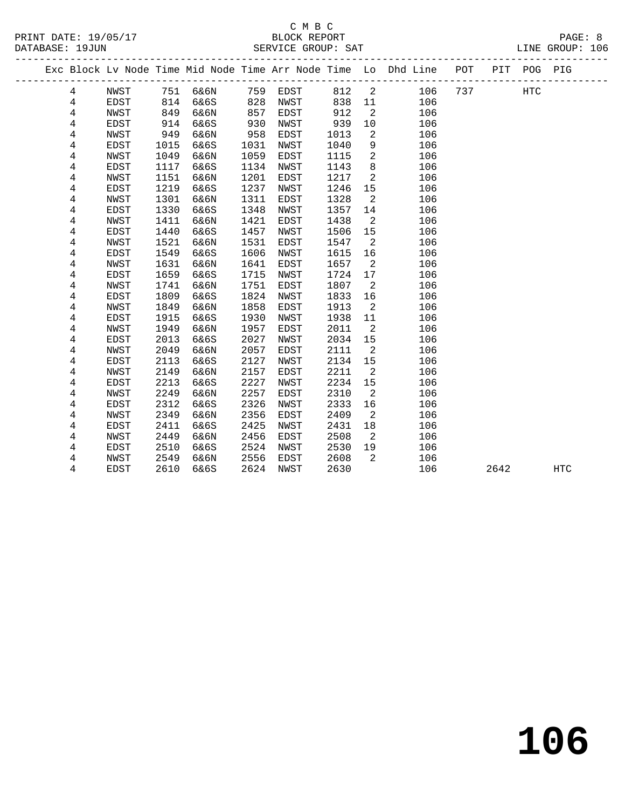### C M B C

DATABASE: 19JUN SERVICE GROUP: SAT LINE GROUP: 106 ------------------------------------------------------------------------------------------------- Exc Block Lv Node Time Mid Node Time Arr Node Time Lo Dhd Line POT PIT POG PIG ------------------------------------------------------------------------------------------------- 4 NWST 751 6&6N 759 EDST 812 2 106 737 HTC 4 EDST 814 6&6S 828 NWST 838 11 106<br>4 NWST 849 6&6N 857 EDST 912 2 106<br>4 EDST 914 6&6S 930 NWST 939 10 106 4 EDST 814 6&6S 828 NWST 838 11 106<br>4 NWST 849 6&6N 857 EDST 912 2 106<br>4 EDST 914 6&6S 930 NWST 939 10 106<br>4 NWST 949 6&6N 958 EDST 1013 2 106<br>4 EDST 1015 6&6S 1031 NWST 1040 9 106<br>4 NWST 1049 6&6N 1059 EDST 1115 2 106<br>4 E 4 EDST 914 6&6S 930 NWST 939 10 106 4 NWST 949 6&6N 958 EDST 1013 2 106 4 EDST 1015 6&6S 1031 NWST 1040 9 106 4 NWST 1049 6&6N 1059 EDST 1115 2 106 4 EDST 1117 6&6S 1134 NWST 1143 8 106 4 NWST 1151 6&6N 1201 EDST 1217 2 106 4 EDST 1219 6&6S 1237 NWST 1246 15 106 4 NWST 1301 6&6N 1311 EDST 1328 2 106 4 EDST 1330 6&6S 1348 NWST 1357 14 106 4 NWST 1411 6&6N 1421 EDST 1438 2 106 4 EDST 1440 6&6S 1457 NWST 1506 15 106 4 NWST 1521 6&6N 1531 EDST 1547 2 106 4 EDST 1549 6&6S 1606 NWST 1615 16 106 4 NWST 1631 6&6N 1641 EDST 1657 2 106 4 EDST 1659 6&6S 1715 NWST 1724 17 106 4 NWST 1741 6&6N 1751 EDST 1807 2 106 4 EDST 1809 6&6S 1824 NWST 1833 16 106 4 NWST 1849 6&6N 1858 EDST 1913 2 106 4 EDST 1915 6&6S 1930 NWST 1938 11 106 لاست 1949 6&6N 1957 EDST 2011 2 106<br>4 NWST 1949 6&6N 1957 EDST 2011 2 106<br>4 EDST 2013 6&6S 2027 NWST 2034 15 106 4 EDST 2013 6&6S 2027 NWST 2034 15 106<br>4 NWST 2049 6&6N 2057 EDST 2111 2 106<br>4 EDST 2113 6&6S 2127 NWST 2134 15 106 1 106 NMST 2049 6&6N 2057 EDST 2111 2 106<br>4 EDST 2113 6&6S 2127 NWST 2134 15 106<br>4 NWST 2149 6&6N 2157 EDST 2211 2 106 4 EDST 2113 6&6S 2127 NWST 2134 15 106 4 NWST 2149 6&6N 2157 EDST 2211 2 106 4 EDST 2213 6&6S 2227 NWST 2234 15 106 4 NWST 2249 6&6N 2257 EDST 2310 2 106 4 EDST 2312 6&6S 2326 NWST 2333 16 106 4 NWST 2349 6&6N 2356 EDST 2409 2 106 4 EDST 2411 6&6S 2425 NWST 2431 18 106 4 NWST 2449 6&6N 2456 EDST 2508 2 106 4 EDST 2510 6&6S 2524 NWST 2530 19 106 4 NWST 2549 6&6N 2556 EDST 2608 2 106 4 EDST 2610 6&6S 2624 NWST 2630 106 2642 HTC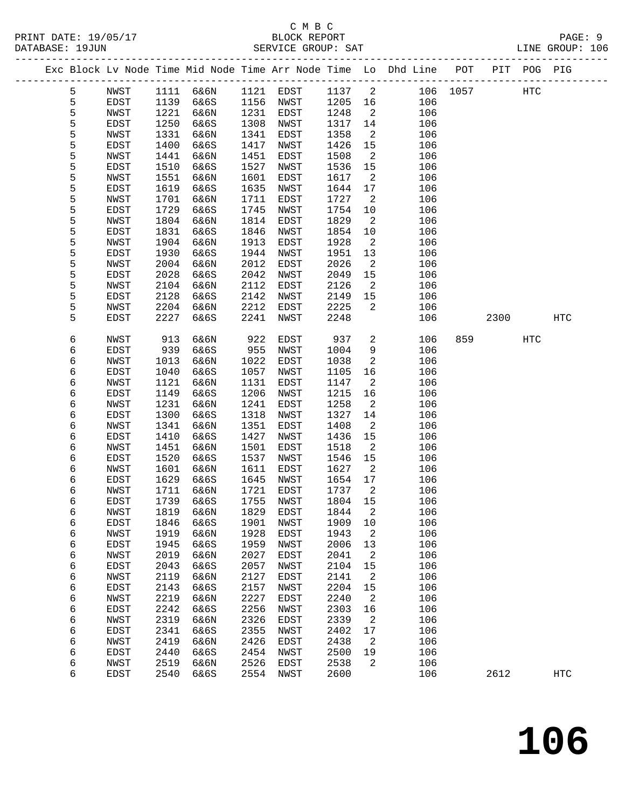|  |   |             |      |                     |      |           |        |                            | Exc Block Lv Node Time Mid Node Time Arr Node Time Lo Dhd Line POT |          |      | PIT POG PIG |            |
|--|---|-------------|------|---------------------|------|-----------|--------|----------------------------|--------------------------------------------------------------------|----------|------|-------------|------------|
|  | 5 | NWST        |      | 1111 6&6N 1121 EDST |      |           | 1137 2 |                            |                                                                    | 106 1057 |      | HTC         |            |
|  | 5 | EDST        | 1139 | 6&6S                | 1156 | NWST      | 1205   | 16                         | 106                                                                |          |      |             |            |
|  | 5 | NWST        | 1221 | 6&6N                | 1231 | EDST      | 1248   | $\overline{a}$             | 106                                                                |          |      |             |            |
|  | 5 | EDST        | 1250 | 6&6S                | 1308 | NWST      | 1317   | 14                         | 106                                                                |          |      |             |            |
|  | 5 | NWST        | 1331 | 6&6N                | 1341 | EDST      | 1358   | 2                          | 106                                                                |          |      |             |            |
|  | 5 | EDST        | 1400 | 6&6S                | 1417 | NWST      | 1426   | 15                         | 106                                                                |          |      |             |            |
|  | 5 | NWST        | 1441 | 6&6N                | 1451 | EDST      | 1508   | $\overline{\phantom{a}}^2$ | 106                                                                |          |      |             |            |
|  | 5 | EDST        | 1510 | 6&6S                | 1527 | NWST      | 1536   | 15                         | 106                                                                |          |      |             |            |
|  | 5 | NWST        | 1551 | 6&6N                | 1601 | EDST      | 1617   | $\overline{2}$             | 106                                                                |          |      |             |            |
|  | 5 | EDST        | 1619 | 6&6S                | 1635 | NWST      | 1644   | 17                         | 106                                                                |          |      |             |            |
|  | 5 | NWST        | 1701 | 6&6N                | 1711 | EDST      | 1727   | 2                          | 106                                                                |          |      |             |            |
|  | 5 | EDST        | 1729 | 6&6S                | 1745 | NWST      | 1754   | 10                         | 106                                                                |          |      |             |            |
|  | 5 | NWST        | 1804 | 6&6N                | 1814 | EDST      | 1829   | 2                          | 106                                                                |          |      |             |            |
|  | 5 | EDST        | 1831 | 6&6S                | 1846 | NWST      | 1854   | 10                         | 106                                                                |          |      |             |            |
|  | 5 | NWST        | 1904 | 6&6N                | 1913 | EDST      | 1928   | $\overline{2}$             | 106                                                                |          |      |             |            |
|  | 5 | EDST        | 1930 | 6&6S                | 1944 | NWST      | 1951   | 13                         | 106                                                                |          |      |             |            |
|  | 5 | NWST        | 2004 | 6&6N                | 2012 | EDST      | 2026   | $\overline{a}$             | 106                                                                |          |      |             |            |
|  | 5 | EDST        | 2028 | 6&6S                | 2042 | NWST      | 2049   | 15                         | 106                                                                |          |      |             |            |
|  | 5 | NWST        | 2104 | 6&6N                | 2112 | EDST      | 2126   | $\overline{2}$             | 106                                                                |          |      |             |            |
|  | 5 | EDST        | 2128 | 6&6S                | 2142 | NWST      | 2149   | 15                         | 106                                                                |          |      |             |            |
|  | 5 | NWST        | 2204 | 6&6N                | 2212 | EDST      | 2225   | 2                          | 106                                                                |          |      |             |            |
|  | 5 | EDST        | 2227 | 6&6S                | 2241 | NWST      | 2248   |                            | 106                                                                |          | 2300 |             | HTC        |
|  |   |             |      |                     |      |           |        |                            |                                                                    |          |      |             |            |
|  | 6 | <b>NWST</b> | 913  | 6&6N                | 922  | EDST      | 937    | $\overline{a}$             | 106                                                                | 859      |      | <b>HTC</b>  |            |
|  | 6 | EDST        | 939  | 6&6S                | 955  | NWST      | 1004   | 9                          | 106                                                                |          |      |             |            |
|  | 6 | NWST        | 1013 | 6&6N                | 1022 | EDST      | 1038   | 2                          | 106                                                                |          |      |             |            |
|  | 6 | EDST        | 1040 | 6&6S                | 1057 | NWST      | 1105   | 16                         | 106                                                                |          |      |             |            |
|  | 6 | NWST        | 1121 | 6&6N                | 1131 | EDST      | 1147   | $\overline{a}$             | 106                                                                |          |      |             |            |
|  | 6 | EDST        | 1149 | 6&6S                | 1206 | NWST      | 1215   | 16                         | 106                                                                |          |      |             |            |
|  | 6 | NWST        | 1231 | 6&6N                | 1241 | EDST      | 1258   | 2                          | 106                                                                |          |      |             |            |
|  | 6 | EDST        | 1300 | 6&6S                | 1318 | NWST      | 1327   | 14                         | 106                                                                |          |      |             |            |
|  | 6 | NWST        | 1341 | 6&6N                | 1351 | EDST      | 1408   | $\overline{a}$             | 106                                                                |          |      |             |            |
|  | 6 | EDST        | 1410 | 6&6S                | 1427 | NWST      | 1436   | 15                         | 106                                                                |          |      |             |            |
|  | 6 | NWST        | 1451 | 6&6N                | 1501 | EDST      | 1518   | 2                          | 106                                                                |          |      |             |            |
|  | 6 | EDST        | 1520 | 6&6S                | 1537 | NWST      | 1546   | 15                         | 106                                                                |          |      |             |            |
|  | 6 | NWST        | 1601 | 6&6N                | 1611 | EDST      | 1627   | $\overline{a}$             | 106                                                                |          |      |             |            |
|  | 6 | EDST        | 1629 | 6&6S                | 1645 | NWST      | 1654   | 17                         | 106                                                                |          |      |             |            |
|  | 6 | NWST        | 1711 | 6&6N                | 1721 | EDST      | 1737   | $\overline{2}$             | 106                                                                |          |      |             |            |
|  | 6 | EDST        | 1739 | 6&6S                | 1755 | NWST      | 1804   | 15                         | 106                                                                |          |      |             |            |
|  | 6 | NWST        |      | 1819 6&6N           |      | 1829 EDST | 1844 2 |                            | 106                                                                |          |      |             |            |
|  | 6 | EDST        | 1846 | 6&6S                | 1901 | NWST      | 1909   | 10                         | 106                                                                |          |      |             |            |
|  | 6 | NWST        | 1919 | 6&6N                | 1928 | EDST      | 1943   | $\overline{a}$             | 106                                                                |          |      |             |            |
|  | 6 | EDST        | 1945 | 6&6S                | 1959 | NWST      | 2006   | 13                         | 106                                                                |          |      |             |            |
|  | 6 | NWST        | 2019 | 6&6N                | 2027 | EDST      | 2041   | 2                          | 106                                                                |          |      |             |            |
|  | 6 | EDST        | 2043 | 6&6S                | 2057 | NWST      | 2104   | 15                         | 106                                                                |          |      |             |            |
|  | 6 | NWST        | 2119 | 6&6N                | 2127 | EDST      | 2141   | 2                          | 106                                                                |          |      |             |            |
|  | 6 | EDST        | 2143 | 6&6S                | 2157 | NWST      | 2204   | 15                         | 106                                                                |          |      |             |            |
|  | 6 | NWST        | 2219 | 6&6N                | 2227 | EDST      | 2240   | 2                          | 106                                                                |          |      |             |            |
|  | 6 | EDST        | 2242 | 6&6S                | 2256 | NWST      | 2303   | 16                         | 106                                                                |          |      |             |            |
|  | 6 | NWST        | 2319 | 6&6N                | 2326 | EDST      | 2339   | 2                          | 106                                                                |          |      |             |            |
|  | 6 | EDST        | 2341 | 6&6S                | 2355 | NWST      | 2402   | 17                         | 106                                                                |          |      |             |            |
|  | 6 | NWST        | 2419 | 6&6N                | 2426 | EDST      | 2438   | 2                          | 106                                                                |          |      |             |            |
|  | 6 | EDST        | 2440 | 6&6S                | 2454 | NWST      | 2500   | 19                         | 106                                                                |          |      |             |            |
|  | 6 | NWST        | 2519 | 6&6N                | 2526 | EDST      | 2538   | 2                          | 106                                                                |          |      |             |            |
|  | б | EDST        | 2540 | 6&6S                | 2554 | NWST      | 2600   |                            | 106                                                                |          | 2612 |             | <b>HTC</b> |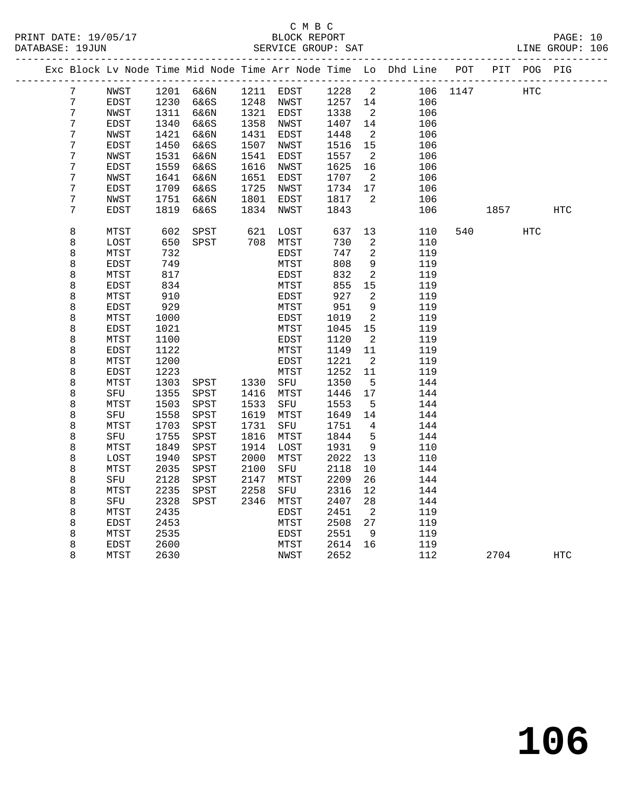|  |                  |              |              |              |              |                      |              |                          | Exc Block Lv Node Time Mid Node Time Arr Node Time Lo Dhd Line POT |          |                                               | PIT POG PIG |     |  |
|--|------------------|--------------|--------------|--------------|--------------|----------------------|--------------|--------------------------|--------------------------------------------------------------------|----------|-----------------------------------------------|-------------|-----|--|
|  | 7                | NWST         |              | 1201 6&6N    |              | 1211 EDST            | 1228 2       |                          |                                                                    | 106 1147 | HTC                                           |             |     |  |
|  | 7                | EDST         | 1230         | 6&6S         | 1248         | NWST                 | 1257 14      |                          | 106                                                                |          |                                               |             |     |  |
|  | 7                | NWST         | 1311         | 6&6N         |              | 1321 EDST            | 1338         | $\overline{2}$           | 106                                                                |          |                                               |             |     |  |
|  | 7                | EDST         | 1340         | 6&6S         | 1358         | NWST                 | 1407         | 14                       | 106                                                                |          |                                               |             |     |  |
|  | 7                | NWST         | 1421         | 6&6N         | 1431         | EDST                 | 1448         | $\overline{2}$           | 106                                                                |          |                                               |             |     |  |
|  | $\boldsymbol{7}$ | EDST         | 1450         | 6&6S         | 1507         | NWST                 | 1516         | 15                       | 106                                                                |          |                                               |             |     |  |
|  | 7                | NWST         | 1531         | 6&6N         | 1541         | EDST                 | 1557         | $\overline{2}$           | 106                                                                |          |                                               |             |     |  |
|  | 7                | EDST         | 1559         | 6&6S         | 1616         | NWST                 | 1625         | 16                       | 106                                                                |          |                                               |             |     |  |
|  | 7                | NWST         | 1641         | 6&6N         | 1651         | EDST                 | 1707         | $\overline{2}$           | 106                                                                |          |                                               |             |     |  |
|  | 7                | EDST         | 1709         | 6&6S         | 1725         | NWST                 | 1734         | 17                       | 106                                                                |          |                                               |             |     |  |
|  | 7                | NWST         | 1751         | 6&6N         | 1801         | EDST                 | 1817         | 2                        | 106                                                                |          |                                               |             |     |  |
|  | 7                | EDST         | 1819         | 6&6S         | 1834         | NWST                 | 1843         |                          | 106                                                                |          | 1857 — 1857 — 1858 — 1858 — 1858 — 1858 — 185 |             | HTC |  |
|  | 8                | MTST         | 602          | SPST         |              | 621 LOST<br>708 MTST | 637          | 13                       | 110                                                                | 540      |                                               | <b>HTC</b>  |     |  |
|  | 8                | LOST         | 650          | SPST         |              |                      | 730          | 2                        | 110                                                                |          |                                               |             |     |  |
|  | 8                | MTST         | 732          |              |              | EDST                 | 747          | 2                        | 119                                                                |          |                                               |             |     |  |
|  | 8                | EDST         | 749          |              |              | MTST                 | 808          | $\mathsf 9$              | 119                                                                |          |                                               |             |     |  |
|  | 8                | MTST         | 817          |              |              | EDST                 | 832          | 2                        | 119                                                                |          |                                               |             |     |  |
|  | 8                | <b>EDST</b>  | 834          |              |              | MTST                 | 855          | 15                       | 119                                                                |          |                                               |             |     |  |
|  | 8                | MTST         | 910          |              |              | EDST                 | 927          | 2                        | 119                                                                |          |                                               |             |     |  |
|  | 8                | EDST         | 929          |              |              | MTST                 | 951          | 9                        | 119                                                                |          |                                               |             |     |  |
|  | 8                | MTST         | 1000         |              |              | EDST                 | 1019         | 2                        | 119                                                                |          |                                               |             |     |  |
|  | 8                | EDST         | 1021         |              |              | MTST                 | 1045         | 15                       | 119                                                                |          |                                               |             |     |  |
|  | 8                | MTST         | 1100         |              |              | EDST                 | 1120         | $\overline{2}$           | 119                                                                |          |                                               |             |     |  |
|  | 8                | EDST         | 1122         |              |              | MTST                 | 1149         | 11                       | 119                                                                |          |                                               |             |     |  |
|  | 8                | MTST         | 1200         |              |              | EDST                 | 1221         | $\overline{\phantom{a}}$ | 119                                                                |          |                                               |             |     |  |
|  | 8                | EDST         | 1223         |              |              | MTST                 | 1252         | 11                       | 119                                                                |          |                                               |             |     |  |
|  | 8                | MTST         | 1303         | SPST         | 1330         | SFU                  | 1350         | $5^{\circ}$              | 144                                                                |          |                                               |             |     |  |
|  | 8                | SFU          | 1355         | SPST         | 1416         | MTST                 | 1446         | 17                       | 144                                                                |          |                                               |             |     |  |
|  | 8                | MTST         | 1503         | SPST         | 1533         | SFU                  | 1553         | 5                        | 144                                                                |          |                                               |             |     |  |
|  | 8                | SFU          | 1558         | SPST         | 1619         | MTST                 | 1649         | 14                       | 144                                                                |          |                                               |             |     |  |
|  | 8                | MTST         | 1703         | SPST         | 1731         | SFU                  | 1751         | $\overline{4}$           | 144                                                                |          |                                               |             |     |  |
|  | 8                | SFU          | 1755         | SPST         | 1816         | MTST                 | 1844         | 5<br>9                   | 144                                                                |          |                                               |             |     |  |
|  | 8                | MTST         | 1849<br>1940 | SPST         | 1914<br>2000 | LOST                 | 1931<br>2022 |                          | 110<br>110                                                         |          |                                               |             |     |  |
|  | 8<br>8           | LOST<br>MTST | 2035         | SPST<br>SPST | 2100         | MTST<br>SFU          | 2118         | 13<br>10                 | 144                                                                |          |                                               |             |     |  |
|  | 8                | SFU          | 2128         | SPST         | 2147         | MTST                 | 2209         | 26                       | 144                                                                |          |                                               |             |     |  |
|  | 8                | MTST         | 2235         | SPST         | 2258         | SFU                  | 2316         | 12                       | 144                                                                |          |                                               |             |     |  |
|  | 8                | SFU          | 2328         | SPST         | 2346         | MTST                 | 2407         | 28                       | 144                                                                |          |                                               |             |     |  |
|  | 8                | MTST         | 2435         |              |              | EDST                 | 2451         | $\overline{2}$           | 119                                                                |          |                                               |             |     |  |
|  | 8                | EDST         | 2453         |              |              | MTST                 | 2508         | 27                       | 119                                                                |          |                                               |             |     |  |
|  | 8                | MTST         | 2535         |              |              | EDST                 | 2551         | 9                        | 119                                                                |          |                                               |             |     |  |
|  | 8                | EDST         | 2600         |              |              | MTST                 | 2614         | 16                       | 119                                                                |          |                                               |             |     |  |
|  | 8                | MTST         | 2630         |              |              | NWST                 | 2652         |                          | 112                                                                |          | 2704                                          |             | HTC |  |
|  |                  |              |              |              |              |                      |              |                          |                                                                    |          |                                               |             |     |  |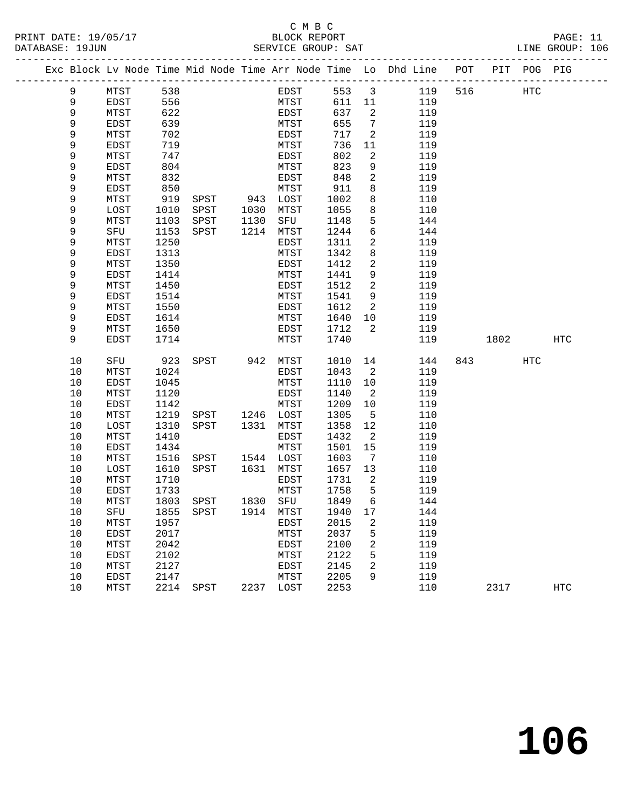#### C M B C<br>BLOCK REPORT PRINT DATE: 19/05/17 BLOCK REPORT PAGE: 11 SERVICE GROUP: SAT

|  |      |               |      |      |          |           |         |                            | Exc Block Lv Node Time Mid Node Time Arr Node Time Lo Dhd Line POT PIT POG PIG |     |      |     |     |
|--|------|---------------|------|------|----------|-----------|---------|----------------------------|--------------------------------------------------------------------------------|-----|------|-----|-----|
|  | 9    | MTST          | 538  |      |          | EDST      | 553     | $\overline{\mathbf{3}}$    | 119                                                                            | 516 | HTC  |     |     |
|  | 9    | EDST          | 556  |      |          | MTST      | 611 11  |                            | 119                                                                            |     |      |     |     |
|  | 9    | MTST          | 622  |      |          | EDST      | 637     | $\overline{\phantom{a}}^2$ | 119                                                                            |     |      |     |     |
|  | 9    | EDST          | 639  |      |          | MTST      | 655     | $\overline{7}$             | 119                                                                            |     |      |     |     |
|  | 9    | MTST          | 702  |      |          | EDST      | 717     | 2                          | 119                                                                            |     |      |     |     |
|  | 9    | EDST          | 719  |      |          | MTST      | 736     | 11                         | 119                                                                            |     |      |     |     |
|  | 9    | MTST          | 747  |      |          | EDST      | 802     | 2                          | 119                                                                            |     |      |     |     |
|  | 9    | EDST          | 804  |      |          | MTST      | 823     | 9                          | 119                                                                            |     |      |     |     |
|  | 9    | MTST          | 832  |      |          | EDST      | 848     | $\overline{2}$             | 119                                                                            |     |      |     |     |
|  | 9    | EDST          | 850  |      |          | MTST      | 911     | 8                          | 119                                                                            |     |      |     |     |
|  | 9    | MTST          | 919  | SPST | 943 LOST |           | 1002    | 8                          | 110                                                                            |     |      |     |     |
|  | 9    | LOST          | 1010 | SPST | 1030     | MTST      | 1055    | 8                          | 110                                                                            |     |      |     |     |
|  | 9    | MTST          | 1103 | SPST | 1130     | SFU       | 1148    | 5                          | 144                                                                            |     |      |     |     |
|  | 9    | SFU           | 1153 | SPST | 1214     | MTST      | 1244    | 6                          | 144                                                                            |     |      |     |     |
|  | 9    | MTST          | 1250 |      |          | EDST      | 1311    | 2                          | 119                                                                            |     |      |     |     |
|  | 9    | EDST          | 1313 |      |          | MTST      | 1342    | 8                          | 119                                                                            |     |      |     |     |
|  | 9    | MTST          | 1350 |      |          | EDST      | 1412    | 2                          | 119                                                                            |     |      |     |     |
|  | 9    | EDST          | 1414 |      |          | MTST      | 1441    | 9                          | 119                                                                            |     |      |     |     |
|  | 9    | MTST          | 1450 |      |          | EDST      | 1512    | 2                          | 119                                                                            |     |      |     |     |
|  | 9    | EDST          | 1514 |      |          | MTST      | 1541    | 9                          | 119                                                                            |     |      |     |     |
|  | 9    | MTST          | 1550 |      |          | EDST      | 1612    | 2                          | 119                                                                            |     |      |     |     |
|  | 9    | EDST          | 1614 |      |          | MTST      | 1640    | 10                         | 119                                                                            |     |      |     |     |
|  | 9    | MTST          | 1650 |      |          | EDST      | 1712    | 2                          | 119                                                                            |     |      |     |     |
|  | 9    | EDST          | 1714 |      |          | MTST      | 1740    |                            | 119                                                                            |     | 1802 |     | HTC |
|  | $10$ | SFU           | 923  | SPST | 942 MTST |           | 1010    | 14                         | 144                                                                            | 843 |      | HTC |     |
|  | 10   | MTST          | 1024 |      |          | EDST      | 1043    | $\overline{\phantom{0}}^2$ | 119                                                                            |     |      |     |     |
|  | 10   | <b>EDST</b>   | 1045 |      |          | MTST      | 1110    | 10                         | 119                                                                            |     |      |     |     |
|  | 10   | MTST          | 1120 |      |          | EDST      | 1140    | 2                          | 119                                                                            |     |      |     |     |
|  | 10   | EDST          | 1142 |      |          | MTST      | 1209    | 10                         | 119                                                                            |     |      |     |     |
|  | 10   | MTST          | 1219 | SPST |          | 1246 LOST | 1305    | $5\overline{5}$            | 110                                                                            |     |      |     |     |
|  | 10   | LOST          | 1310 | SPST | 1331     | MTST      | 1358    | 12                         | 110                                                                            |     |      |     |     |
|  | 10   | MTST          | 1410 |      |          | EDST      | 1432    | 2                          | 119                                                                            |     |      |     |     |
|  | 10   | EDST          | 1434 |      |          | MTST      | 1501    | 15                         | 119                                                                            |     |      |     |     |
|  | 10   | MTST          | 1516 | SPST |          | 1544 LOST | 1603    | $\overline{7}$             | 110                                                                            |     |      |     |     |
|  | 10   | LOST          | 1610 | SPST | 1631     | MTST      | 1657    | 13                         | 110                                                                            |     |      |     |     |
|  | 10   | MTST          | 1710 |      |          | EDST      | 1731    | 2                          | 119                                                                            |     |      |     |     |
|  | 10   | EDST          | 1733 |      |          | MTST      | 1758    | $5^{\circ}$                | 119                                                                            |     |      |     |     |
|  | 10   | MTST          | 1803 | SPST | 1830 SFU |           | 1849    | 6                          | 144                                                                            |     |      |     |     |
|  | 10   | SFU 1855 SPST |      |      |          | 1914 MTST | 1940 17 |                            | 144                                                                            |     |      |     |     |
|  | 10   | MTST          | 1957 |      |          | EDST      | 2015    | 2                          | 119                                                                            |     |      |     |     |
|  | 10   | EDST          | 2017 |      |          | MTST      | 2037    | 5                          | 119                                                                            |     |      |     |     |
|  | $10$ | MTST          | 2042 |      |          | EDST      | 2100    | 2                          | 119                                                                            |     |      |     |     |
|  | 10   | EDST          | 2102 |      |          | MTST      | 2122    | 5                          | 119                                                                            |     |      |     |     |
|  | 10   | MTST          | 2127 |      |          | EDST      | 2145    | 2                          | 119                                                                            |     |      |     |     |
|  | 10   | EDST          | 2147 |      |          | MTST      | 2205    | 9                          | 119                                                                            |     |      |     |     |
|  | 10   | MTST          | 2214 | SPST | 2237     | LOST      | 2253    |                            | 110                                                                            |     | 2317 |     | HTC |
|  |      |               |      |      |          |           |         |                            |                                                                                |     |      |     |     |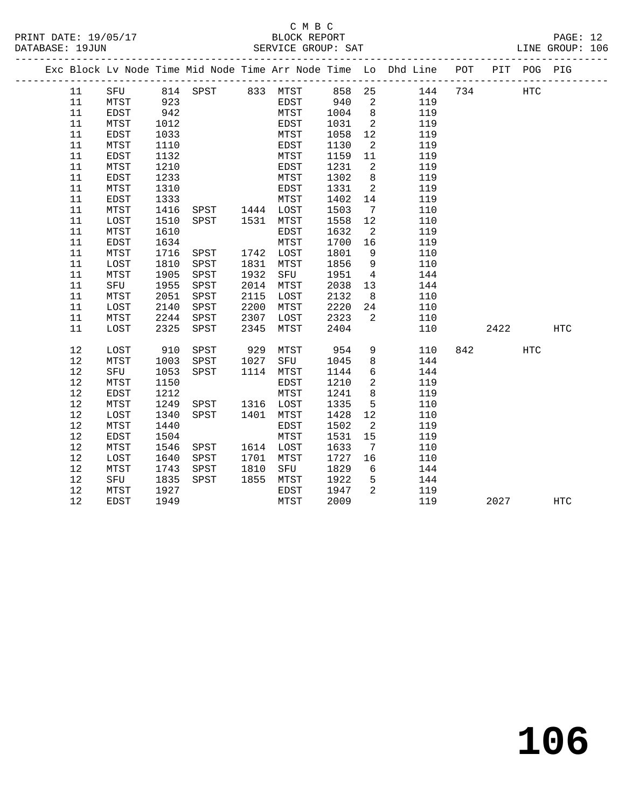|  |      |             |      |                     |      |           |      |                            | Exc Block Lv Node Time Mid Node Time Arr Node Time Lo Dhd Line POT PIT POG PIG |         |     |            |
|--|------|-------------|------|---------------------|------|-----------|------|----------------------------|--------------------------------------------------------------------------------|---------|-----|------------|
|  | 11   |             |      |                     |      |           |      |                            | SFU 814 SPST 833 MTST 858 25 144<br>MTST 923 EDST 940 2 119                    | 734 HTC |     |            |
|  | 11   | MTST        |      |                     |      |           |      |                            |                                                                                |         |     |            |
|  | 11   | EDST        | 942  |                     |      | MTST      | 1004 | 8 <sup>8</sup>             | 119                                                                            |         |     |            |
|  | 11   | MTST        | 1012 |                     |      | EDST      | 1031 | $\overline{2}$             | 119                                                                            |         |     |            |
|  | 11   | <b>EDST</b> | 1033 |                     |      | MTST      | 1058 | 12                         | 119                                                                            |         |     |            |
|  | 11   | MTST        | 1110 |                     |      | EDST      | 1130 | $\overline{\phantom{a}}^2$ | 119                                                                            |         |     |            |
|  | 11   | EDST        | 1132 |                     |      | MTST      | 1159 | 11                         | 119                                                                            |         |     |            |
|  | 11   | MTST        | 1210 |                     |      | EDST      | 1231 | $\overline{\phantom{a}}$   | 119                                                                            |         |     |            |
|  | 11   | EDST        | 1233 |                     |      | MTST      | 1302 | 8 <sup>8</sup>             | 119                                                                            |         |     |            |
|  | 11   | MTST        | 1310 |                     |      | EDST      | 1331 | $\overline{\phantom{a}}$   | 119                                                                            |         |     |            |
|  | 11   | EDST        | 1333 |                     |      | MTST      | 1402 | 14                         | 119                                                                            |         |     |            |
|  | 11   | MTST        |      | 1416 SPST 1444 LOST |      |           | 1503 | $\overline{7}$             | 110                                                                            |         |     |            |
|  | 11   | LOST        | 1510 | SPST 1531 MTST      |      |           | 1558 | 12                         | 110                                                                            |         |     |            |
|  | 11   | MTST        | 1610 |                     |      | EDST      | 1632 | $\overline{\phantom{0}}^2$ | 119                                                                            |         |     |            |
|  | 11   | <b>EDST</b> | 1634 |                     |      | MTST      | 1700 | 16                         | 119                                                                            |         |     |            |
|  | 11   | MTST        | 1716 | SPST                |      | 1742 LOST | 1801 | 9                          | 110                                                                            |         |     |            |
|  | 11   | LOST        | 1810 | SPST                |      | 1831 MTST | 1856 | 9                          | 110                                                                            |         |     |            |
|  | 11   | MTST        | 1905 | SPST                | 1932 | SFU       | 1951 | $\overline{4}$             | 144                                                                            |         |     |            |
|  | 11   | SFU         | 1955 | SPST                | 2014 | MTST      | 2038 | 13                         | 144                                                                            |         |     |            |
|  | 11   | MTST        | 2051 | SPST                | 2115 | LOST      | 2132 | 8                          | 110                                                                            |         |     |            |
|  | 11   | LOST        | 2140 | SPST                | 2200 | MTST      | 2220 | 24                         | 110                                                                            |         |     |            |
|  | 11   | MTST        | 2244 | SPST                | 2307 | LOST      | 2323 | $\overline{\phantom{a}}$   | 110                                                                            |         |     |            |
|  | 11   | LOST        | 2325 | SPST                | 2345 | MTST      | 2404 |                            | 110                                                                            | 2422    |     | <b>HTC</b> |
|  | 12   | LOST        | 910  | SPST                |      | 929 MTST  | 954  | 9                          | 110                                                                            | 842     | HTC |            |
|  | 12   | MTST        | 1003 | SPST                | 1027 | SFU       | 1045 | 8 <sup>8</sup>             | 144                                                                            |         |     |            |
|  | 12   | SFU         | 1053 | SPST                |      | 1114 MTST | 1144 | $6\overline{6}$            | 144                                                                            |         |     |            |
|  | $12$ | MTST        | 1150 |                     |      | EDST      | 1210 | $\overline{a}$             | 119                                                                            |         |     |            |
|  | $12$ | <b>EDST</b> | 1212 |                     |      | MTST      | 1241 | 8 <sup>8</sup>             | 119                                                                            |         |     |            |
|  | 12   | MTST        | 1249 | SPST 1316 LOST      |      |           | 1335 | $5^{\circ}$                | 110                                                                            |         |     |            |
|  | 12   | LOST        | 1340 | SPST                |      | 1401 MTST | 1428 | 12                         | 110                                                                            |         |     |            |
|  | 12   | MTST        | 1440 |                     |      | EDST      | 1502 | $\overline{a}$             | 119                                                                            |         |     |            |
|  | 12   | EDST        | 1504 |                     |      | MTST      | 1531 | 15                         | 119                                                                            |         |     |            |
|  | $12$ | MTST        | 1546 | SPST                |      | 1614 LOST | 1633 | $7\overline{ }$            | 110                                                                            |         |     |            |
|  | 12   | LOST        | 1640 | SPST                |      | 1701 MTST | 1727 | 16                         | 110                                                                            |         |     |            |
|  | 12   | MTST        | 1743 | SPST                | 1810 | SFU       | 1829 | 6                          | 144                                                                            |         |     |            |
|  | 12   | SFU         | 1835 | SPST                |      | 1855 MTST | 1922 | $5^{\circ}$                | 144                                                                            |         |     |            |
|  | 12   | MTST        | 1927 |                     |      | EDST      | 1947 | 2                          | 119                                                                            |         |     |            |
|  | 12   | <b>EDST</b> | 1949 |                     |      | MTST      | 2009 |                            | 119                                                                            | 2027    |     | <b>HTC</b> |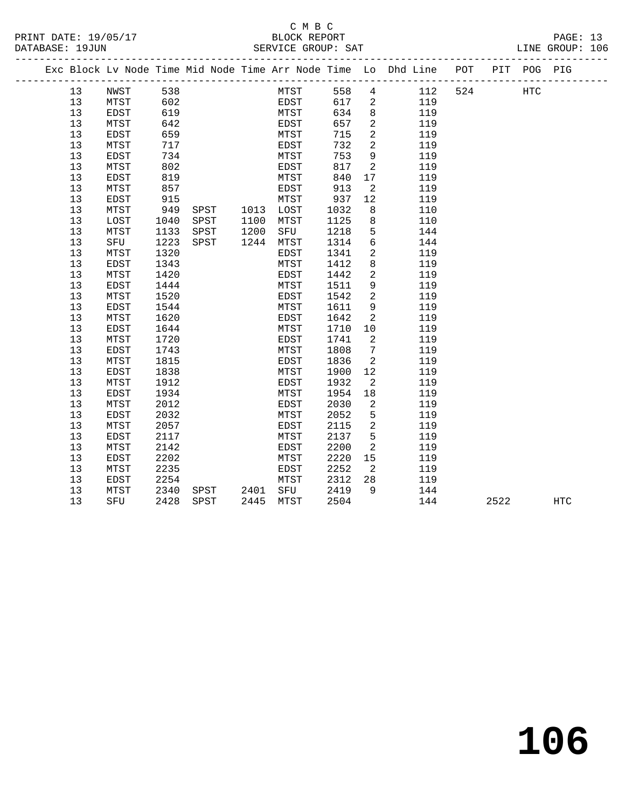#### C M B C<br>BLOCK REPORT SERVICE GROUP: SAT

|    | --------------------------------- |      |      |      |      |      |                 | Exc Block Lv Node Time Mid Node Time Arr Node Time Lo Dhd Line | POT | PIT POG PIG |     |  |
|----|-----------------------------------|------|------|------|------|------|-----------------|----------------------------------------------------------------|-----|-------------|-----|--|
| 13 | NWST                              | 538  |      |      | MTST | 558  | $4\overline{ }$ | 112                                                            | 524 |             | HTC |  |
| 13 | MTST                              | 602  |      |      | EDST | 617  | $\overline{2}$  | 119                                                            |     |             |     |  |
| 13 | EDST                              | 619  |      |      | MTST | 634  | 8               | 119                                                            |     |             |     |  |
| 13 | MTST                              | 642  |      |      | EDST | 657  | 2               | 119                                                            |     |             |     |  |
| 13 | EDST                              | 659  |      |      | MTST | 715  | $\overline{2}$  | 119                                                            |     |             |     |  |
| 13 | MTST                              | 717  |      |      | EDST | 732  | 2               | 119                                                            |     |             |     |  |
| 13 | EDST                              | 734  |      |      | MTST | 753  | 9               | 119                                                            |     |             |     |  |
| 13 | MTST                              | 802  |      |      | EDST | 817  | 2               | 119                                                            |     |             |     |  |
| 13 | EDST                              | 819  |      |      | MTST | 840  | 17              | 119                                                            |     |             |     |  |
| 13 | MTST                              | 857  |      |      | EDST | 913  | 2               | 119                                                            |     |             |     |  |
| 13 | EDST                              | 915  |      |      | MTST | 937  | 12              | 119                                                            |     |             |     |  |
| 13 | MTST                              | 949  | SPST | 1013 | LOST | 1032 | 8               | 110                                                            |     |             |     |  |
| 13 | LOST                              | 1040 | SPST | 1100 | MTST | 1125 | 8               | 110                                                            |     |             |     |  |
| 13 | MTST                              | 1133 | SPST | 1200 | SFU  | 1218 | 5               | 144                                                            |     |             |     |  |
| 13 | SFU                               | 1223 | SPST | 1244 | MTST | 1314 | 6               | 144                                                            |     |             |     |  |
| 13 | MTST                              | 1320 |      |      | EDST | 1341 | 2               | 119                                                            |     |             |     |  |
| 13 | EDST                              | 1343 |      |      | MTST | 1412 | 8               | 119                                                            |     |             |     |  |
| 13 | MTST                              | 1420 |      |      | EDST | 1442 | 2               | 119                                                            |     |             |     |  |
| 13 | EDST                              | 1444 |      |      | MTST | 1511 | 9               | 119                                                            |     |             |     |  |
| 13 | MTST                              | 1520 |      |      | EDST | 1542 | $\overline{2}$  | 119                                                            |     |             |     |  |
| 13 | EDST                              | 1544 |      |      | MTST | 1611 | 9               | 119                                                            |     |             |     |  |

| 13 | MTST | 1912 |      |      | EDST | 1932 | 2  | 119 |      |            |
|----|------|------|------|------|------|------|----|-----|------|------------|
| 13 | EDST | 1934 |      |      | MTST | 1954 | 18 | 119 |      |            |
| 13 | MTST | 2012 |      |      | EDST | 2030 | 2  | 119 |      |            |
| 13 | EDST | 2032 |      |      | MTST | 2052 | 5  | 119 |      |            |
| 13 | MTST | 2057 |      |      | EDST | 2115 | 2  | 119 |      |            |
| 13 | EDST | 2117 |      |      | MTST | 2137 | 5  | 119 |      |            |
| 13 | MTST | 2142 |      |      | EDST | 2200 | 2  | 119 |      |            |
| 13 | EDST | 2202 |      |      | MTST | 2220 | 15 | 119 |      |            |
| 13 | MTST | 2235 |      |      | EDST | 2252 | 2  | 119 |      |            |
| 13 | EDST | 2254 |      |      | MTST | 2312 | 28 | 119 |      |            |
| 13 | MTST | 2340 | SPST | 2401 | SFU  | 2419 | 9  | 144 |      |            |
| 13 | SFU  | 2428 | SPST | 2445 | MTST | 2504 |    | 144 | 2522 | <b>HTC</b> |
|    |      |      |      |      |      |      |    |     |      |            |

 13 MTST 1620 EDST 1642 2 119 13 EDST 1644 MTST 1710 10 119 13 MTST 1720 EDST 1741 2 119 13 EDST 1743 MTST 1808 7 119 13 MTST 1815 EDST 1836 2 119 13 EDST 1838 MTST 1900 12 119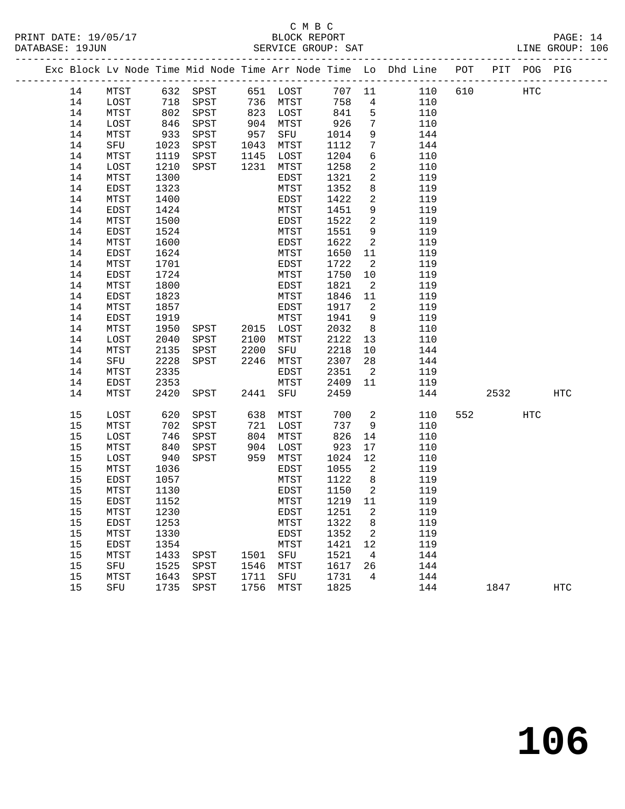#### C M B C<br>BLOCK REPORT PRINT DATE: 19/05/17 BLOCK REPORT PAGE: 14 SERVICE GROUP: SAT

|  |    |      |            |                   |              |            |         |                            | Exc Block Lv Node Time Mid Node Time Arr Node Time Lo Dhd Line POT PIT POG PIG |     |                          |     |            |
|--|----|------|------------|-------------------|--------------|------------|---------|----------------------------|--------------------------------------------------------------------------------|-----|--------------------------|-----|------------|
|  | 14 | MTST |            |                   |              |            |         |                            | 632 SPST 651 LOST 707 11 110                                                   | 610 | HTC                      |     |            |
|  | 14 | LOST |            | 718 SPST 736 MTST |              |            | 758     | $\overline{4}$             | 110                                                                            |     |                          |     |            |
|  | 14 | MTST | 802        | SPST              |              | 823 LOST   | 841     | $5^{\circ}$                | 110                                                                            |     |                          |     |            |
|  | 14 | LOST | 846        | SPST              |              | $904$ MTST | 926     | $7\phantom{.0}$            | 110                                                                            |     |                          |     |            |
|  | 14 | MTST | 933        | SPST              | 957          | SFU        | 1014    | 9                          | 144                                                                            |     |                          |     |            |
|  | 14 | SFU  | 1023       | SPST              |              | 1043 MTST  | 1112    | $7\phantom{.0}$            | 144                                                                            |     |                          |     |            |
|  | 14 | MTST | 1119       | SPST              |              | 1145 LOST  | 1204    | 6                          | 110                                                                            |     |                          |     |            |
|  | 14 | LOST | 1210       | SPST              | 1231         | MTST       | 1258    | $\overline{a}$             | 110                                                                            |     |                          |     |            |
|  | 14 | MTST | 1300       |                   |              | EDST       | 1321    | $\overline{a}$             | 119                                                                            |     |                          |     |            |
|  | 14 | EDST | 1323       |                   |              | MTST       | 1352    | 8                          | 119                                                                            |     |                          |     |            |
|  | 14 | MTST | 1400       |                   |              | EDST       | 1422    | 2                          | 119                                                                            |     |                          |     |            |
|  | 14 | EDST | 1424       |                   |              | MTST       | 1451    | 9                          | 119                                                                            |     |                          |     |            |
|  | 14 | MTST | 1500       |                   |              | EDST       | 1522    | 2                          | 119                                                                            |     |                          |     |            |
|  | 14 | EDST | 1524       |                   |              | MTST       | 1551    | 9                          | 119                                                                            |     |                          |     |            |
|  | 14 | MTST | 1600       |                   |              | EDST       | 1622    | $\overline{a}$             | 119                                                                            |     |                          |     |            |
|  | 14 | EDST | 1624       |                   |              | MTST       | 1650    | 11                         | 119                                                                            |     |                          |     |            |
|  | 14 | MTST | 1701       |                   |              | EDST       | 1722    | $\overline{\phantom{a}}^2$ | 119                                                                            |     |                          |     |            |
|  | 14 | EDST | 1724       |                   |              | MTST       | 1750    | 10                         | 119                                                                            |     |                          |     |            |
|  | 14 | MTST | 1800       |                   |              | EDST       | 1821    | $\overline{\phantom{a}}$   | 119                                                                            |     |                          |     |            |
|  | 14 | EDST | 1823       |                   |              | MTST       | 1846    | 11                         | 119                                                                            |     |                          |     |            |
|  | 14 | MTST | 1857       |                   |              | EDST       | 1917    | $\overline{2}$             | 119                                                                            |     |                          |     |            |
|  | 14 | EDST | 1919       |                   |              | MTST       | 1941    | 9                          | 119                                                                            |     |                          |     |            |
|  | 14 | MTST | 1950       | SPST 2015 LOST    |              |            | 2032    | 8 <sup>8</sup>             | 110                                                                            |     |                          |     |            |
|  | 14 | LOST | 2040       | SPST              | 2100         | MTST       | 2122    | 13                         | 110                                                                            |     |                          |     |            |
|  | 14 | MTST | 2135       | SPST              | 2200<br>2246 | SFU        | 2218    | 10                         | 144                                                                            |     |                          |     |            |
|  | 14 | SFU  | 2228       | SPST              |              | 2246 MTST  | 2307    | 28                         | 144                                                                            |     |                          |     |            |
|  | 14 | MTST | 2335       |                   |              | EDST       | 2351    | $\overline{\phantom{a}}$   | 119                                                                            |     |                          |     |            |
|  | 14 | EDST | 2353       |                   |              | MTST       | 2409 11 |                            | 119                                                                            |     |                          |     |            |
|  | 14 | MTST | 2420       | SPST              |              | 2441 SFU   | 2459    |                            | 144                                                                            |     | 2532                     |     | HTC        |
|  | 15 | LOST | 620        | SPST              |              | 638 MTST   | 700     | $\overline{a}$             | 110                                                                            |     | 552 and $\overline{552}$ | HTC |            |
|  | 15 | MTST | 702        | SPST              |              | 721 LOST   | 737     | 9                          | 110                                                                            |     |                          |     |            |
|  | 15 | LOST | 746        | SPST              |              | 804 MTST   | 826     | 14                         | 110                                                                            |     |                          |     |            |
|  | 15 | MTST |            | SPST              | 904          | LOST       | 923     | 17                         | 110                                                                            |     |                          |     |            |
|  | 15 | LOST | 840<br>940 | SPST              |              | 959 MTST   | 1024    | 12                         | 110                                                                            |     |                          |     |            |
|  | 15 | MTST | 1036       |                   |              | EDST       | 1055    | $\overline{\phantom{a}}$   | 119                                                                            |     |                          |     |            |
|  | 15 | EDST | 1057       |                   |              | MTST       | 1122    | 8 <sup>8</sup>             | 119                                                                            |     |                          |     |            |
|  | 15 | MTST | 1130       |                   |              | EDST       | 1150    | $\overline{\phantom{0}}^2$ | 119                                                                            |     |                          |     |            |
|  | 15 | EDST | 1152       |                   |              | MTST       | 1219 11 |                            | 119                                                                            |     |                          |     |            |
|  | 15 | MTST | 1230       |                   |              | EDST       | 1251 2  |                            | 119                                                                            |     |                          |     |            |
|  | 15 | EDST | 1253       |                   |              | MTST       | 1322    | 8                          | 119                                                                            |     |                          |     |            |
|  | 15 | MTST | 1330       |                   |              | EDST       | 1352    | 2                          | 119                                                                            |     |                          |     |            |
|  | 15 | EDST | 1354       |                   |              | MTST       | 1421    | 12                         | 119                                                                            |     |                          |     |            |
|  | 15 | MTST | 1433       | SPST              | 1501         | SFU        | 1521    | $\overline{4}$             | 144                                                                            |     |                          |     |            |
|  | 15 | SFU  | 1525       | SPST              | 1546         | MTST       | 1617    | 26                         | 144                                                                            |     |                          |     |            |
|  | 15 | MTST | 1643       | SPST              | 1711         | SFU        | 1731    | 4                          | 144                                                                            |     |                          |     |            |
|  | 15 | SFU  | 1735       | SPST              | 1756         | MTST       | 1825    |                            | 144                                                                            |     | 1847                     |     | <b>HTC</b> |
|  |    |      |            |                   |              |            |         |                            |                                                                                |     |                          |     |            |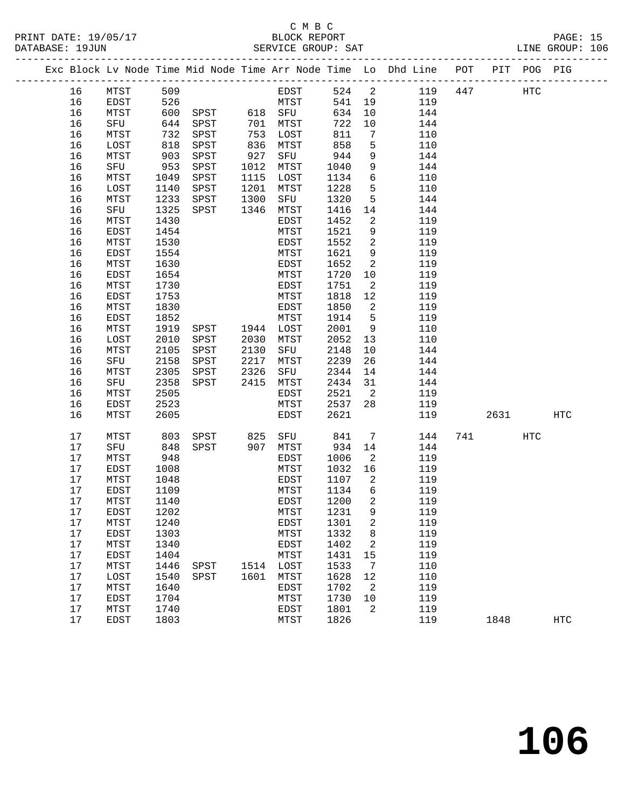| PRINT DATE: 19/05/17<br>DATABASE: 19JUN |    |             |      |      |      | C M B C<br>BLOCK REPORT<br>SERVICE GROUP: SAT |      |                |                                                                |     |      |         | PAGE: 15<br>LINE GROUP: 106 |  |
|-----------------------------------------|----|-------------|------|------|------|-----------------------------------------------|------|----------------|----------------------------------------------------------------|-----|------|---------|-----------------------------|--|
|                                         |    |             |      |      |      |                                               |      |                | Exc Block Lv Node Time Mid Node Time Arr Node Time Lo Dhd Line | POT | PIT  | POG PIG |                             |  |
|                                         | 16 | MTST        | 509  |      |      | EDST                                          | 524  | 2              | 119                                                            | 447 |      | HTC     |                             |  |
|                                         | 16 | <b>EDST</b> | 526  |      |      | MTST                                          | 541  | 19             | 119                                                            |     |      |         |                             |  |
|                                         | 16 | MTST        | 600  | SPST | 618  | SFU                                           | 634  | 10             | 144                                                            |     |      |         |                             |  |
|                                         | 16 | SFU         | 644  | SPST | 701  | MTST                                          | 722  | 10             | 144                                                            |     |      |         |                             |  |
|                                         | 16 | MTST        | 732  | SPST | 753  | LOST                                          | 811  | 7              | 110                                                            |     |      |         |                             |  |
|                                         | 16 | LOST        | 818  | SPST | 836  | MTST                                          | 858  | 5              | 110                                                            |     |      |         |                             |  |
|                                         | 16 | MTST        | 903  | SPST | 927  | SFU                                           | 944  | 9              | 144                                                            |     |      |         |                             |  |
|                                         | 16 | SFU         | 953  | SPST | 1012 | MTST                                          | 1040 | 9              | 144                                                            |     |      |         |                             |  |
|                                         | 16 | MTST        | 1049 | SPST | 1115 | LOST                                          | 1134 | 6              | 110                                                            |     |      |         |                             |  |
|                                         | 16 | LOST        | 1140 | SPST | 1201 | MTST                                          | 1228 | 5              | 110                                                            |     |      |         |                             |  |
|                                         | 16 | MTST        | 1233 | SPST | 1300 | SFU                                           | 1320 | 5              | 144                                                            |     |      |         |                             |  |
|                                         | 16 | SFU         | 1325 | SPST | 1346 | MTST                                          | 1416 | 14             | 144                                                            |     |      |         |                             |  |
|                                         | 16 | MTST        | 1430 |      |      | EDST                                          | 1452 | $\overline{a}$ | 119                                                            |     |      |         |                             |  |
|                                         | 16 | <b>EDST</b> | 1454 |      |      | MTST                                          | 1521 | 9              | 119                                                            |     |      |         |                             |  |
|                                         | 16 | MTST        | 1530 |      |      | EDST                                          | 1552 | $\mathbf{2}$   | 119                                                            |     |      |         |                             |  |
|                                         | 16 | EDST        | 1554 |      |      | MTST                                          | 1621 | 9              | 119                                                            |     |      |         |                             |  |
|                                         | 16 | MTST        | 1630 |      |      | EDST                                          | 1652 | $\overline{a}$ | 119                                                            |     |      |         |                             |  |
|                                         | 16 | <b>EDST</b> | 1654 |      |      | MTST                                          | 1720 | 10             | 119                                                            |     |      |         |                             |  |
|                                         | 16 | MTST        | 1730 |      |      | EDST                                          | 1751 | $\overline{a}$ | 119                                                            |     |      |         |                             |  |
|                                         | 16 | EDST        | 1753 |      |      | MTST                                          | 1818 | $12$           | 119                                                            |     |      |         |                             |  |
|                                         | 16 | MTST        | 1830 |      |      | EDST                                          | 1850 | 2              | 119                                                            |     |      |         |                             |  |
|                                         | 16 | EDST        | 1852 |      |      | MTST                                          | 1914 | 5              | 119                                                            |     |      |         |                             |  |
|                                         | 16 | MTST        | 1919 | SPST | 1944 | LOST                                          | 2001 | 9              | 110                                                            |     |      |         |                             |  |
|                                         | 16 | LOST        | 2010 | SPST | 2030 | MTST                                          | 2052 | 13             | 110                                                            |     |      |         |                             |  |
|                                         | 16 | MTST        | 2105 | SPST | 2130 | SFU                                           | 2148 | 10             | 144                                                            |     |      |         |                             |  |
|                                         | 16 | SFU         | 2158 | SPST | 2217 | MTST                                          | 2239 | 26             | 144                                                            |     |      |         |                             |  |
|                                         | 16 | MTST        | 2305 | SPST | 2326 | SFU                                           | 2344 | 14             | 144                                                            |     |      |         |                             |  |
|                                         | 16 | SFU         | 2358 | SPST | 2415 | MTST                                          | 2434 | 31             | 144                                                            |     |      |         |                             |  |
|                                         | 16 | MTST        | 2505 |      |      | EDST                                          | 2521 | 2              | 119                                                            |     |      |         |                             |  |
|                                         | 16 | EDST        | 2523 |      |      | MTST                                          | 2537 | 28             | 119                                                            |     |      |         |                             |  |
|                                         | 16 | MTST        | 2605 |      |      | EDST                                          | 2621 |                | 119                                                            |     | 2631 |         | <b>HTC</b>                  |  |
|                                         | 17 | MTST        | 803  | SPST | 825  | SFU                                           | 841  | 7              | 144                                                            | 741 |      | HTC     |                             |  |
|                                         | 17 | SFU         | 848  | SPST | 907  | MTST                                          | 934  | 14             | 144                                                            |     |      |         |                             |  |
|                                         | 17 | MTST        | 948  |      |      | EDST                                          | 1006 | 2              | 119                                                            |     |      |         |                             |  |
|                                         | 17 | EDST        | 1008 |      |      | MTST                                          | 1032 | 16             | 119                                                            |     |      |         |                             |  |
|                                         | 17 | MTST        | 1048 |      |      | EDST                                          | 1107 | 2              | 119                                                            |     |      |         |                             |  |
|                                         | 17 | EDST        | 1109 |      |      | MTST                                          | 1134 | 6              | 119                                                            |     |      |         |                             |  |
|                                         | 17 | MTST        | 1140 |      |      | <b>EDST</b>                                   | 1200 | $\overline{2}$ | 119                                                            |     |      |         |                             |  |

 17 EDST 1202 MTST 1231 9 119 17 MTST 1240 EDST 1301 2 119 17 EDST 1303 MTST 1332 8 119 17 MTST 1340 EDST 1402 2 119 17 EDST 1404 MTST 1431 15 119

 17 MTST 1640 EDST 1702 2 119 17 EDST 1704 MTST 1730 10 119 17 MTST 1740 EDST 1801 2 119

 17 MTST 1446 SPST 1514 LOST 1533 7 110 17 LOST 1540 SPST 1601 MTST 1628 12 110

17 EDST 1803 MTST 1826 119 1848 HTC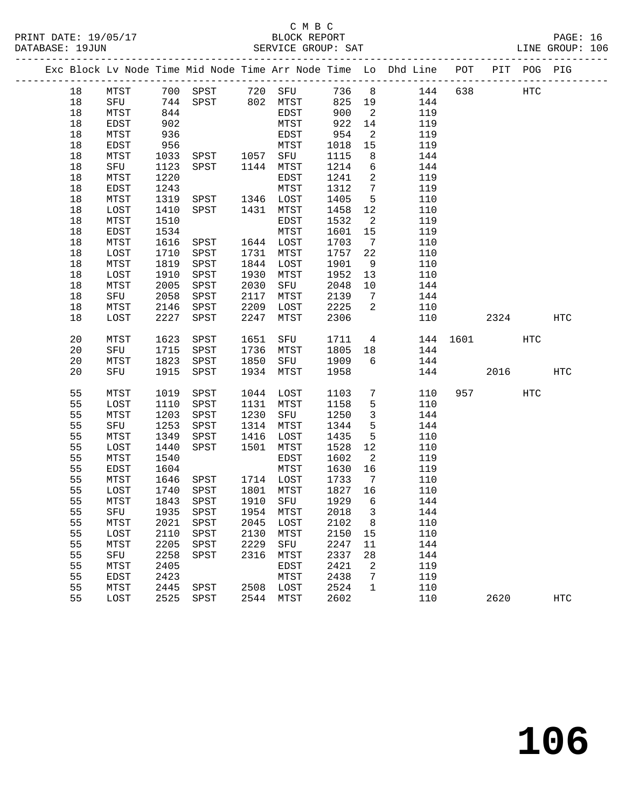#### C M B C<br>BLOCK REPORT PRINT DATE: 19/05/17 BLOCK REPORT PAGE: 16 SERVICE GROUP: SAT

|    |      |      |                                                              |      |           |         |                            | Exc Block Lv Node Time Mid Node Time Arr Node Time Lo Dhd Line POT PIT POG PIG |          |           |     |            |
|----|------|------|--------------------------------------------------------------|------|-----------|---------|----------------------------|--------------------------------------------------------------------------------|----------|-----------|-----|------------|
| 18 |      |      |                                                              |      |           |         |                            | MTST 700 SPST 720 SFU 736 8 144<br>SFU 744 SPST 802 MTST 825 19 144            |          | 638 HTC   |     |            |
| 18 |      |      |                                                              |      |           |         |                            |                                                                                |          |           |     |            |
| 18 | MTST | 844  |                                                              |      | EDST      | 900     | $\overline{\phantom{a}}^2$ | 119                                                                            |          |           |     |            |
| 18 | EDST | 902  |                                                              |      | MTST      | 922     | 14                         | 119                                                                            |          |           |     |            |
| 18 | MTST | 936  |                                                              |      | EDST      | 954     | $\overline{\phantom{0}}^2$ | 119                                                                            |          |           |     |            |
| 18 | EDST | 956  |                                                              |      | MTST      | 1018    | 15                         | 119                                                                            |          |           |     |            |
| 18 | MTST | 1033 | SPST 1057 SFU                                                |      |           | 1115    | 8 <sup>8</sup>             | 144                                                                            |          |           |     |            |
| 18 | SFU  | 1123 | SPST 1144 MTST                                               |      |           | 1214    | 6                          | 144                                                                            |          |           |     |            |
| 18 | MTST | 1220 |                                                              |      | EDST      | 1241    | $\overline{\phantom{a}}$   | 119                                                                            |          |           |     |            |
| 18 | EDST | 1243 |                                                              |      | MTST      | 1312    | $7\overline{ }$            | 119                                                                            |          |           |     |            |
| 18 | MTST | 1319 | SPST 1346 LOST                                               |      |           | 1405    | $5^{\circ}$                | 110                                                                            |          |           |     |            |
| 18 | LOST | 1410 | SPST 1431 MTST                                               |      |           | 1458    | 12                         | 110                                                                            |          |           |     |            |
| 18 | MTST | 1510 |                                                              |      | EDST      | 1532    | $\overline{\phantom{a}}$   | 119                                                                            |          |           |     |            |
| 18 | EDST | 1534 |                                                              |      | MTST      | 1601    | 15                         | 119                                                                            |          |           |     |            |
| 18 | MTST | 1616 | SPST 1644 LOST                                               |      |           | 1703    | $7\overline{ }$            | 110                                                                            |          |           |     |            |
| 18 | LOST | 1710 | SPST 1731 MTST                                               |      |           | 1757    | 22                         | 110                                                                            |          |           |     |            |
| 18 | MTST | 1819 | SPST                                                         |      | 1844 LOST | 1901    | 9                          | 110                                                                            |          |           |     |            |
| 18 | LOST | 1910 | SPST                                                         |      | 1930 MTST | 1952    | 13                         | 110                                                                            |          |           |     |            |
| 18 | MTST | 2005 | SPST                                                         | 2030 | SFU       | 2048    | 10                         | 144                                                                            |          |           |     |            |
| 18 | SFU  | 2058 | SPST                                                         | 2117 | MTST      | 2139    | $\overline{7}$             | 144                                                                            |          |           |     |            |
| 18 | MTST | 2146 | SPST                                                         | 2209 | LOST      | 2225    | $\overline{\phantom{a}}$   | 110                                                                            |          |           |     |            |
| 18 | LOST | 2227 | SPST                                                         | 2247 | MTST      | 2306    |                            | 110                                                                            |          | 2324      |     | HTC        |
|    |      |      |                                                              |      |           |         |                            |                                                                                |          |           |     |            |
| 20 | MTST | 1623 | SPST                                                         | 1651 | SFU       | 1711    |                            | $4\overline{ }$                                                                | 144 1601 |           | HTC |            |
| 20 | SFU  | 1715 | SPST                                                         |      | 1736 MTST | 1805    | 18                         | 144                                                                            |          |           |     |            |
| 20 | MTST | 1823 | SPST                                                         |      | 1850 SFU  | 1909    | 6                          | 144                                                                            |          |           |     |            |
| 20 | SFU  | 1915 | SPST                                                         |      | 1934 MTST | 1958    |                            | 144                                                                            |          | 2016      |     | HTC        |
| 55 | MTST | 1019 | SPST                                                         |      | 1044 LOST | 1103    | $7\overline{ }$            | 110                                                                            |          | 957 — 100 | HTC |            |
| 55 | LOST | 1110 | SPST                                                         |      | 1131 MTST | 1158    | $5^{\circ}$                | 110                                                                            |          |           |     |            |
| 55 | MTST | 1203 | SPST                                                         |      | 1230 SFU  | 1250    | $\overline{3}$             | 144                                                                            |          |           |     |            |
| 55 | SFU  | 1253 | SPST                                                         |      | 1314 MTST | 1344    | $5^{\circ}$                | 144                                                                            |          |           |     |            |
| 55 | MTST | 1349 | SPST                                                         |      | 1416 LOST | 1435    | 5                          | 110                                                                            |          |           |     |            |
| 55 | LOST | 1440 | SPST                                                         | 1501 | MTST      | 1528    | 12                         | 110                                                                            |          |           |     |            |
| 55 | MTST | 1540 |                                                              |      | EDST      | 1602    | $\overline{\phantom{a}}^2$ | 119                                                                            |          |           |     |            |
| 55 | EDST | 1604 |                                                              |      | MTST      | 1630    | 16                         | 119                                                                            |          |           |     |            |
| 55 | MTST | 1646 | SPST 1714 LOST                                               |      |           | 1733    | $\overline{7}$             | 110                                                                            |          |           |     |            |
| 55 | LOST | 1740 |                                                              |      |           | 1827 16 |                            | 110                                                                            |          |           |     |            |
| 55 | MTST |      | SPST       1801   MTST<br>SPST       1910   SFU<br>1843 SPST |      |           | 1929    | 6                          | 144                                                                            |          |           |     |            |
| 55 |      |      | SFU 1935 SPST 1954 MTST 2018 3                               |      |           |         |                            | 144                                                                            |          |           |     |            |
| 55 | MTST | 2021 | SPST                                                         | 2045 | LOST      | 2102    | 8                          | 110                                                                            |          |           |     |            |
| 55 | LOST | 2110 | SPST                                                         | 2130 | MTST      | 2150    | 15                         | 110                                                                            |          |           |     |            |
| 55 | MTST | 2205 | SPST                                                         | 2229 | SFU       | 2247    | 11                         | 144                                                                            |          |           |     |            |
| 55 | SFU  | 2258 | SPST                                                         | 2316 | MTST      | 2337    | 28                         | 144                                                                            |          |           |     |            |
| 55 | MTST | 2405 |                                                              |      | EDST      | 2421    | 2                          | 119                                                                            |          |           |     |            |
| 55 | EDST | 2423 |                                                              |      | MTST      | 2438    | 7                          | 119                                                                            |          |           |     |            |
| 55 | MTST | 2445 | SPST                                                         |      | 2508 LOST | 2524    | $\mathbf{1}$               | 110                                                                            |          |           |     |            |
| 55 | LOST | 2525 | SPST                                                         |      | 2544 MTST | 2602    |                            | 110                                                                            |          | 2620      |     | <b>HTC</b> |
|    |      |      |                                                              |      |           |         |                            |                                                                                |          |           |     |            |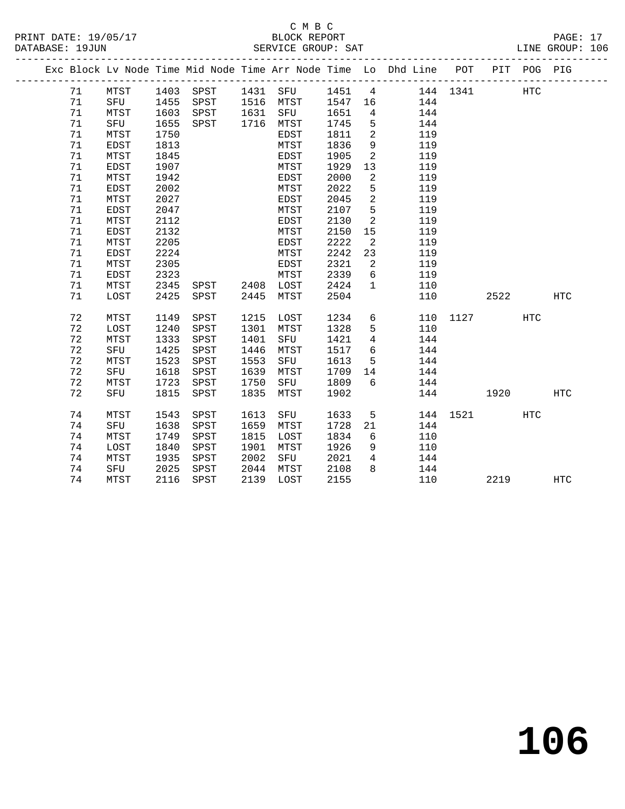|  |    |             |      |                    |      |           |      |                            | Exc Block Lv Node Time Mid Node Time Arr Node Time Lo Dhd Line POT PIT POG PIG |          |      |            |            |
|--|----|-------------|------|--------------------|------|-----------|------|----------------------------|--------------------------------------------------------------------------------|----------|------|------------|------------|
|  | 71 | <b>MTST</b> |      | 1403 SPST 1431 SFU |      |           |      |                            | 1451 4 144 1341                                                                |          |      | <b>HTC</b> |            |
|  | 71 | SFU 1455    |      | SPST 1516 MTST     |      |           |      |                            | 1547 16 144                                                                    |          |      |            |            |
|  | 71 | MTST        | 1603 | SPST               |      | 1631 SFU  | 1651 | $\overline{4}$             | 144                                                                            |          |      |            |            |
|  | 71 | SFU         | 1655 | SPST               |      | 1716 MTST | 1745 | 5                          | 144                                                                            |          |      |            |            |
|  | 71 | MTST        | 1750 |                    |      | EDST      | 1811 | $\overline{\phantom{0}}^2$ | 119                                                                            |          |      |            |            |
|  | 71 | EDST        | 1813 |                    |      | MTST      | 1836 | 9                          | 119                                                                            |          |      |            |            |
|  | 71 | MTST        | 1845 |                    |      | EDST      | 1905 | $\overline{2}$             | 119                                                                            |          |      |            |            |
|  | 71 | EDST        | 1907 |                    |      | MTST      | 1929 | 13                         | 119                                                                            |          |      |            |            |
|  | 71 | MTST        | 1942 |                    |      | EDST      | 2000 | $\overline{2}$             | 119                                                                            |          |      |            |            |
|  | 71 | EDST        | 2002 |                    |      | MTST      | 2022 | 5                          | 119                                                                            |          |      |            |            |
|  | 71 | MTST        | 2027 |                    |      | EDST      | 2045 | $\overline{a}$             | 119                                                                            |          |      |            |            |
|  | 71 | EDST        | 2047 |                    |      | MTST      | 2107 | 5                          | 119                                                                            |          |      |            |            |
|  | 71 | MTST        | 2112 |                    |      | EDST      | 2130 | 2                          | 119                                                                            |          |      |            |            |
|  | 71 | EDST        | 2132 |                    |      | MTST      | 2150 | 15                         | 119                                                                            |          |      |            |            |
|  | 71 | MTST        | 2205 |                    |      | EDST      | 2222 | $\overline{2}$             | 119                                                                            |          |      |            |            |
|  | 71 | EDST        | 2224 |                    |      | MTST      | 2242 | 23                         | 119                                                                            |          |      |            |            |
|  | 71 | MTST        | 2305 |                    |      | EDST      | 2321 | $\overline{\phantom{a}}^2$ | 119                                                                            |          |      |            |            |
|  | 71 | EDST        | 2323 |                    |      | MTST      | 2339 | 6                          | 119                                                                            |          |      |            |            |
|  | 71 | MTST        | 2345 | SPST 2408 LOST     |      |           | 2424 | $\mathbf{1}$               | 110                                                                            |          |      |            |            |
|  | 71 | LOST        | 2425 | SPST               | 2445 | MTST      | 2504 |                            | 110                                                                            |          | 2522 |            | HTC        |
|  | 72 | MTST        | 1149 | SPST               | 1215 | LOST      | 1234 | 6                          |                                                                                | 110 1127 |      | HTC        |            |
|  | 72 | LOST        | 1240 | SPST               | 1301 | MTST      | 1328 | 5                          | 110                                                                            |          |      |            |            |
|  | 72 | MTST        | 1333 | SPST               | 1401 | SFU       | 1421 | $\overline{4}$             | 144                                                                            |          |      |            |            |
|  | 72 | SFU         | 1425 | SPST               | 1446 | MTST      | 1517 | $6\overline{6}$            | 144                                                                            |          |      |            |            |
|  | 72 | MTST        | 1523 | SPST               | 1553 | SFU       | 1613 | 5                          | 144                                                                            |          |      |            |            |
|  | 72 | SFU         | 1618 | SPST               | 1639 | MTST      | 1709 | 14                         | 144                                                                            |          |      |            |            |
|  | 72 | MTST        | 1723 | SPST               | 1750 | SFU       | 1809 | 6                          | 144                                                                            |          |      |            |            |
|  | 72 | SFU         | 1815 | SPST               | 1835 | MTST      | 1902 |                            |                                                                                | 144      | 1920 |            | HTC        |
|  | 74 | MTST        | 1543 | SPST               | 1613 | SFU       | 1633 | 5                          |                                                                                | 144 1521 |      | HTC        |            |
|  | 74 | SFU         | 1638 | SPST               | 1659 | MTST      | 1728 | 21                         | 144                                                                            |          |      |            |            |
|  | 74 | MTST        | 1749 | SPST               | 1815 | LOST      | 1834 | 6                          | 110                                                                            |          |      |            |            |
|  | 74 | LOST        | 1840 | SPST               | 1901 | MTST      | 1926 | 9                          | 110                                                                            |          |      |            |            |
|  | 74 | MTST        | 1935 | SPST               | 2002 | SFU       | 2021 | $\overline{4}$             | 144                                                                            |          |      |            |            |
|  | 74 | SFU         | 2025 | SPST               | 2044 | MTST      | 2108 | 8                          | 144                                                                            |          |      |            |            |
|  | 74 | MTST        | 2116 | SPST               |      | 2139 LOST | 2155 |                            | 110                                                                            |          | 2219 |            | <b>HTC</b> |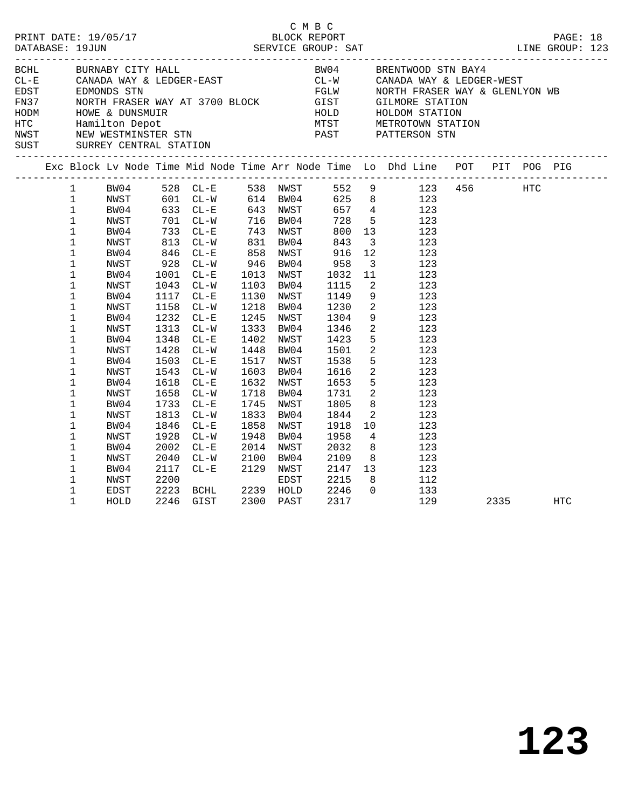|  |                                                                                                                                                              |                                                                                                                      |                                                                              |                                                                                                                                                                           |                                  |                                                                                                                                                          | C M B C |                                                                                                                   |                                                                                                                     | PRINT DATE: 19/05/17<br>BLOCK REPORT BLOCK PRESS BAT DATABASE: 19JUN SERVICE GROUP: SAT LINE GROUP: 123                                                                                                                                                                                                                                                                                                                                                                                   |      | LINE GROUP: 123 |  |
|--|--------------------------------------------------------------------------------------------------------------------------------------------------------------|----------------------------------------------------------------------------------------------------------------------|------------------------------------------------------------------------------|---------------------------------------------------------------------------------------------------------------------------------------------------------------------------|----------------------------------|----------------------------------------------------------------------------------------------------------------------------------------------------------|---------|-------------------------------------------------------------------------------------------------------------------|---------------------------------------------------------------------------------------------------------------------|-------------------------------------------------------------------------------------------------------------------------------------------------------------------------------------------------------------------------------------------------------------------------------------------------------------------------------------------------------------------------------------------------------------------------------------------------------------------------------------------|------|-----------------|--|
|  |                                                                                                                                                              | BCHL BURNABY CITY HALL                                                                                               |                                                                              |                                                                                                                                                                           |                                  |                                                                                                                                                          |         |                                                                                                                   |                                                                                                                     | BW04 BRENTWOOD STN BAY4<br>ECHE BURNABY CITY HALL BOOT BOOT BE CAN BE SENTWOOD STARDA WAY & LEDGER-WEST<br>EDGER EDGER-EAST CL-W CANADA WAY & LEDGER-WEST<br>FN37 NORTH FRASER WAY AT 3700 BLOCK GIST GILMORE STATION<br>HODM HOWE & DUNSMUIR<br>HODM HOWE & DUNS                                                                                                                                                                                                                         |      |                 |  |
|  |                                                                                                                                                              |                                                                                                                      |                                                                              |                                                                                                                                                                           |                                  |                                                                                                                                                          |         |                                                                                                                   |                                                                                                                     | Exc Block Lv Node Time Mid Node Time Arr Node Time Lo Dhd Line POT PIT POG PIG                                                                                                                                                                                                                                                                                                                                                                                                            |      |                 |  |
|  | $\mathbf 1$<br>$\mathbf 1$<br>$\mathbf{1}$<br>1<br>$\mathbf 1$<br>1<br>$\mathbf 1$<br>$\mathbf 1$<br>1<br>1<br>$\mathbf 1$<br>1<br>$1\,$<br>$\mathbf 1$<br>1 | NWST<br>BW04<br>NWST<br>BW04<br>NWST<br>BW04<br>NWST<br>BW04<br>NWST<br>BW04<br>NWST<br>BW04<br>NWST<br>BW04<br>NWST | 1001<br>1043<br>1158<br>1313<br>1348<br>1543<br>1658                         | 813 CL-W<br>846 CL-E<br>928 CL-W<br>$CL-E$<br>$CL-W$<br>1117 CL-E<br>$CL-W$<br>1232 CL-E<br>$CL-W$<br>$CL - E$<br>1428 CL-W<br>1503 CL-E<br>$CL-W$<br>1618 CL-E<br>$CL-W$ | 831 BW04<br>858 NWST<br>946 BW04 | 1013 NWST<br>1103 BW04<br>1130 NWST<br>1218 BW04<br>1245 NWST<br>1333 BW04<br>1402 NWST<br>1448 BW04<br>1517 NWST<br>1603 BW04<br>1632 NWST<br>1718 BW04 |         | 843<br>916<br>958<br>1032<br>1115<br>1149<br>1230<br>1304<br>1346<br>1423<br>1501<br>1538<br>1616<br>1653<br>1731 | $\overline{\mathbf{3}}$<br>11<br>$\overline{\mathbf{2}}$<br>9<br>$\overline{\mathbf{2}}$<br>$\overline{\mathbf{2}}$ | 1 BW04 528 CL-E 538 NWST 552 9 123 456 HTC<br>1 NWST 601 CL-W 614 BW04 625 8 123<br>1 BW04 633 CL-E 643 NWST 657 4 123<br>1 NWST 701 CL-W 716 BW04 728 5 123<br>1 BW04 733 CL-E 743 NWST 800 13 123<br>123<br>12<br>123<br>$3 \t 123$<br>123<br>123<br>9 123<br>$\frac{2}{2}$ 123<br>123<br>123<br>$\begin{array}{ccc} 5 & \hspace{1.5cm} 123 \\ 2 & \hspace{1.5cm} 123 \end{array}$<br>5 123<br>$\begin{array}{ccc} 2 & \hspace{1.5cm} 123 \\ 5 & \hspace{1.5cm} 123 \end{array}$<br>123 |      |                 |  |
|  | 1<br>1<br>1<br>1<br>$\mathbf 1$<br>1<br>1<br>1<br>$\mathbf 1$<br>1                                                                                           | BW04<br>NWST<br>BW04<br>NWST<br>BW04<br>NWST<br>BW04<br>NWST<br>EDST<br>HOLD                                         | 1733<br>1813<br>1846<br>1928<br>2002<br>2040<br>2117<br>2200<br>2223<br>2246 | $CL - E$<br>$CL-W$<br>$CL-E$<br>$CL - W$<br>$CL - E$<br>$CL-W$<br>$CL-E$ 2129<br>$CL - E$<br>BCHL 2239 HOLD<br>GIST                                                       | 1948<br>2100 BW04                | 1745 NWST<br>1833 BW04<br>1858 NWST<br>BW04<br>2014 NWST<br>2129 NWST<br>EDST<br>2300 PAST                                                               |         | 1805<br>1844<br>1918<br>1958<br>2032<br>2109<br>2147<br>2215<br>2246<br>2317                                      | 10<br>$\Omega$                                                                                                      | $\begin{array}{cc} 8 & 123 \\ 2 & 123 \end{array}$<br>123<br>$\begin{array}{cc} 4 & 123 \\ 8 & 123 \end{array}$<br>8 123<br>$\begin{array}{cc} 13 & \hspace{1.5cm} 123 \\ 8 & \hspace{1.5cm} 112 \end{array}$<br>133<br>129                                                                                                                                                                                                                                                               | 2335 | HTC             |  |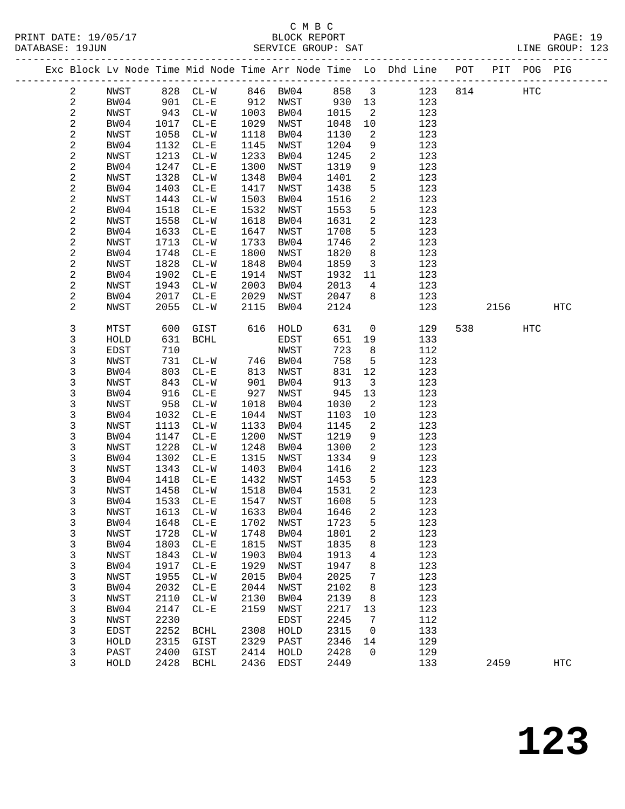# C M B C<br>BLOCK REPORT

PAGE: 19<br>LINE GROUP: 123

|            |              |              | -------------------- |              |              |              |                            | ----------------------                                             |     |      |             |            |  |
|------------|--------------|--------------|----------------------|--------------|--------------|--------------|----------------------------|--------------------------------------------------------------------|-----|------|-------------|------------|--|
|            |              |              |                      |              |              |              |                            | Exc Block Lv Node Time Mid Node Time Arr Node Time Lo Dhd Line POT |     |      | PIT POG PIG |            |  |
| 2          | NWST         |              | 828 CL-W             |              | 846 BW04     | 858          | $\overline{\mathbf{3}}$    | 123                                                                | 814 |      | HTC         |            |  |
| $\sqrt{2}$ | BW04         |              | 901 CL-E             |              | 912 NWST     | 930          | 13                         | 123                                                                |     |      |             |            |  |
| 2          | NWST         | 943          | $CL-W$               | 1003         | BW04         | 1015         | $\overline{\phantom{a}}^2$ | 123                                                                |     |      |             |            |  |
| $\sqrt{2}$ | BW04         | 1017         | $CL - E$             | 1029         | NWST         | 1048         | 10                         | 123                                                                |     |      |             |            |  |
| 2          | NWST         | 1058         | $CL - W$             | 1118         | BW04         | 1130         | 2                          | 123                                                                |     |      |             |            |  |
| 2          | BW04         | 1132         | $CL-E$               | 1145         | NWST         | 1204         | 9                          | 123                                                                |     |      |             |            |  |
| 2          | NWST         | 1213         | $CL - W$             | 1233         | BW04         | 1245         | $\mathbf{2}$               | 123                                                                |     |      |             |            |  |
| 2          | BW04         | 1247         | $CL - E$             | 1300         | NWST         | 1319         | $\mathsf 9$                | 123                                                                |     |      |             |            |  |
| 2          | NWST         | 1328         | $CL-W$               | 1348         | BW04         | 1401         | $\mathbf{2}$               | 123                                                                |     |      |             |            |  |
| 2          | BW04         | 1403         | $CL-E$               | 1417         | NWST         | 1438         | 5                          | 123                                                                |     |      |             |            |  |
| 2          | NWST         | 1443         | $CL - W$             | 1503         | BW04         | 1516         | $\sqrt{2}$                 | 123                                                                |     |      |             |            |  |
| 2          | BW04         | 1518         | $CL - E$             | 1532         | NWST         | 1553         | 5                          | 123                                                                |     |      |             |            |  |
| 2          | NWST         | 1558         | $CL - W$             | 1618         | BW04         | 1631         | 2                          | 123                                                                |     |      |             |            |  |
| 2          | BW04         | 1633         | $CL - E$             | 1647         | NWST         | 1708         | 5                          | 123                                                                |     |      |             |            |  |
| 2          | NWST         | 1713         | $CL - W$             | 1733         | BW04         | 1746         | $\overline{a}$             | 123                                                                |     |      |             |            |  |
| 2          | BW04         | 1748         | $CL-E$               | 1800         | NWST         | 1820         | 8                          | 123                                                                |     |      |             |            |  |
| 2          | NWST         | 1828         | $CL - W$             | 1848         | BW04         | 1859         | $\overline{3}$             | 123                                                                |     |      |             |            |  |
| 2          | BW04         | 1902         | $CL-E$               | 1914         | NWST         | 1932         | 11                         | 123                                                                |     |      |             |            |  |
| 2          | NWST         | 1943         | $CL - W$             | 2003         | BW04         | 2013         | $\overline{4}$             | 123                                                                |     |      |             |            |  |
| 2          | BW04         | 2017         | $CL - E$             | 2029         | NWST         | 2047         | 8                          | 123                                                                |     |      |             |            |  |
| 2          | NWST         | 2055         | $CL - W$             | 2115         | BW04         | 2124         |                            | 123                                                                |     | 2156 |             | <b>HTC</b> |  |
| 3          | MTST         | 600          | GIST                 | 616          | HOLD         | 631          | $\overline{0}$             | 129                                                                | 538 |      | <b>HTC</b>  |            |  |
| 3          | HOLD         | 631          | BCHL                 |              | EDST         | 651          | 19                         | 133                                                                |     |      |             |            |  |
| 3          | <b>EDST</b>  | 710          |                      |              | NWST         | 723          | 8                          | 112                                                                |     |      |             |            |  |
| 3          | NWST         | 731          | $CL - W$             |              | 746 BW04     | 758          | 5                          | 123                                                                |     |      |             |            |  |
| 3          | BW04         | 803          | $CL - E$             | 813          | NWST         | 831          | 12                         | 123                                                                |     |      |             |            |  |
| 3          | NWST         | 843          | $CL-W$               | 901          | BW04         | 913          | $\overline{3}$             | 123                                                                |     |      |             |            |  |
| 3          | BW04         | 916          | $CL - E$             | 927          | NWST         | 945          | 13                         | 123                                                                |     |      |             |            |  |
| 3          | NWST         | 958          | $CL - W$             | 1018         | BW04         | 1030         | 2                          | 123                                                                |     |      |             |            |  |
| 3          | BW04         | 1032         | $CL - E$             | 1044         | NWST         | 1103         | 10                         | 123                                                                |     |      |             |            |  |
| 3          | NWST         | 1113         | $CL - W$             | 1133         | BW04         | 1145         | 2                          | 123                                                                |     |      |             |            |  |
| 3          | BW04         | 1147         | $CL - E$             | 1200         | NWST         | 1219         | 9                          | 123                                                                |     |      |             |            |  |
| 3          | NWST         | 1228         | $CL-W$               | 1248         | BW04         | 1300         | $\mathbf{2}$               | 123                                                                |     |      |             |            |  |
| 3          | BW04         | 1302         | $CL-E$               | 1315         | NWST         | 1334         | 9                          | 123                                                                |     |      |             |            |  |
| 3          | NWST         | 1343         | $CL-W$               | 1403         | BW04         | 1416         | $\overline{a}$             | 123                                                                |     |      |             |            |  |
| 3          | BW04         | 1418         | $CL-E$               | 1432         | NWST         | 1453         | 5<br>2                     | 123                                                                |     |      |             |            |  |
| 3<br>3     | NWST         | 1458<br>1533 | $CL - W$             | 1518<br>1547 | BW04<br>NWST | 1531         | 5                          | 123<br>123                                                         |     |      |             |            |  |
|            | BW04         |              | $CL - E$             | 1633         |              | 1608<br>1646 |                            |                                                                    |     |      |             |            |  |
| 3<br>3     | NWST         | 1613         | $CL-W$               |              | BW04         |              | 2<br>5                     | 123<br>123                                                         |     |      |             |            |  |
| 3          | BW04<br>NWST | 1648<br>1728 | $CL - E$<br>$CL-W$   | 1702<br>1748 | NWST<br>BW04 | 1723<br>1801 | $\sqrt{2}$                 | 123                                                                |     |      |             |            |  |
| 3          | BW04         | 1803         | $CL - E$             | 1815         | NWST         | 1835         |                            | 123                                                                |     |      |             |            |  |
| 3          | NWST         | 1843         | $CL-W$               | 1903         | BW04         | 1913         | 8                          | 123                                                                |     |      |             |            |  |
| 3          | BW04         | 1917         | $CL - E$             | 1929         | NWST         | 1947         | 4<br>8                     | 123                                                                |     |      |             |            |  |
| 3          | NWST         | 1955         | $CL-W$               | 2015         | BW04         | 2025         | 7                          | 123                                                                |     |      |             |            |  |
| 3          | BW04         | 2032         | $CL - E$             | 2044         | NWST         | 2102         | 8                          | 123                                                                |     |      |             |            |  |
| 3          | NWST         | 2110         | $CL-W$               | 2130         | BW04         | 2139         | 8                          | 123                                                                |     |      |             |            |  |
| 3          | BW04         | 2147         | $CL - E$             | 2159         | NWST         | 2217         | 13                         | 123                                                                |     |      |             |            |  |
| 3          | NWST         | 2230         |                      |              | EDST         | 2245         | 7                          | 112                                                                |     |      |             |            |  |
| 3          | EDST         | 2252         | <b>BCHL</b>          | 2308         | HOLD         | 2315         | 0                          | 133                                                                |     |      |             |            |  |
| 3          | HOLD         | 2315         | GIST                 | 2329         | PAST         | 2346         | 14                         | 129                                                                |     |      |             |            |  |
| 3          | PAST         | 2400         | GIST                 | 2414         | HOLD         | 2428         | 0                          | 129                                                                |     |      |             |            |  |
| 3          | HOLD         | 2428         | <b>BCHL</b>          | 2436         | EDST         | 2449         |                            | 133                                                                |     | 2459 |             | <b>HTC</b> |  |
|            |              |              |                      |              |              |              |                            |                                                                    |     |      |             |            |  |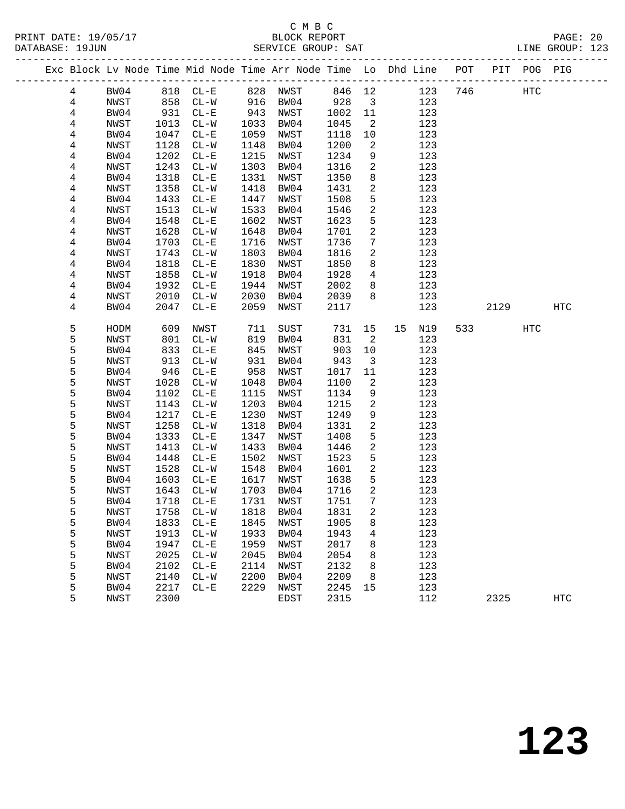# C M B C <br>C M B C <br>BLOCK REPOR

|  | DATABASE: 19JUN |              |              |                    |              | SERVICE GROUP: SAT                                                             |              |                         |            |             |                          |     | LINE GROUP: 123 |  |
|--|-----------------|--------------|--------------|--------------------|--------------|--------------------------------------------------------------------------------|--------------|-------------------------|------------|-------------|--------------------------|-----|-----------------|--|
|  |                 |              |              |                    |              | Exc Block Lv Node Time Mid Node Time Arr Node Time Lo Dhd Line POT PIT POG PIG |              |                         |            |             |                          |     |                 |  |
|  | $\overline{4}$  | BW04         |              |                    |              | 818 CL-E 828 NWST 846 12                                                       |              |                         |            | 123 746 HTC |                          |     |                 |  |
|  | 4               | NWST         | 858          | $CL-W$ 916 BW04    |              |                                                                                | 928          | $\overline{\mathbf{3}}$ | 123        |             |                          |     |                 |  |
|  | $\overline{4}$  | BW04         | 931          | $CL - E$           |              | 943 NWST                                                                       | 1002         | 11                      | 123        |             |                          |     |                 |  |
|  | 4               | NWST         | 1013         | $CL-W$             | 1033         | BW04                                                                           | 1045         | $\overline{2}$          | 123        |             |                          |     |                 |  |
|  | 4               | BW04         | 1047         | $CL - E$           | 1059         | NWST                                                                           | 1118         | 10                      | 123        |             |                          |     |                 |  |
|  | 4               | NWST         | 1128         | $CL-W$             | 1148         | BW04                                                                           | 1200         | $\overline{2}$          | 123        |             |                          |     |                 |  |
|  | 4               | BW04         | 1202         | $CL - E$           | 1215         | NWST                                                                           | 1234         | 9                       | 123        |             |                          |     |                 |  |
|  | 4               | NWST         | 1243         | $CL-W$             | 1303         | BW04                                                                           | 1316         | $\overline{a}$          | 123        |             |                          |     |                 |  |
|  | 4               | BW04         | 1318         | $CL-E$             | 1331         | NWST                                                                           | 1350         | 8                       | 123        |             |                          |     |                 |  |
|  | 4               | NWST         | 1358         | $CL-W$             | 1418         | BW04                                                                           | 1431         | 2                       | 123        |             |                          |     |                 |  |
|  | 4               | BW04         | 1433         | $CL - E$           | 1447         | NWST                                                                           | 1508         | 5                       | 123        |             |                          |     |                 |  |
|  | 4               | NWST         | 1513         | $CL-W$             | 1533         | BW04                                                                           | 1546         | $\overline{a}$          | 123        |             |                          |     |                 |  |
|  | 4               | BW04         | 1548         | $CL - E$           | 1602         | NWST                                                                           | 1623         | 5                       | 123        |             |                          |     |                 |  |
|  | 4               | NWST         | 1628         | $CL-W$             | 1648         | BW04                                                                           | 1701         | $\overline{a}$          | 123        |             |                          |     |                 |  |
|  | 4               | BW04         | 1703         | $CL - E$           | 1716         | NWST                                                                           | 1736         | $7\phantom{.0}$         | 123        |             |                          |     |                 |  |
|  | 4               | NWST         | 1743         | $CL-W$             | 1803         | BW04                                                                           | 1816         | 2                       | 123        |             |                          |     |                 |  |
|  | 4               | BW04         | 1818         | $CL - E$           | 1830         | NWST                                                                           | 1850         | 8                       | 123        |             |                          |     |                 |  |
|  | 4               | NWST         | 1858         | $CL-W$             | 1918         | BW04                                                                           | 1928         | $4\overline{ }$         | 123        |             |                          |     |                 |  |
|  | 4               | BW04         | 1932         | $CL - E$           | 1944         | NWST                                                                           | 2002         | 8                       | 123        |             |                          |     |                 |  |
|  | 4               | NWST         | 2010         | $CL-W$             | 2030         | BW04                                                                           | 2039         | 8                       | 123        |             |                          |     |                 |  |
|  | 4               | BW04         | 2047         | $CL - E$           | 2059         | NWST                                                                           | 2117         |                         | 123        |             | 2129                     |     | HTC             |  |
|  | 5               | HODM         | 609          | NWST               | 711          | SUST                                                                           | 731          | 15                      | 15<br>N19  |             | 533 and $\overline{533}$ | HTC |                 |  |
|  | 5               | NWST         | 801          | $CL-W$             | 819          | BW04                                                                           | 831          | 2                       | 123        |             |                          |     |                 |  |
|  | 5               | BW04         | 833          | $CL - E$           | 845          | NWST                                                                           | 903          | 10                      | 123        |             |                          |     |                 |  |
|  | 5               | NWST         | 913          | $CL-W$             | 931          | BW04                                                                           | 943          | $\overline{\mathbf{3}}$ | 123        |             |                          |     |                 |  |
|  | 5               | BW04         | 946          | $CL - E$           | 958          | NWST                                                                           | 1017         | 11                      | 123        |             |                          |     |                 |  |
|  | 5               | NWST         | 1028         | $CL-W$             | 1048         | BW04                                                                           | 1100         | 2                       | 123        |             |                          |     |                 |  |
|  | 5               | BW04         | 1102         | $CL - E$           | 1115         | NWST                                                                           | 1134         | 9                       | 123        |             |                          |     |                 |  |
|  | 5               | NWST         | 1143         | $CL-W$             | 1203         | BW04                                                                           | 1215         | $\mathbf{2}$            | 123        |             |                          |     |                 |  |
|  | 5               | BW04         | 1217         | $CL - E$           | 1230         | NWST                                                                           | 1249         | 9                       | 123        |             |                          |     |                 |  |
|  | 5<br>5          | NWST         | 1258         | $CL-W$             | 1318         | BW04                                                                           | 1331         | 2<br>5                  | 123        |             |                          |     |                 |  |
|  | 5               | BW04         | 1333<br>1413 | $CL - E$           | 1347<br>1433 | NWST                                                                           | 1408<br>1446 | 2                       | 123        |             |                          |     |                 |  |
|  | 5               | NWST<br>BW04 | 1448         | $CL-W$<br>$CL - E$ | 1502         | BW04<br>NWST                                                                   | 1523         | 5                       | 123<br>123 |             |                          |     |                 |  |
|  | 5               | NWST         | 1528         | $CL-W$             | 1548         | BW04                                                                           | 1601         | 2                       | 123        |             |                          |     |                 |  |
|  | 5               | BW04         | 1603         | $CL - E$           | 1617         | NWST                                                                           | 1638         | 5                       | 123        |             |                          |     |                 |  |
|  | 5               | NWST         | 1643         | $CL - W$           |              | 1703 BW04                                                                      | 1716         | 2                       | 123        |             |                          |     |                 |  |
|  | 5               | BW04         |              |                    |              | 1718 CL-E 1731 NWST 1751 7                                                     |              |                         | 123        |             |                          |     |                 |  |
|  | 5               | NWST         | 1758         | $CL-W$             | 1818         | BW04                                                                           | 1831         | 2                       | 123        |             |                          |     |                 |  |
|  | 5               | BW04         | 1833         | $CL - E$           | 1845         | NWST                                                                           | 1905         | 8                       | 123        |             |                          |     |                 |  |
|  | 5               | NWST         | 1913         | $CL - W$           | 1933         | BW04                                                                           | 1943         | 4                       | 123        |             |                          |     |                 |  |
|  | 5               | BW04         | 1947         | $CL-E$             | 1959         | NWST                                                                           | 2017         | 8                       | 123        |             |                          |     |                 |  |
|  | 5               | NWST         | 2025         | $CL - W$           | 2045         | BW04                                                                           | 2054         | 8                       | 123        |             |                          |     |                 |  |
|  | 5               | BW04         | 2102         | $CL - E$           | 2114         | NWST                                                                           | 2132         | 8                       | 123        |             |                          |     |                 |  |
|  | 5               | NWST         | 2140         | $CL-W$             | 2200         | BW04                                                                           | 2209         | 8                       | 123        |             |                          |     |                 |  |
|  | 5               | BW04         | 2217         | $CL - E$           | 2229         | NWST                                                                           | 2245         | 15                      | 123        |             |                          |     |                 |  |
|  | 5               | NWST         | 2300         |                    |              | EDST                                                                           | 2315         |                         | 112        |             | 2325                     |     | HTC             |  |
|  |                 |              |              |                    |              |                                                                                |              |                         |            |             |                          |     |                 |  |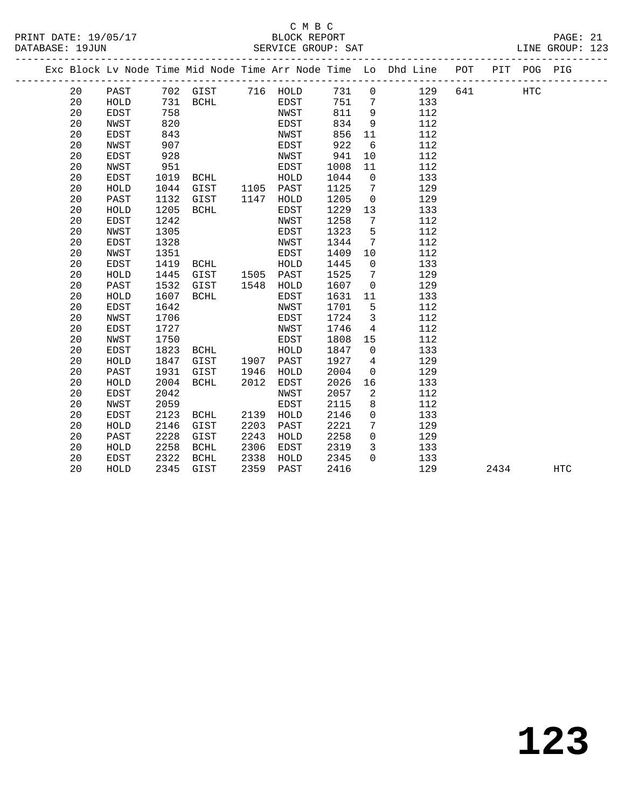#### C M B C<br>BLOCK REPORT SERVICE GROUP: SAT

|  |    |             |      |             |      |             |      |                 | Exc Block Lv Node Time Mid Node Time Arr Node Time Lo Dhd Line POT |     | PIT POG PIG |  |
|--|----|-------------|------|-------------|------|-------------|------|-----------------|--------------------------------------------------------------------|-----|-------------|--|
|  | 20 | PAST        |      | 702 GIST    | 716  | HOLD        | 731  | $\overline{0}$  | 129                                                                | 641 | HTC         |  |
|  | 20 | HOLD        | 731  | BCHL        |      | EDST        | 751  | $7\phantom{.0}$ | 133                                                                |     |             |  |
|  | 20 | EDST        | 758  |             |      | NWST        | 811  | 9               | 112                                                                |     |             |  |
|  | 20 | NWST        | 820  |             |      | EDST        | 834  | 9               | 112                                                                |     |             |  |
|  | 20 | EDST        | 843  |             |      | NWST        | 856  | 11              | 112                                                                |     |             |  |
|  | 20 | NWST        | 907  |             |      | EDST        | 922  | 6               | 112                                                                |     |             |  |
|  | 20 | <b>EDST</b> | 928  |             |      | NWST        | 941  | 10              | 112                                                                |     |             |  |
|  | 20 | NWST        | 951  |             |      | EDST        | 1008 | 11              | 112                                                                |     |             |  |
|  | 20 | EDST        | 1019 | BCHL        |      | HOLD        | 1044 | $\mathbf 0$     | 133                                                                |     |             |  |
|  | 20 | HOLD        | 1044 | GIST        | 1105 | PAST        | 1125 | $7\overline{ }$ | 129                                                                |     |             |  |
|  | 20 | PAST        | 1132 | GIST        | 1147 | HOLD        | 1205 | 0               | 129                                                                |     |             |  |
|  | 20 | HOLD        | 1205 | <b>BCHL</b> |      | EDST        | 1229 | 13              | 133                                                                |     |             |  |
|  | 20 | <b>EDST</b> | 1242 |             |      | NWST        | 1258 | $7\phantom{.0}$ | 112                                                                |     |             |  |
|  | 20 | NWST        | 1305 |             |      | EDST        | 1323 | 5               | 112                                                                |     |             |  |
|  | 20 | <b>EDST</b> | 1328 |             |      | NWST        | 1344 | $7\phantom{.0}$ | 112                                                                |     |             |  |
|  | 20 | NWST        | 1351 |             |      | EDST        | 1409 | 10              | 112                                                                |     |             |  |
|  | 20 | EDST        | 1419 | BCHL        |      | HOLD        | 1445 | $\mathsf{O}$    | 133                                                                |     |             |  |
|  | 20 | HOLD        | 1445 | GIST        | 1505 | PAST        | 1525 | $7\phantom{.0}$ | 129                                                                |     |             |  |
|  | 20 | PAST        | 1532 | GIST        | 1548 | HOLD        | 1607 | $\overline{0}$  | 129                                                                |     |             |  |
|  | 20 | HOLD        | 1607 | <b>BCHL</b> |      | EDST        | 1631 | 11              | 133                                                                |     |             |  |
|  | 20 | <b>EDST</b> | 1642 |             |      | NWST        | 1701 | 5               | 112                                                                |     |             |  |
|  | 20 | NWST        | 1706 |             |      | EDST        | 1724 | $\mathbf{3}$    | 112                                                                |     |             |  |
|  | 20 | <b>EDST</b> | 1727 |             |      | NWST        | 1746 | $\overline{4}$  | 112                                                                |     |             |  |
|  | 20 | NWST        | 1750 |             |      | EDST        | 1808 | 15              | 112                                                                |     |             |  |
|  | 20 | EDST        | 1823 | BCHL        |      | HOLD        | 1847 | 0               | 133                                                                |     |             |  |
|  | 20 | HOLD        | 1847 | GIST        | 1907 | PAST        | 1927 | $4\overline{ }$ | 129                                                                |     |             |  |
|  | 20 | PAST        | 1931 | GIST        | 1946 | HOLD        | 2004 | $\mathbf 0$     | 129                                                                |     |             |  |
|  | 20 | HOLD        | 2004 | <b>BCHL</b> | 2012 | EDST        | 2026 | 16              | 133                                                                |     |             |  |
|  | 20 | <b>EDST</b> | 2042 |             |      | NWST        | 2057 | 2               | 112                                                                |     |             |  |
|  | 20 | NWST        | 2059 |             |      | <b>EDST</b> | 2115 | 8               | 112                                                                |     |             |  |
|  | 20 | EDST        | 2123 | BCHL        | 2139 | HOLD        | 2146 | $\overline{0}$  | 133                                                                |     |             |  |
|  | 20 | HOLD        | 2146 | GIST        | 2203 | PAST        | 2221 | $7\overline{ }$ | 129                                                                |     |             |  |

 20 PAST 2228 GIST 2243 HOLD 2258 0 129 20 HOLD 2258 BCHL 2306 EDST 2319 3 133 20 EDST 2322 BCHL 2338 HOLD 2345 0 133

20 HOLD 2345 GIST 2359 PAST 2416 129 2434 HTC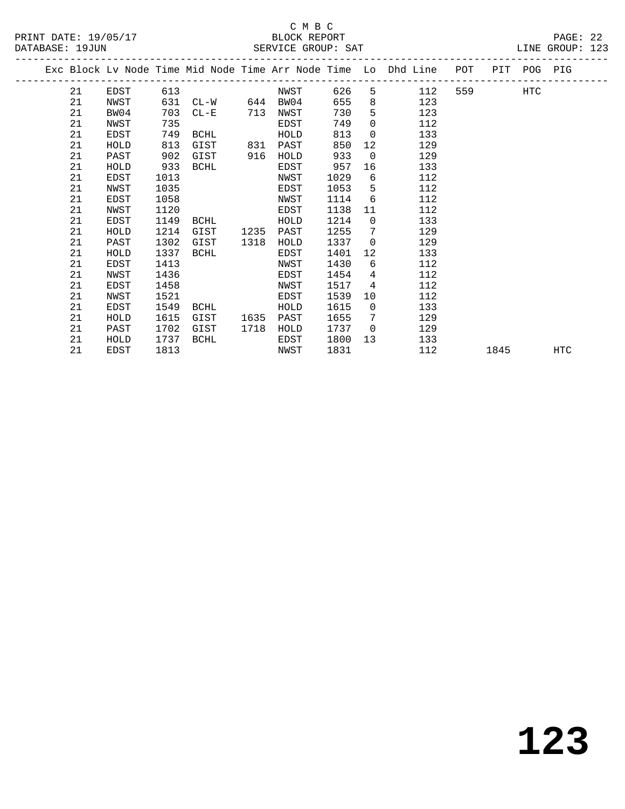#### C M B C<br>BLOCK REPORT SERVICE GROUP: SAT

PRINT DATE: 19/05/17 BLOCK REPORT PAGE: 22

|  |    |      |      |                 |      |      |      |                 | Exc Block Lv Node Time Mid Node Time Arr Node Time Lo Dhd Line POT |         |      | PIT POG PIG |            |
|--|----|------|------|-----------------|------|------|------|-----------------|--------------------------------------------------------------------|---------|------|-------------|------------|
|  | 21 | EDST | 613  |                 |      | NWST | 626  |                 | $5^{\circ}$<br>112                                                 | 559 751 |      | HTC         |            |
|  | 21 | NWST | 631  | $CL-W$ 644 BW04 |      |      | 655  | 8               | 123                                                                |         |      |             |            |
|  | 21 | BW04 | 703  | $CL-E$          | 713  | NWST | 730  | 5               | 123                                                                |         |      |             |            |
|  | 21 | NWST | 735  |                 |      | EDST | 749  | $\Omega$        | 112                                                                |         |      |             |            |
|  | 21 | EDST | 749  | BCHL            |      | HOLD | 813  | $\Omega$        | 133                                                                |         |      |             |            |
|  | 21 | HOLD | 813  | GIST            | 831  | PAST | 850  | 12              | 129                                                                |         |      |             |            |
|  | 21 | PAST | 902  | GIST            | 916  | HOLD | 933  | $\mathbf 0$     | 129                                                                |         |      |             |            |
|  | 21 | HOLD | 933  | BCHL            |      | EDST | 957  | 16              | 133                                                                |         |      |             |            |
|  | 21 | EDST | 1013 |                 |      | NWST | 1029 | 6               | 112                                                                |         |      |             |            |
|  | 21 | NWST | 1035 |                 |      | EDST | 1053 | $5^{\circ}$     | 112                                                                |         |      |             |            |
|  | 21 | EDST | 1058 |                 |      | NWST | 1114 | 6               | 112                                                                |         |      |             |            |
|  | 21 | NWST | 1120 |                 |      | EDST | 1138 | 11              | 112                                                                |         |      |             |            |
|  | 21 | EDST | 1149 | BCHL            |      | HOLD | 1214 | $\Omega$        | 133                                                                |         |      |             |            |
|  | 21 | HOLD | 1214 | GIST            | 1235 | PAST | 1255 | 7               | 129                                                                |         |      |             |            |
|  | 21 | PAST | 1302 | GIST            | 1318 | HOLD | 1337 | $\overline{0}$  | 129                                                                |         |      |             |            |
|  | 21 | HOLD | 1337 | BCHL            |      | EDST | 1401 | 12              | 133                                                                |         |      |             |            |
|  | 21 | EDST | 1413 |                 |      | NWST | 1430 | 6               | 112                                                                |         |      |             |            |
|  | 21 | NWST | 1436 |                 |      | EDST | 1454 | $\overline{4}$  | 112                                                                |         |      |             |            |
|  | 21 | EDST | 1458 |                 |      | NWST | 1517 | 4               | 112                                                                |         |      |             |            |
|  | 21 | NWST | 1521 |                 |      | EDST | 1539 | 10              | 112                                                                |         |      |             |            |
|  | 21 | EDST | 1549 | BCHL            |      | HOLD | 1615 | $\mathbf 0$     | 133                                                                |         |      |             |            |
|  | 21 | HOLD | 1615 | GIST            | 1635 | PAST | 1655 | $7\phantom{.0}$ | 129                                                                |         |      |             |            |
|  | 21 | PAST | 1702 | GIST            | 1718 | HOLD | 1737 | $\overline{0}$  | 129                                                                |         |      |             |            |
|  | 21 | HOLD | 1737 | BCHL            |      | EDST | 1800 | 13              | 133                                                                |         |      |             |            |
|  | 21 | EDST | 1813 |                 |      | NWST | 1831 |                 | 112                                                                |         | 1845 |             | <b>HTC</b> |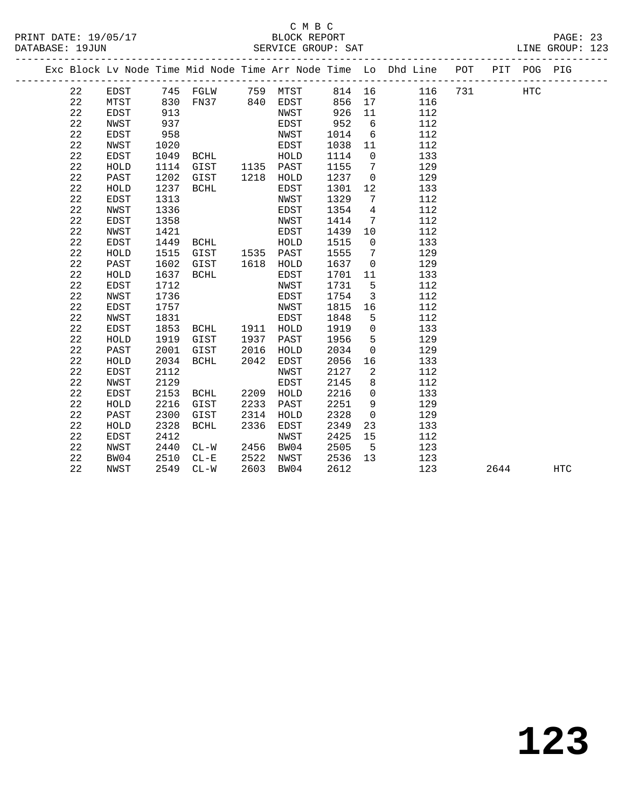### C M B C<br>BLOCK REPORT

| PRINT DATE: 19/05/17 | BLOCK REPORT       | PAGE: 23        |  |
|----------------------|--------------------|-----------------|--|
| DATABASE: 19JUN      | SERVICE GROUP: SAT | LINE GROUP: 123 |  |

|  |    |      |      |                   |      |           |      |                         | Exc Block Lv Node Time Mid Node Time Arr Node Time Lo Dhd Line POT |     |      | PIT POG PIG |            |
|--|----|------|------|-------------------|------|-----------|------|-------------------------|--------------------------------------------------------------------|-----|------|-------------|------------|
|  | 22 | EDST |      | 745 FGLW 759 MTST |      |           |      |                         | 814 16 116                                                         | 731 |      | <b>HTC</b>  |            |
|  | 22 | MTST | 830  | FN37 840 EDST     |      |           | 856  |                         | 116                                                                |     |      |             |            |
|  | 22 | EDST | 913  |                   |      | NWST      | 926  | 11                      | 112                                                                |     |      |             |            |
|  | 22 | NWST | 937  |                   |      | EDST      | 952  | 6                       | 112                                                                |     |      |             |            |
|  | 22 | EDST | 958  |                   |      | NWST      | 1014 | 6                       | 112                                                                |     |      |             |            |
|  | 22 | NWST | 1020 |                   |      | EDST      | 1038 | 11                      | 112                                                                |     |      |             |            |
|  | 22 | EDST | 1049 | BCHL              |      | HOLD      | 1114 | $\overline{0}$          | 133                                                                |     |      |             |            |
|  | 22 | HOLD | 1114 | GIST 1135 PAST    |      |           | 1155 | $\overline{7}$          | 129                                                                |     |      |             |            |
|  | 22 | PAST | 1202 | GIST              |      | 1218 HOLD | 1237 | $\overline{0}$          | 129                                                                |     |      |             |            |
|  | 22 | HOLD | 1237 | BCHL              |      | EDST      | 1301 | 12                      | 133                                                                |     |      |             |            |
|  | 22 | EDST | 1313 |                   |      | NWST      | 1329 | $7\overline{ }$         | 112                                                                |     |      |             |            |
|  | 22 | NWST | 1336 |                   |      | EDST      | 1354 | $\overline{4}$          | 112                                                                |     |      |             |            |
|  | 22 | EDST | 1358 |                   |      | NWST      | 1414 | $7\overline{ }$         | 112                                                                |     |      |             |            |
|  | 22 | NWST | 1421 |                   |      | EDST      | 1439 | 10                      | 112                                                                |     |      |             |            |
|  | 22 | EDST | 1449 | <b>BCHL</b>       |      | HOLD      | 1515 | $\overline{0}$          | 133                                                                |     |      |             |            |
|  | 22 | HOLD | 1515 | GIST 1535 PAST    |      |           | 1555 | $7\overline{ }$         | 129                                                                |     |      |             |            |
|  | 22 | PAST | 1602 | GIST              |      | 1618 HOLD | 1637 | $\mathbf 0$             | 129                                                                |     |      |             |            |
|  | 22 | HOLD | 1637 | BCHL              |      | EDST      | 1701 | 11                      | 133                                                                |     |      |             |            |
|  | 22 | EDST | 1712 |                   |      | NWST      | 1731 | 5                       | 112                                                                |     |      |             |            |
|  | 22 | NWST | 1736 |                   |      | EDST      | 1754 | $\overline{\mathbf{3}}$ | 112                                                                |     |      |             |            |
|  | 22 | EDST | 1757 |                   |      | NWST      | 1815 | 16                      | 112                                                                |     |      |             |            |
|  | 22 | NWST | 1831 |                   |      | EDST      | 1848 | 5                       | 112                                                                |     |      |             |            |
|  | 22 | EDST | 1853 | BCHL              |      | 1911 HOLD | 1919 | $\mathbf 0$             | 133                                                                |     |      |             |            |
|  | 22 | HOLD | 1919 | GIST              | 1937 | PAST      | 1956 | 5                       | 129                                                                |     |      |             |            |
|  | 22 | PAST | 2001 | GIST              | 2016 | HOLD      | 2034 | $\overline{0}$          | 129                                                                |     |      |             |            |
|  | 22 | HOLD | 2034 | BCHL              | 2042 | EDST      | 2056 | 16                      | 133                                                                |     |      |             |            |
|  | 22 | EDST | 2112 |                   |      | NWST      | 2127 | 2                       | 112                                                                |     |      |             |            |
|  | 22 | NWST | 2129 |                   |      | EDST      | 2145 | 8                       | 112                                                                |     |      |             |            |
|  | 22 | EDST | 2153 | BCHL              | 2209 | HOLD      | 2216 | $\overline{0}$          | 133                                                                |     |      |             |            |
|  | 22 | HOLD | 2216 | GIST              | 2233 | PAST      | 2251 | 9                       | 129                                                                |     |      |             |            |
|  | 22 | PAST | 2300 | GIST              | 2314 | HOLD      | 2328 | $\mathbf 0$             | 129                                                                |     |      |             |            |
|  | 22 | HOLD | 2328 | BCHL              | 2336 | EDST      | 2349 | 23                      | 133                                                                |     |      |             |            |
|  | 22 | EDST | 2412 |                   |      | NWST      | 2425 | 15                      | 112                                                                |     |      |             |            |
|  | 22 | NWST | 2440 | $CL-W$            |      | 2456 BW04 | 2505 | $5^{\circ}$             | 123                                                                |     |      |             |            |
|  | 22 | BW04 | 2510 | $CL - E$          |      | 2522 NWST | 2536 | 13                      | 123                                                                |     |      |             |            |
|  | 22 | NWST | 2549 | $CL-W$            |      | 2603 BW04 | 2612 |                         | 123                                                                |     | 2644 |             | <b>HTC</b> |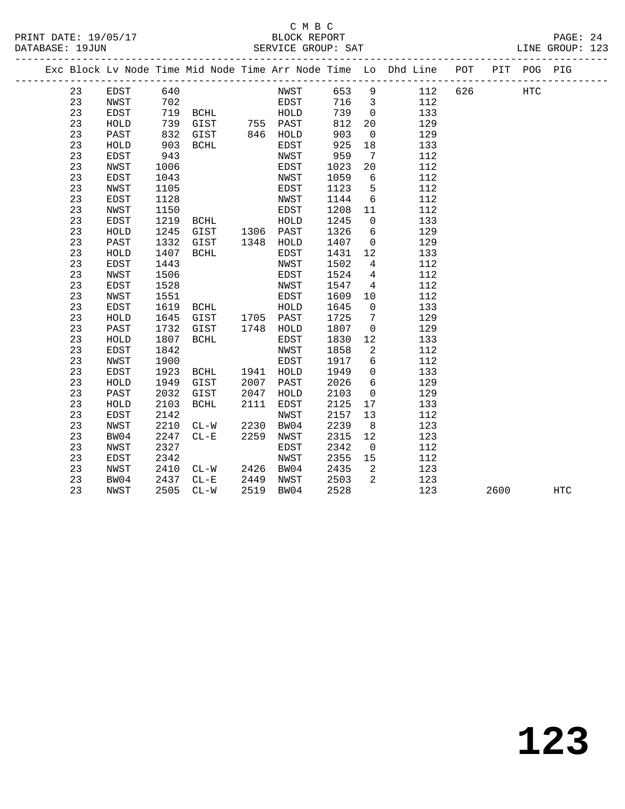|  |    |              |      | ----------------------- |      |              |      |                         |                                                                                              |     |      |             |            |  |
|--|----|--------------|------|-------------------------|------|--------------|------|-------------------------|----------------------------------------------------------------------------------------------|-----|------|-------------|------------|--|
|  |    |              |      |                         |      |              |      |                         | ----------------------<br>Exc Block Lv Node Time Mid Node Time Arr Node Time Lo Dhd Line POT |     |      | PIT POG PIG |            |  |
|  | 23 | EDST         | 640  |                         |      | NWST         | 653  | 9                       | 112                                                                                          | 626 |      | HTC         |            |  |
|  | 23 | NWST         | 702  |                         |      | EDST         | 716  | $\overline{\mathbf{3}}$ | 112                                                                                          |     |      |             |            |  |
|  | 23 | EDST         | 719  | BCHL                    |      | HOLD         | 739  | $\overline{0}$          | 133                                                                                          |     |      |             |            |  |
|  | 23 | ${\tt HOLD}$ | 739  | GIST 755 PAST           |      |              | 812  | 20                      | 129                                                                                          |     |      |             |            |  |
|  | 23 | PAST         | 832  | GIST                    |      | 846 HOLD     | 903  | $\mathsf{O}$            | 129                                                                                          |     |      |             |            |  |
|  | 23 | HOLD         | 903  | BCHL                    |      | EDST         | 925  | 18                      | 133                                                                                          |     |      |             |            |  |
|  | 23 | EDST         | 943  |                         |      | NWST         | 959  | $7\phantom{.0}\,$       | 112                                                                                          |     |      |             |            |  |
|  | 23 | NWST         | 1006 |                         |      | EDST         | 1023 | 20                      | 112                                                                                          |     |      |             |            |  |
|  | 23 | <b>EDST</b>  | 1043 |                         |      | NWST         | 1059 | 6                       | 112                                                                                          |     |      |             |            |  |
|  | 23 | NWST         | 1105 |                         |      | EDST         | 1123 | 5                       | 112                                                                                          |     |      |             |            |  |
|  | 23 | EDST         | 1128 |                         |      | NWST         | 1144 | $6\overline{6}$         | 112                                                                                          |     |      |             |            |  |
|  | 23 | NWST         | 1150 |                         |      | EDST         | 1208 | 11                      | 112                                                                                          |     |      |             |            |  |
|  | 23 | EDST         | 1219 | BCHL                    |      | HOLD         | 1245 | $\overline{0}$          | 133                                                                                          |     |      |             |            |  |
|  | 23 | HOLD         | 1245 | GIST                    |      | 1306 PAST    | 1326 | $6\overline{6}$         | 129                                                                                          |     |      |             |            |  |
|  | 23 | PAST         | 1332 | GIST                    | 1348 | HOLD         | 1407 | $\mathsf{O}$            | 129                                                                                          |     |      |             |            |  |
|  | 23 | ${\tt HOLD}$ | 1407 | BCHL                    |      | EDST         | 1431 | 12                      | 133                                                                                          |     |      |             |            |  |
|  | 23 | <b>EDST</b>  | 1443 |                         |      | NWST         | 1502 | $\overline{4}$          | 112                                                                                          |     |      |             |            |  |
|  | 23 | NWST         | 1506 |                         |      | EDST         | 1524 | $\overline{4}$          | 112                                                                                          |     |      |             |            |  |
|  | 23 | EDST         | 1528 |                         |      | NWST         | 1547 | $\overline{4}$          | 112                                                                                          |     |      |             |            |  |
|  | 23 | NWST         | 1551 |                         |      | EDST         | 1609 | 10                      | 112                                                                                          |     |      |             |            |  |
|  | 23 | EDST         | 1619 | BCHL                    |      | ${\tt HOLD}$ | 1645 | $\mathsf{O}$            | 133                                                                                          |     |      |             |            |  |
|  | 23 | ${\tt HOLD}$ | 1645 | GIST                    |      | 1705 PAST    | 1725 | $7\phantom{.0}$         | 129                                                                                          |     |      |             |            |  |
|  | 23 | PAST         | 1732 | GIST                    |      | 1748 HOLD    | 1807 | $\overline{0}$          | 129                                                                                          |     |      |             |            |  |
|  | 23 | HOLD         | 1807 | <b>BCHL</b>             |      | EDST         | 1830 | 12                      | 133                                                                                          |     |      |             |            |  |
|  | 23 | EDST         | 1842 |                         |      | NWST         | 1858 | 2                       | 112                                                                                          |     |      |             |            |  |
|  | 23 | NWST         | 1900 |                         |      | EDST         | 1917 | 6                       | 112                                                                                          |     |      |             |            |  |
|  | 23 | EDST         | 1923 | BCHL                    | 1941 | HOLD         | 1949 | $\mathbf 0$             | 133                                                                                          |     |      |             |            |  |
|  | 23 | ${\tt HOLD}$ | 1949 | GIST                    | 2007 | PAST         | 2026 | $6\overline{6}$         | 129                                                                                          |     |      |             |            |  |
|  | 23 | PAST         | 2032 | GIST                    | 2047 | HOLD         | 2103 | $\overline{0}$          | 129                                                                                          |     |      |             |            |  |
|  | 23 | HOLD         | 2103 | <b>BCHL</b>             | 2111 | EDST         | 2125 | 17                      | 133                                                                                          |     |      |             |            |  |
|  | 23 | <b>EDST</b>  | 2142 |                         |      | NWST         | 2157 | 13                      | 112                                                                                          |     |      |             |            |  |
|  | 23 | NWST         | 2210 | $CL-W$                  | 2230 | BW04         | 2239 | 8                       | 123                                                                                          |     |      |             |            |  |
|  | 23 | BW04         | 2247 | $CL - E$                | 2259 | NWST         | 2315 | 12                      | 123                                                                                          |     |      |             |            |  |
|  | 23 | NWST         | 2327 |                         |      | EDST         | 2342 | $\overline{0}$          | 112                                                                                          |     |      |             |            |  |
|  | 23 | EDST         | 2342 |                         |      | NWST         | 2355 | 15                      | 112                                                                                          |     |      |             |            |  |
|  | 23 | NWST         | 2410 | $CL-W$                  | 2426 | BW04         | 2435 | 2                       | 123                                                                                          |     |      |             |            |  |
|  | 23 | BW04         | 2437 | $CL - E$                | 2449 | NWST         | 2503 | 2                       | 123                                                                                          |     |      |             |            |  |
|  | 23 | NWST         | 2505 | $CL-W$                  | 2519 | BW04         | 2528 |                         | 123                                                                                          |     | 2600 |             | <b>HTC</b> |  |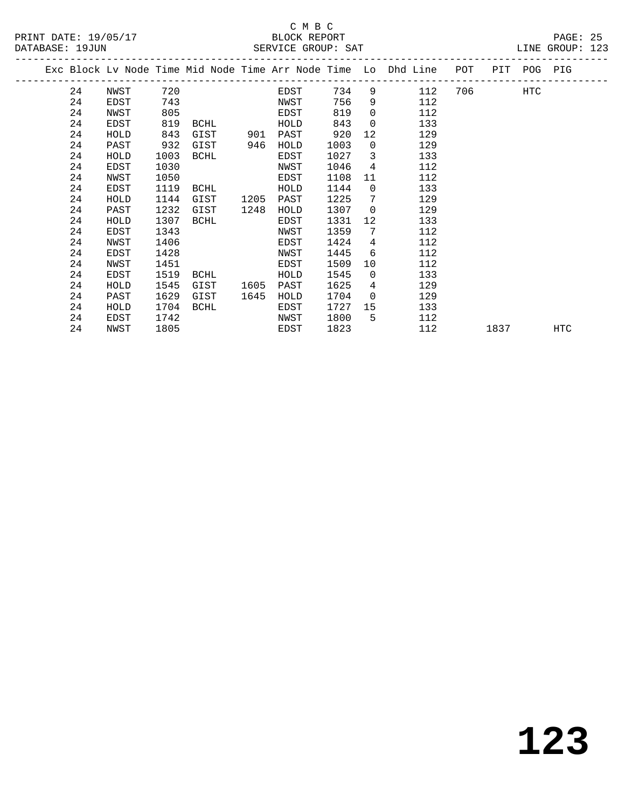# C M B C<br>BLOCK REPORT

PRINT DATE: 19/05/17 BLOCK REPORT PAGE: 25

LINE GROUP: 123

|  |    | Exc Block Lv Node Time Mid Node Time Arr Node Time Lo Dhd Line |      |             |      |      |      |                |     | POT |      | PIT POG PIG |            |
|--|----|----------------------------------------------------------------|------|-------------|------|------|------|----------------|-----|-----|------|-------------|------------|
|  | 24 | NWST                                                           | 720  |             |      | EDST | 734  | 9              | 112 | 706 |      | HTC         |            |
|  | 24 | EDST                                                           | 743  |             |      | NWST | 756  | 9              | 112 |     |      |             |            |
|  | 24 | NWST                                                           | 805  |             |      | EDST | 819  | 0              | 112 |     |      |             |            |
|  | 24 | EDST                                                           | 819  | BCHL        |      | HOLD | 843  | 0              | 133 |     |      |             |            |
|  | 24 | HOLD                                                           | 843  | GIST        | 901  | PAST | 920  | 12             | 129 |     |      |             |            |
|  | 24 | PAST                                                           | 932  | GIST        | 946  | HOLD | 1003 | $\Omega$       | 129 |     |      |             |            |
|  | 24 | HOLD                                                           | 1003 | BCHL        |      | EDST | 1027 | 3              | 133 |     |      |             |            |
|  | 24 | EDST                                                           | 1030 |             |      | NWST | 1046 | $\overline{4}$ | 112 |     |      |             |            |
|  | 24 | NWST                                                           | 1050 |             |      | EDST | 1108 | 11             | 112 |     |      |             |            |
|  | 24 | EDST                                                           | 1119 | <b>BCHL</b> |      | HOLD | 1144 | $\mathbf 0$    | 133 |     |      |             |            |
|  | 24 | HOLD                                                           | 1144 | GIST        | 1205 | PAST | 1225 | 7              | 129 |     |      |             |            |
|  | 24 | PAST                                                           | 1232 | GIST        | 1248 | HOLD | 1307 | 0              | 129 |     |      |             |            |
|  | 24 | HOLD                                                           | 1307 | <b>BCHL</b> |      | EDST | 1331 | 12             | 133 |     |      |             |            |
|  | 24 | EDST                                                           | 1343 |             |      | NWST | 1359 | 7              | 112 |     |      |             |            |
|  | 24 | NWST                                                           | 1406 |             |      | EDST | 1424 | 4              | 112 |     |      |             |            |
|  | 24 | EDST                                                           | 1428 |             |      | NWST | 1445 | 6              | 112 |     |      |             |            |
|  | 24 | NWST                                                           | 1451 |             |      | EDST | 1509 | 10             | 112 |     |      |             |            |
|  | 24 | EDST                                                           | 1519 | BCHL        |      | HOLD | 1545 | $\Omega$       | 133 |     |      |             |            |
|  | 24 | HOLD                                                           | 1545 | GIST        | 1605 | PAST | 1625 | 4              | 129 |     |      |             |            |
|  | 24 | PAST                                                           | 1629 | GIST        | 1645 | HOLD | 1704 | 0              | 129 |     |      |             |            |
|  | 24 | HOLD                                                           | 1704 | <b>BCHL</b> |      | EDST | 1727 | 15             | 133 |     |      |             |            |
|  | 24 | EDST                                                           | 1742 |             |      | NWST | 1800 | 5              | 112 |     |      |             |            |
|  | 24 | NWST                                                           | 1805 |             |      | EDST | 1823 |                | 112 |     | 1837 |             | <b>HTC</b> |
|  |    |                                                                |      |             |      |      |      |                |     |     |      |             |            |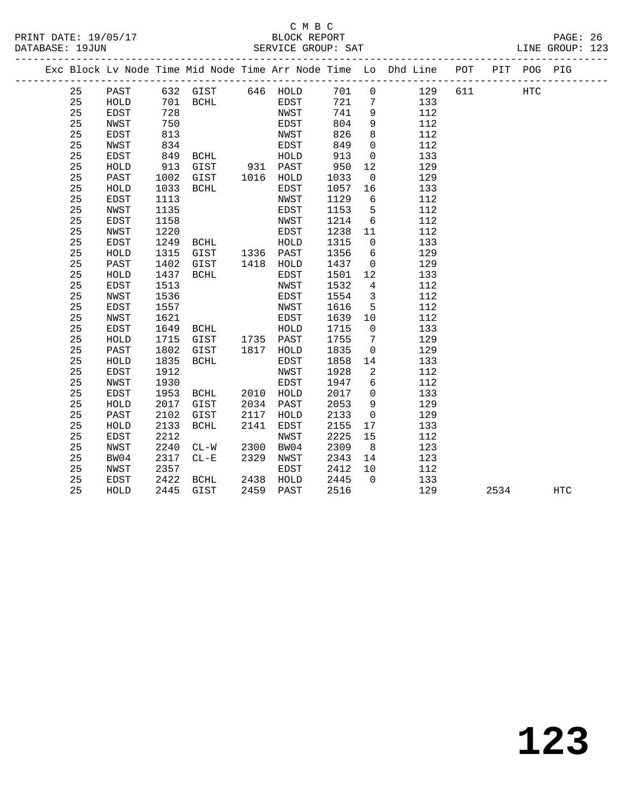|    |             |      |                                 |      |           |      |                         | Exc Block Lv Node Time Mid Node Time Arr Node Time Lo Dhd Line POT |     |      | PIT POG PIG |            |  |
|----|-------------|------|---------------------------------|------|-----------|------|-------------------------|--------------------------------------------------------------------|-----|------|-------------|------------|--|
| 25 | PAST        |      | 632 GIST 646 HOLD               |      |           | 701  | $\overline{0}$          | 129                                                                | 611 |      | <b>HTC</b>  |            |  |
| 25 | HOLD        |      | $701$ BCHL $728$                |      | EDST      | 721  | $\overline{7}$          | 133                                                                |     |      |             |            |  |
| 25 | EDST        | 728  |                                 |      | NWST      | 741  | 9                       | 112                                                                |     |      |             |            |  |
| 25 | NWST        | 750  |                                 |      | EDST      | 804  | 9                       | 112                                                                |     |      |             |            |  |
| 25 | EDST        | 813  |                                 |      | NWST      | 826  | 8                       | 112                                                                |     |      |             |            |  |
| 25 | NWST        | 834  |                                 |      | EDST      | 849  | $\mathsf{O}$            | 112                                                                |     |      |             |            |  |
| 25 | EDST        | 849  | BCHL HOLD                       |      |           | 913  | $\overline{0}$          | 133                                                                |     |      |             |            |  |
| 25 | HOLD        | 913  | GIST 931 PAST<br>GIST 1016 HOLD |      |           | 950  | 12                      | 129                                                                |     |      |             |            |  |
| 25 | PAST        | 1002 |                                 |      |           | 1033 | $\overline{0}$          | 129                                                                |     |      |             |            |  |
| 25 | HOLD        | 1033 | BCHL                            |      | EDST      | 1057 | 16                      | 133                                                                |     |      |             |            |  |
| 25 | EDST        | 1113 |                                 |      | NWST      | 1129 | $6\overline{6}$         | 112                                                                |     |      |             |            |  |
| 25 | NWST        | 1135 |                                 |      | EDST      | 1153 | $5^{\circ}$             | 112                                                                |     |      |             |            |  |
| 25 | <b>EDST</b> | 1158 |                                 |      | NWST      | 1214 | $6\overline{6}$         | 112                                                                |     |      |             |            |  |
| 25 | NWST        | 1220 | <b>BCHL</b>                     |      | EDST      | 1238 | 11                      | 112                                                                |     |      |             |            |  |
| 25 | EDST        | 1249 |                                 |      | HOLD      | 1315 | $\overline{0}$          | 133                                                                |     |      |             |            |  |
| 25 | HOLD        | 1315 | $GIST$ 1336 $PAST$              |      |           | 1356 | 6                       | 129                                                                |     |      |             |            |  |
| 25 | PAST        | 1402 | GIST 1418 HOLD                  |      |           | 1437 | $\overline{0}$          | 129                                                                |     |      |             |            |  |
| 25 | HOLD        | 1437 | BCHL                            |      | EDST      | 1501 | 12                      | 133                                                                |     |      |             |            |  |
| 25 | EDST        | 1513 |                                 |      | NWST      | 1532 | $\overline{4}$          | 112                                                                |     |      |             |            |  |
| 25 | NWST        | 1536 |                                 |      | EDST      | 1554 | $\overline{\mathbf{3}}$ | 112                                                                |     |      |             |            |  |
| 25 | <b>EDST</b> | 1557 |                                 |      | NWST      | 1616 | $5^{\circ}$             | 112                                                                |     |      |             |            |  |
| 25 | NWST        | 1621 |                                 |      | EDST      | 1639 | 10                      | 112                                                                |     |      |             |            |  |
| 25 | EDST        | 1649 | <b>BCHL</b>                     |      | HOLD      | 1715 | $\overline{0}$          | 133                                                                |     |      |             |            |  |
| 25 | HOLD        | 1715 | GIST 1735 PAST                  |      |           | 1755 | $\overline{7}$          | 129                                                                |     |      |             |            |  |
| 25 | PAST        | 1802 | GIST                            |      | 1817 HOLD | 1835 | $\overline{0}$          | 129                                                                |     |      |             |            |  |
| 25 | HOLD        | 1835 | BCHL                            |      | EDST      | 1858 | 14                      | 133                                                                |     |      |             |            |  |
| 25 | EDST        | 1912 |                                 |      | NWST      | 1928 | $\overline{2}$          | 112                                                                |     |      |             |            |  |
| 25 | NWST        | 1930 |                                 |      | EDST      | 1947 | 6                       | 112                                                                |     |      |             |            |  |
| 25 | EDST        | 1953 | BCHL 2010 HOLD                  |      |           | 2017 | $\overline{0}$          | 133                                                                |     |      |             |            |  |
| 25 | HOLD        | 2017 | GIST                            |      | 2034 PAST | 2053 | 9                       | 129                                                                |     |      |             |            |  |
| 25 | PAST        | 2102 | GIST                            | 2117 | HOLD      | 2133 | $\overline{0}$          | 129                                                                |     |      |             |            |  |
| 25 | HOLD        | 2133 | BCHL                            | 2141 | EDST      | 2155 | 17                      | 133                                                                |     |      |             |            |  |
| 25 | EDST        | 2212 |                                 |      | NWST      | 2225 | 15                      | 112                                                                |     |      |             |            |  |
| 25 | NWST        | 2240 | $CL-W$                          | 2300 | BW04      | 2309 | 8 <sup>8</sup>          | 123                                                                |     |      |             |            |  |
| 25 | BW04        | 2317 | $CL-E$                          | 2329 | NWST      | 2343 | 14                      | 123                                                                |     |      |             |            |  |
| 25 | NWST        | 2357 |                                 |      | EDST      | 2412 | 10                      | 112                                                                |     |      |             |            |  |
| 25 | EDST        | 2422 | BCHL                            |      | 2438 HOLD | 2445 | $\bigcap$               | 133                                                                |     |      |             |            |  |
| 25 | HOLD        | 2445 | GIST                            |      | 2459 PAST | 2516 |                         | 129                                                                |     | 2534 |             | <b>HTC</b> |  |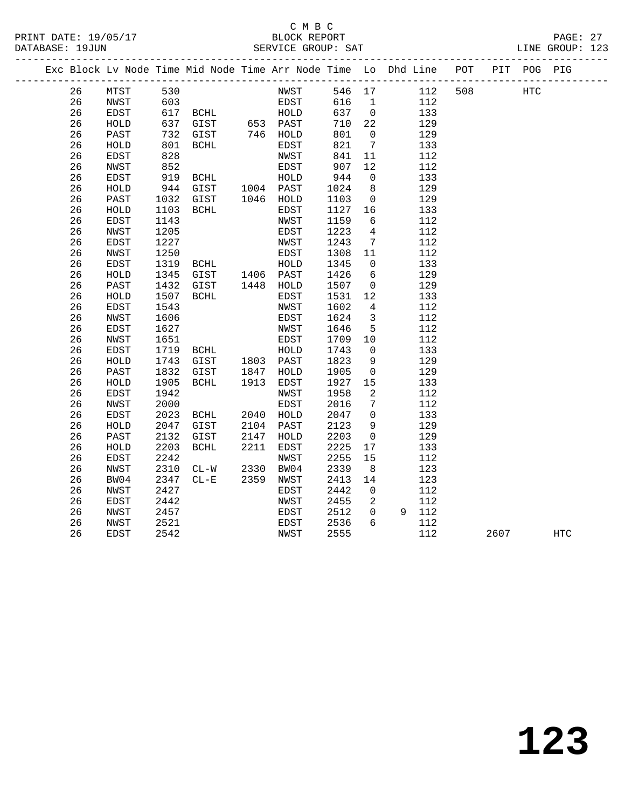#### C M B C PRINT DATE: 19/05/17 BLOCK REPORT BATE: 19/05/17

|          |              |                   |                                                                                     |      |              |                     |                         |                |            |                                                                                |      |            | LINE GROUP: 123 |  |
|----------|--------------|-------------------|-------------------------------------------------------------------------------------|------|--------------|---------------------|-------------------------|----------------|------------|--------------------------------------------------------------------------------|------|------------|-----------------|--|
|          |              |                   |                                                                                     |      |              |                     |                         |                |            | Exc Block Lv Node Time Mid Node Time Arr Node Time Lo Dhd Line POT PIT POG PIG |      |            |                 |  |
| 26       | MTST         | 530               |                                                                                     |      | NWST         | 546 17              |                         |                | 112        | 508                                                                            |      | <b>HTC</b> |                 |  |
| 26       | NWST         |                   |                                                                                     |      |              | 616 1               |                         |                | 112        |                                                                                |      |            |                 |  |
| 26       | EDST         |                   |                                                                                     |      |              | $637$ 0<br>$710$ 22 |                         |                | 133        |                                                                                |      |            |                 |  |
| 26       | HOLD         |                   | 603<br>617 BCHL EDST<br>637 GIST 653 PAST<br>732 GIST 746 HOLD<br>801 SATT 746 HOLD |      |              | 710 22              |                         |                | 129        |                                                                                |      |            |                 |  |
| 26       | PAST         |                   |                                                                                     |      |              | 801                 |                         | $\overline{0}$ | 129        |                                                                                |      |            |                 |  |
| 26       | HOLD         | 801               | BCHL                                                                                |      | EDST         | 821                 | $7\overline{ }$         |                | 133        |                                                                                |      |            |                 |  |
| 26       | EDST         | 828               |                                                                                     |      | NWST         | 841                 | 11                      |                | 112        |                                                                                |      |            |                 |  |
| 26       | NWST         | 852<br>85∠<br>919 | EDST<br>EDST<br>GIST 1004 PAST<br>GIST 1046 HOLD<br>BCHL EDST                       |      |              | 907                 | 12                      |                | 112        |                                                                                |      |            |                 |  |
| 26       | EDST         |                   |                                                                                     |      |              | 944                 | $\overline{0}$          |                | 133        |                                                                                |      |            |                 |  |
| 26       | HOLD         | 944               |                                                                                     |      |              | 1024                | 8 <sup>8</sup>          |                | 129        |                                                                                |      |            |                 |  |
| 26       | PAST         | 1032              |                                                                                     |      |              | 1103                | $\overline{0}$          |                | 129        |                                                                                |      |            |                 |  |
| 26<br>26 | HOLD<br>EDST | 1103<br>1143      |                                                                                     |      | NWST         | 1127<br>1159        | 16<br>6                 |                | 133<br>112 |                                                                                |      |            |                 |  |
| 26       | NWST         | 1205              |                                                                                     |      | EDST         | 1223                | $4\overline{4}$         |                | 112        |                                                                                |      |            |                 |  |
| 26       | EDST         | 1227              |                                                                                     |      |              | 1243                | $7\overline{ }$         |                | 112        |                                                                                |      |            |                 |  |
| 26       | NWST         | 1250              | NWST<br>EDST<br>EDST<br>HOLD<br>GIST<br>1406 PAST<br>GIST<br>1448 HOLD<br>FRST      |      |              | 1308                | 11                      |                | 112        |                                                                                |      |            |                 |  |
| 26       | EDST         | 1319              |                                                                                     |      |              | 1345                | $\overline{0}$          |                | 133        |                                                                                |      |            |                 |  |
| 26       | HOLD         | 1345              |                                                                                     |      |              | 1426                | $6\overline{6}$         |                | 129        |                                                                                |      |            |                 |  |
| 26       | PAST         | 1432              |                                                                                     |      |              | 1507                | $\overline{0}$          |                | 129        |                                                                                |      |            |                 |  |
| 26       | HOLD         | 1507              | BCHL                                                                                |      | EDST         | 1531                | 12                      |                | 133        |                                                                                |      |            |                 |  |
| 26       | EDST         | 1543              |                                                                                     |      | NWST         | 1602                | $\overline{4}$          |                | 112        |                                                                                |      |            |                 |  |
| 26       | NWST         | 1606              |                                                                                     |      | EDST         | 1624                | $\overline{\mathbf{3}}$ |                | 112        |                                                                                |      |            |                 |  |
| 26       | EDST         | 1627              |                                                                                     |      | NWST         | 1646                | $5^{\circ}$             |                | 112        |                                                                                |      |            |                 |  |
| 26       | NWST         | 1651              | EDST<br>BCHL HOLD<br>GIST 1803 PAST                                                 |      |              | 1709                | 10                      |                | 112        |                                                                                |      |            |                 |  |
| 26       | EDST         | 1719              |                                                                                     |      |              | 1743                | $\overline{0}$          |                | 133        |                                                                                |      |            |                 |  |
| 26       | HOLD         | 1743              |                                                                                     |      |              | 1823                | 9                       |                | 129        |                                                                                |      |            |                 |  |
| 26       | PAST         | 1832              | GIST 1847<br>BCHL 1913                                                              |      | HOLD         | 1905                | $\overline{0}$          |                | 129        |                                                                                |      |            |                 |  |
| 26       | HOLD         | 1905              |                                                                                     |      | EDST         | 1927                | 15                      |                | 133        |                                                                                |      |            |                 |  |
| 26       | EDST         | 1942              |                                                                                     |      | NWST         | 1958                | $\overline{2}$          |                | 112        |                                                                                |      |            |                 |  |
| 26       | NWST         | 2000              |                                                                                     |      | EDST         | 2016                | $7\overline{)}$         |                | 112        |                                                                                |      |            |                 |  |
| 26<br>26 | EDST         | 2023<br>2047      | BCHL 2040                                                                           |      | HOLD<br>PAST | 2047<br>2123        | $\overline{0}$<br>9     |                | 133<br>129 |                                                                                |      |            |                 |  |
| 26       | HOLD<br>PAST | 2132              | GIST 2104<br>GIST 2147                                                              |      | HOLD         | 2203                | $\overline{0}$          |                | 129        |                                                                                |      |            |                 |  |
| 26       | HOLD         | 2203              | BCHL                                                                                | 2211 | EDST         | 2225                | 17                      |                | 133        |                                                                                |      |            |                 |  |
| 26       | EDST         | 2242              |                                                                                     |      | NWST         | 2255                | 15                      |                | 112        |                                                                                |      |            |                 |  |
| 26       | NWST         | 2310              |                                                                                     |      | BW04         | 2339                | 8 <sup>8</sup>          |                | 123        |                                                                                |      |            |                 |  |
| 26       | BW04         | 2347              | CL-W 2330<br>CL-E 2359                                                              |      | NWST         | 2413                | 14                      |                | 123        |                                                                                |      |            |                 |  |
| 26       | NWST         | 2427              |                                                                                     |      | EDST         | 2442                | $\overline{0}$          |                | 112        |                                                                                |      |            |                 |  |
| 26       | EDST         | 2442              |                                                                                     |      | NWST         | 2455                | $\overline{\mathbf{2}}$ |                | 112        |                                                                                |      |            |                 |  |
| 26       | NWST         | 2457              |                                                                                     |      | EDST         | 2512                |                         | $\overline{0}$ | 9 112      |                                                                                |      |            |                 |  |
| 26       | NWST         | 2521              |                                                                                     |      | EDST         | 2536                | 6                       |                | 112        |                                                                                |      |            |                 |  |
| 26       | EDST         | 2542              |                                                                                     |      | NWST         | 2555                |                         |                | 112        |                                                                                | 2607 |            | HTC             |  |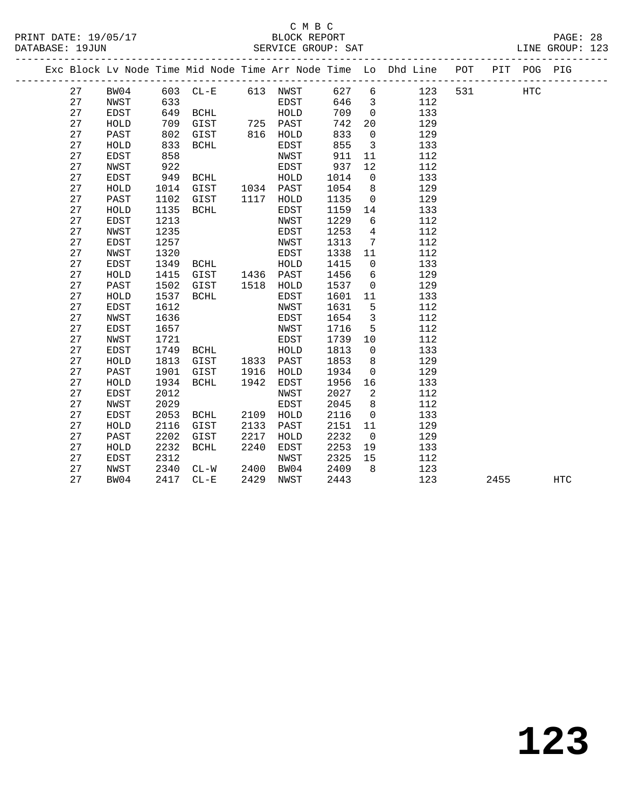#### C M B C<br>BLOCK REPORT PRINT DATE: 19/05/17 BLOCK REPORT PAGE: 28 SERVICE GROUP: SAT

|          |              |              |                                            |      |              |              |                                  | Exc Block Lv Node Time Mid Node Time Arr Node Time Lo Dhd Line POT |     |      | PIT POG PIG |            |
|----------|--------------|--------------|--------------------------------------------|------|--------------|--------------|----------------------------------|--------------------------------------------------------------------|-----|------|-------------|------------|
| 27       | BW04         |              | 603 CL-E 613 NWST                          |      |              | 627          | $6\overline{6}$                  | 123                                                                | 531 |      | <b>HTC</b>  |            |
| 27       | NWST         | 633          |                                            |      | EDST         | 646          | $\overline{\mathbf{3}}$          | 112                                                                |     |      |             |            |
| 27       | EDST         | 649          | BCHL                                       |      | HOLD         | 709          | $\overline{0}$                   | 133                                                                |     |      |             |            |
| 27       | HOLD         | 709          | سىمہ بہت<br>GIST 725 PAST<br>GIST 816 HOLD |      |              | 742          | 20                               | 129                                                                |     |      |             |            |
| 27       | PAST         | 802          |                                            |      |              | 833          | $\overline{0}$                   | 129                                                                |     |      |             |            |
| 27       | HOLD         | 833          | BCHL                                       |      | EDST         | 855          | $\overline{\mathbf{3}}$          | 133                                                                |     |      |             |            |
| 27       | EDST         | 858          |                                            |      | NWST         | 911          | 11                               | 112                                                                |     |      |             |            |
| 27       | NWST         | 922          |                                            |      | EDST         | 937          | 12                               | 112                                                                |     |      |             |            |
| 27       | EDST         | 949          | BCHL                                       |      | HOLD         | 1014         | $\overline{0}$                   | 133                                                                |     |      |             |            |
| 27       | ${\tt HOLD}$ | 1014         | GIST 1034 PAST                             |      |              | 1054         | 8                                | 129                                                                |     |      |             |            |
| 27       | PAST         | 1102         | GIST                                       |      | 1117 HOLD    | 1135         | $\overline{0}$                   | 129                                                                |     |      |             |            |
| 27       | HOLD         | 1135         | BCHL                                       |      | EDST         | 1159         | 14                               | 133                                                                |     |      |             |            |
| 27       | EDST         | 1213         |                                            |      | NWST         | 1229         | 6                                | 112                                                                |     |      |             |            |
| 27       | NWST         | 1235         |                                            |      | EDST         | 1253         | $\overline{4}$                   | 112                                                                |     |      |             |            |
| 27       | <b>EDST</b>  | 1257         |                                            |      | NWST         | 1313         | $\overline{7}$                   | 112                                                                |     |      |             |            |
| 27       | NWST         | 1320         |                                            |      | EDST         | 1338         | 11                               | 112                                                                |     |      |             |            |
| 27       | EDST         | 1349         | BCHL                                       |      | HOLD         | 1415         | $\mathbf 0$                      | 133                                                                |     |      |             |            |
| 27       | HOLD         | 1415         | GIST 1436 PAST<br>GIST 1518 HOLD           |      |              | 1456         | 6                                | 129                                                                |     |      |             |            |
| 27       | PAST         | 1502         |                                            |      |              | 1537         | $\overline{0}$                   | 129                                                                |     |      |             |            |
| 27       | HOLD         | 1537         | BCHL                                       |      | EDST         | 1601         | 11                               | 133                                                                |     |      |             |            |
| 27       | EDST         | 1612         |                                            |      | NWST         | 1631         | $5^{\circ}$                      | 112                                                                |     |      |             |            |
| 27       | NWST         | 1636         |                                            |      | EDST         | 1654         | $\overline{\mathbf{3}}$          | 112                                                                |     |      |             |            |
| 27       | EDST         | 1657         |                                            |      | NWST         | 1716         | 5                                | 112                                                                |     |      |             |            |
| 27       | NWST         | 1721         |                                            |      | EDST         | 1739         | 10                               | 112                                                                |     |      |             |            |
| 27       | EDST         | 1749         | BCHL                                       |      | HOLD         | 1813         | $\overline{0}$                   | 133                                                                |     |      |             |            |
| 27       | HOLD         | 1813         | GIST                                       |      | 1833 PAST    | 1853         | 8                                | 129                                                                |     |      |             |            |
| 27       | PAST         | 1901         | GIST                                       |      | 1916 HOLD    | 1934         | $\overline{0}$                   | 129                                                                |     |      |             |            |
| 27<br>27 | HOLD         | 1934         | BCHL                                       | 1942 | EDST         | 1956         | 16                               | 133                                                                |     |      |             |            |
| 27       | EDST<br>NWST | 2012<br>2029 |                                            |      | NWST<br>EDST | 2027<br>2045 | $\overline{2}$<br>8 <sup>8</sup> | 112<br>112                                                         |     |      |             |            |
| 27       | EDST         | 2053         | BCHL                                       | 2109 | HOLD         | 2116         | $\overline{0}$                   | 133                                                                |     |      |             |            |
| 27       | HOLD         | 2116         | GIST                                       | 2133 | PAST         | 2151         | 11                               | 129                                                                |     |      |             |            |
| 27       | PAST         | 2202         | GIST                                       | 2217 | HOLD         | 2232         | $\overline{0}$                   | 129                                                                |     |      |             |            |
| 27       | HOLD         | 2232         | BCHL                                       | 2240 | EDST         | 2253         | 19                               | 133                                                                |     |      |             |            |
| 27       | EDST         | 2312         |                                            |      | NWST         | 2325         | 15                               | 112                                                                |     |      |             |            |
| 27       | NWST         | 2340         | $CL-W$                                     | 2400 | BW04         | 2409         | 8 <sup>8</sup>                   | 123                                                                |     |      |             |            |
| 27       | BW04         |              | 2417 CL-E                                  | 2429 | NWST         | 2443         |                                  | 123                                                                |     | 2455 |             | <b>HTC</b> |
|          |              |              |                                            |      |              |              |                                  |                                                                    |     |      |             |            |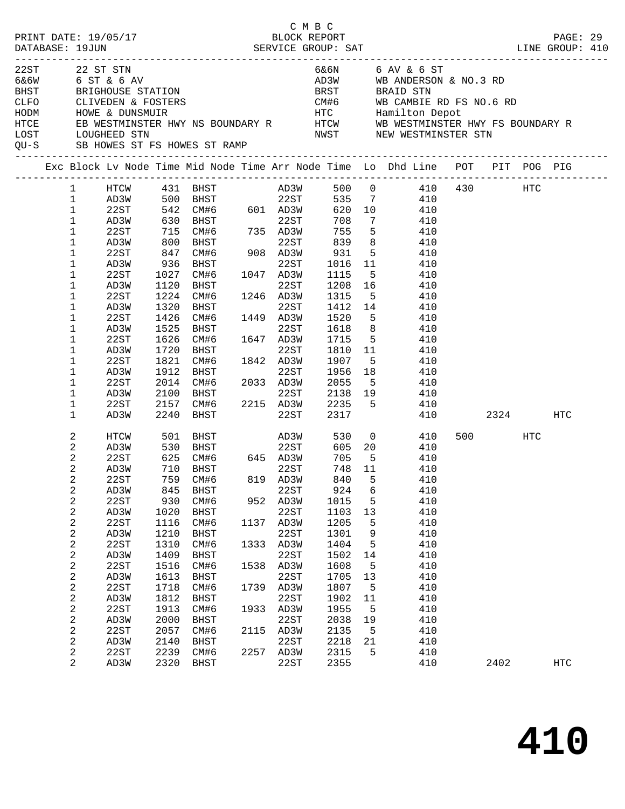| PRINT DATE: 19/05/17 |                |                                                                |            |                                                                  |      | СМВС<br>BLOCK REPORT |                     |                 |                                                                                                                                             |          |         | PAGE: 29   |  |
|----------------------|----------------|----------------------------------------------------------------|------------|------------------------------------------------------------------|------|----------------------|---------------------|-----------------|---------------------------------------------------------------------------------------------------------------------------------------------|----------|---------|------------|--|
|                      |                |                                                                |            |                                                                  |      |                      |                     |                 |                                                                                                                                             |          |         |            |  |
| 22ST                 |                | 22 ST STN                                                      |            |                                                                  |      |                      |                     |                 | 6&6N 6 AV & 6 ST                                                                                                                            |          |         |            |  |
|                      |                | 6&6W 6 ST & 6 AV                                               |            |                                                                  |      |                      |                     |                 | AD3W WB ANDERSON & NO.3 RD                                                                                                                  |          |         |            |  |
|                      |                | BHST BRIGHOUSE STATION                                         |            |                                                                  |      |                      |                     |                 | BRST BRAID STN                                                                                                                              |          |         |            |  |
|                      |                |                                                                |            |                                                                  |      |                      |                     |                 |                                                                                                                                             |          |         |            |  |
|                      |                | CLFO        CLIVEDEN & FOSTERS<br>HODM         HOWE & DUNSMUIR |            |                                                                  |      |                      |                     |                 |                                                                                                                                             |          |         |            |  |
| HTCE                 |                |                                                                |            |                                                                  |      |                      |                     |                 |                                                                                                                                             |          |         |            |  |
| LOST                 |                | LOUGHEED STN                                                   |            |                                                                  |      |                      |                     |                 | NWST NEW WESTMINSTER STN                                                                                                                    |          |         |            |  |
|                      |                |                                                                |            | QU-S SB HOWES ST FS HOWES ST RAMP                                |      |                      |                     |                 |                                                                                                                                             |          |         |            |  |
|                      |                |                                                                |            |                                                                  |      |                      |                     |                 | Exc Block Lv Node Time Mid Node Time Arr Node Time Lo Dhd Line POT PIT POG PIG                                                              |          |         |            |  |
|                      | 1              |                                                                |            |                                                                  |      |                      |                     |                 | $\begin{tabular}{lcccccc} HTCW & 431 & BHST & AD3W & 500 & 0 & 410 & 430 & HTC \\ AD3W & 500 & BHST & 22ST & 535 & 7 & 410 & \end{tabular}$ |          |         |            |  |
|                      | $\mathbf 1$    |                                                                |            |                                                                  |      |                      |                     |                 |                                                                                                                                             |          |         |            |  |
|                      | $\mathbf 1$    | 22ST                                                           |            | $542$ CM#6 601 AD3W<br>630 BHST<br>715 CM#6 735 AD3W<br>800 BHST |      |                      | 620 10              |                 | 410                                                                                                                                         |          |         |            |  |
|                      | $\mathbf 1$    | AD3W                                                           |            |                                                                  |      |                      | 708                 | $7\phantom{.0}$ | 410                                                                                                                                         |          |         |            |  |
|                      | $\mathbf 1$    | 22ST                                                           |            |                                                                  |      |                      | $752$<br>839<br>931 | 5 <sub>5</sub>  | 410                                                                                                                                         |          |         |            |  |
|                      | 1              | AD3W                                                           |            |                                                                  |      | 22ST                 |                     | 8 <sup>8</sup>  | 410                                                                                                                                         |          |         |            |  |
|                      | 1              | 22ST                                                           | 847        |                                                                  |      |                      | 931                 | $5^{\circ}$     | 410                                                                                                                                         |          |         |            |  |
|                      | 1              | AD3W                                                           | 936        | BHST                                                             |      | 22ST                 | 1016 11             |                 | 410                                                                                                                                         |          |         |            |  |
|                      | 1              | 22ST                                                           | 1027       | CM#6 1047 AD3W<br>BHST 22ST                                      |      |                      | 1115                | $5^{\circ}$     | 410                                                                                                                                         |          |         |            |  |
|                      | 1              | AD3W                                                           | 1120       | BHST                                                             |      | 22ST                 | 1208 16             |                 | 410                                                                                                                                         |          |         |            |  |
|                      | 1              | 22ST                                                           | 1224       | CM#6 1246 AD3W                                                   |      |                      | 1315                |                 | 5 410                                                                                                                                       |          |         |            |  |
|                      | 1              | AD3W                                                           | 1320       | BHST                                                             |      | 22ST                 | 1412 14             |                 | 410                                                                                                                                         |          |         |            |  |
|                      | 1              | 22ST                                                           | 1426       | CM#6                                                             |      | 1449 AD3W            | 1520                | 5 <sup>5</sup>  | 410                                                                                                                                         |          |         |            |  |
|                      | 1              | AD3W                                                           | 1525       | BHST                                                             |      | 22ST                 | 1618                | 8 <sup>8</sup>  | 410                                                                                                                                         |          |         |            |  |
|                      | 1              | 22ST                                                           | 1626       | $CM#6$ $1647$ $AD3W$                                             |      |                      | 1715 5              |                 | 410                                                                                                                                         |          |         |            |  |
|                      | 1              | AD3W                                                           | 1720       | BHST                                                             |      | 22ST                 | 1810 11             |                 | 410                                                                                                                                         |          |         |            |  |
|                      | 1              | 22ST                                                           | 1821       | CM#6 1842 AD3W                                                   |      |                      | 1907                | 5 <sup>5</sup>  | 410                                                                                                                                         |          |         |            |  |
|                      | 1              | AD3W                                                           | 1912       | BHST                                                             |      | 22ST                 | 1956                | 18              | 410                                                                                                                                         |          |         |            |  |
|                      | 1              | 22ST                                                           |            | 2014 CM#6 2033 AD3W                                              |      |                      | 2055                | 5 <sup>5</sup>  | 410                                                                                                                                         |          |         |            |  |
|                      | 1              | AD3W                                                           | 2100       | <b>BHST</b>                                                      |      | 22ST                 |                     |                 | 2138 19 410                                                                                                                                 |          |         |            |  |
|                      | 1              | 22ST                                                           | 2157       |                                                                  |      |                      |                     |                 | CM#6 2215 AD3W 2235 5 410                                                                                                                   |          |         |            |  |
|                      | $\mathbf 1$    | AD3W                                                           | 2240       | BHST                                                             |      | 22ST                 | 2317                |                 |                                                                                                                                             | 410 2324 |         | HTC        |  |
|                      | 2              | HTCW                                                           |            | 501 BHST                                                         |      | AD3W                 |                     |                 | 530 0<br>410                                                                                                                                |          | 500 HTC |            |  |
|                      | $\overline{a}$ | AD3W                                                           | 530        | BHST 22ST<br>CM#6 645 AD3W<br>-----                              |      | 22ST                 |                     |                 | 605 20 410                                                                                                                                  |          |         |            |  |
|                      | 2              | 22ST                                                           | 625<br>710 |                                                                  |      |                      | 705                 | $-5$            | 410                                                                                                                                         |          |         |            |  |
|                      | $\sqrt{2}$     | AD3W                                                           |            | 710 BHST                                                         |      | 22ST                 | 748 11              |                 | 410                                                                                                                                         |          |         |            |  |
|                      | 2              | 22ST                                                           |            | 759 CM#6                                                         |      | 819 AD3W             |                     |                 | 840 5 410                                                                                                                                   |          |         |            |  |
|                      | 2              | AD3W                                                           | 845        | BHST                                                             |      | 22ST                 | 924                 | 6               | 410                                                                                                                                         |          |         |            |  |
|                      | $\sqrt{2}$     | 22ST                                                           | 930        | CM#6                                                             |      | 952 AD3W             | 1015                | 5               | 410                                                                                                                                         |          |         |            |  |
|                      | $\sqrt{2}$     | AD3W                                                           | 1020       | BHST                                                             |      | 22ST                 | 1103                | 13              | 410                                                                                                                                         |          |         |            |  |
|                      | 2              | 22ST                                                           | 1116       | CM#6                                                             | 1137 | AD3W                 | 1205                | 5               | 410                                                                                                                                         |          |         |            |  |
|                      | 2              | AD3W                                                           | 1210       | BHST                                                             |      | 22ST                 | 1301                | 9               | 410                                                                                                                                         |          |         |            |  |
|                      | 2              | 22ST                                                           | 1310       | CM#6                                                             | 1333 | AD3W                 | 1404                | 5               | 410                                                                                                                                         |          |         |            |  |
|                      | $\sqrt{2}$     | AD3W                                                           | 1409       | BHST                                                             |      | 22ST                 | 1502                | 14              | 410                                                                                                                                         |          |         |            |  |
|                      | 2              | 22ST                                                           | 1516       | CM#6                                                             |      | 1538 AD3W            | 1608                | 5               | 410                                                                                                                                         |          |         |            |  |
|                      | $\sqrt{2}$     | AD3W                                                           | 1613       | <b>BHST</b>                                                      |      | 22ST                 | 1705                | 13              | 410                                                                                                                                         |          |         |            |  |
|                      | 2              | 22ST                                                           | 1718       | CM#6                                                             | 1739 | AD3W                 | 1807                | 5               | 410                                                                                                                                         |          |         |            |  |
|                      | $\sqrt{2}$     | AD3W                                                           | 1812       | BHST                                                             |      | 22ST                 | 1902                | 11              | 410                                                                                                                                         |          |         |            |  |
|                      | 2              | 22ST                                                           | 1913       | CM#6                                                             | 1933 | AD3W                 | 1955                | 5               | 410                                                                                                                                         |          |         |            |  |
|                      | $\sqrt{2}$     | AD3W                                                           | 2000       | BHST                                                             |      | 22ST                 | 2038                | 19              | 410                                                                                                                                         |          |         |            |  |
|                      | 2              | 22ST                                                           | 2057       | CM#6                                                             | 2115 | AD3W                 | 2135                | 5               | 410                                                                                                                                         |          |         |            |  |
|                      | $\sqrt{2}$     | AD3W                                                           | 2140       | BHST                                                             |      | 22ST                 | 2218                | 21              | 410                                                                                                                                         |          |         |            |  |
|                      | $\overline{c}$ | 22ST                                                           | 2239       | CM#6                                                             |      | 2257 AD3W            | 2315                | 5               | 410                                                                                                                                         |          |         |            |  |
|                      | $\overline{a}$ | AD3W                                                           | 2320       | BHST                                                             |      | 22ST                 | 2355                |                 | 410                                                                                                                                         |          | 2402    | <b>HTC</b> |  |
|                      |                |                                                                |            |                                                                  |      |                      |                     |                 |                                                                                                                                             |          |         |            |  |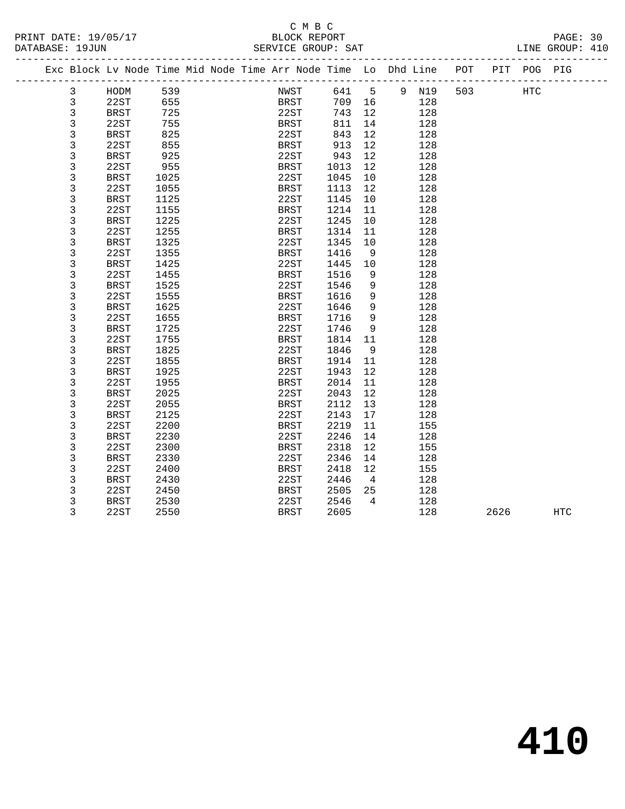#### C M B C DATABASE: 19JUN SERVICE GROUP: SAT

 3 BRST 1325 22ST 1345 10 128 3 22ST 1355 BRST 1416 9 128 3 BRST 1425 22ST 1445 10 128 3 22ST 1455 BRST 1516 9 128 3 BRST 1525 22ST 1546 9 128 3 22ST 1555 BRST 1616 9 128 3 BRST 1625 22ST 1646 9 128 3 22ST 1655 BRST 1716 9 128 3 BRST 1725 22ST 1746 9 128 3 22ST 1755 BRST 1814 11 128 3 BRST 1825 22ST 1846 9 128 3 22ST 1855 BRST 1914 11 128 3 BRST 1925 22ST 1943 12 128 3 22ST 1955 BRST 2014 11 128 3 BRST 2025 22ST 2043 12 128 3 22ST 2055 BRST 2112 13 128 3 BRST 2125 22ST 2143 17 128 3 22ST 2200 BRST 2219 11 155 3 BRST 2230 22ST 2246 14 128 3 22ST 2300 BRST 2318 12 155 3 BRST 2330 22ST 2346 14 128 3 22ST 2400 BRST 2418 12 155 3 BRST 2430 22ST 2446 4 128 3 22ST 2450 BRST 2505 25 128 3 BRST 2530 22ST 2546 4 128

|   | Exc Block Ly Node Time Mid Node Time Arr Node Time Lo Dhd Line |      |  |             |      |    |   |     | POT | PIT | POG | PIG |
|---|----------------------------------------------------------------|------|--|-------------|------|----|---|-----|-----|-----|-----|-----|
| 3 | HODM                                                           | 539  |  | NWST        | 641  | 5  | 9 | N19 | 503 |     | HTC |     |
| 3 | 22ST                                                           | 655  |  | <b>BRST</b> | 709  | 16 |   | 128 |     |     |     |     |
| 3 | <b>BRST</b>                                                    | 725  |  | 22ST        | 743  | 12 |   | 128 |     |     |     |     |
|   | 22ST                                                           | 755  |  | <b>BRST</b> | 811  | 14 |   | 128 |     |     |     |     |
| 3 | <b>BRST</b>                                                    | 825  |  | 22ST        | 843  | 12 |   | 128 |     |     |     |     |
| 3 | 22ST                                                           | 855  |  | <b>BRST</b> | 913  | 12 |   | 128 |     |     |     |     |
| 3 | BRST                                                           | 925  |  | 22ST        | 943  | 12 |   | 128 |     |     |     |     |
| 3 | 22ST                                                           | 955  |  | BRST        | 1013 | 12 |   | 128 |     |     |     |     |
|   | <b>BRST</b>                                                    | 1025 |  | 22ST        | 1045 | 10 |   | 128 |     |     |     |     |
|   | 22ST                                                           | 1055 |  | <b>BRST</b> | 1113 | 12 |   | 128 |     |     |     |     |
| 3 | BRST                                                           | 1125 |  | 22ST        | 1145 | 10 |   | 128 |     |     |     |     |
| 3 | 22ST                                                           | 1155 |  | <b>BRST</b> | 1214 | 11 |   | 128 |     |     |     |     |
|   | <b>BRST</b>                                                    | 1225 |  | 22ST        | 1245 | 10 |   | 128 |     |     |     |     |
|   | 22ST                                                           | 1255 |  | BRST        | 1314 | 11 |   | 128 |     |     |     |     |

3 22ST 2550 BRST 2605 128 2626 HTC

**410**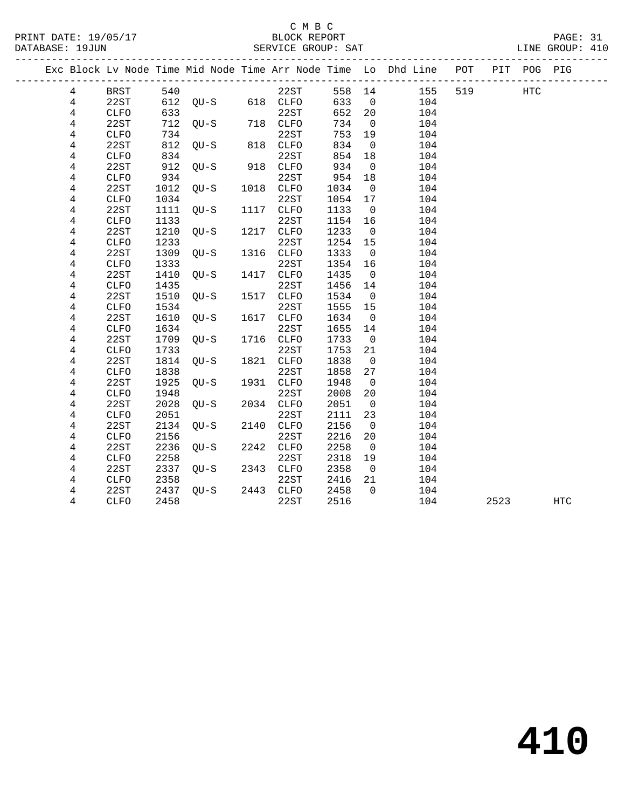|  |                |              |      |                   |      |             |        |                          | Exc Block Lv Node Time Mid Node Time Arr Node Time Lo Dhd Line POT |     |      | PIT POG PIG |     |
|--|----------------|--------------|------|-------------------|------|-------------|--------|--------------------------|--------------------------------------------------------------------|-----|------|-------------|-----|
|  | $\overline{4}$ | BRST         |      | 540               |      | 22ST        | 558 14 |                          | 155                                                                | 519 |      | HTC         |     |
|  | $\overline{4}$ | 22ST         |      | 612 QU-S 618 CLFO |      |             | 633    | $\overline{0}$           | 104                                                                |     |      |             |     |
|  | $\overline{4}$ | CLFO         | 633  |                   |      | 22ST        | 652    | 20                       | 104                                                                |     |      |             |     |
|  | 4              | 22ST         |      | 712 QU-S          |      | 718 CLFO    | 734    | $\overline{0}$           | 104                                                                |     |      |             |     |
|  | $\overline{4}$ | <b>CLFO</b>  | 734  |                   |      | 22ST        | 753    | 19                       | 104                                                                |     |      |             |     |
|  | 4              | 22ST         | 812  | $QU-S$            |      | 818 CLFO    | 834    | $\overline{0}$           | 104                                                                |     |      |             |     |
|  | 4              | CLFO         | 834  |                   |      | 22ST        | 854    | 18                       | 104                                                                |     |      |             |     |
|  | 4              | 22ST         | 912  | $QU-S$            | 918  | <b>CLFO</b> | 934    | $\overline{0}$           | 104                                                                |     |      |             |     |
|  | 4              | <b>CLFO</b>  | 934  |                   |      | 22ST        | 954    | 18                       | 104                                                                |     |      |             |     |
|  | $\overline{4}$ | 22ST         | 1012 | QU-S              |      | 1018 CLFO   | 1034   | $\overline{0}$           | 104                                                                |     |      |             |     |
|  | 4              | <b>CLFO</b>  | 1034 |                   |      | 22ST        | 1054   | 17                       | 104                                                                |     |      |             |     |
|  | 4              | 22ST         | 1111 | QU-S              |      | 1117 CLFO   | 1133   | $\overline{\mathbf{0}}$  | 104                                                                |     |      |             |     |
|  | 4              | <b>CLFO</b>  | 1133 |                   |      | 22ST        | 1154   | 16                       | 104                                                                |     |      |             |     |
|  | 4              | 22ST         | 1210 | QU-S              |      | 1217 CLFO   | 1233   | $\overline{\mathbf{0}}$  | 104                                                                |     |      |             |     |
|  | 4              | ${\tt CLFO}$ | 1233 |                   |      | 22ST        | 1254   | 15                       | 104                                                                |     |      |             |     |
|  | 4              | 22ST         | 1309 | QU-S              |      | 1316 CLFO   | 1333   | $\overline{0}$           | 104                                                                |     |      |             |     |
|  | 4              | <b>CLFO</b>  | 1333 |                   |      | 22ST        | 1354   | 16                       | 104                                                                |     |      |             |     |
|  | 4              | 22ST         | 1410 | $QU-S$            | 1417 | CLFO        | 1435   | $\overline{0}$           | 104                                                                |     |      |             |     |
|  | 4              | <b>CLFO</b>  | 1435 |                   |      | 22ST        | 1456   | 14                       | 104                                                                |     |      |             |     |
|  | 4              | 22ST         | 1510 | QU-S              |      | 1517 CLFO   | 1534   | $\overline{\phantom{0}}$ | 104                                                                |     |      |             |     |
|  | 4              | <b>CLFO</b>  | 1534 |                   |      | 22ST        | 1555   | 15                       | 104                                                                |     |      |             |     |
|  | 4              | 22ST         | 1610 | $QU-S$            | 1617 | <b>CLFO</b> | 1634   | $\overline{0}$           | 104                                                                |     |      |             |     |
|  | $\overline{4}$ | ${\tt CLFO}$ | 1634 |                   |      | 22ST        | 1655   | 14                       | 104                                                                |     |      |             |     |
|  | 4              | 22ST         | 1709 | $QU-S$            |      | 1716 CLFO   | 1733   | $\overline{\mathbf{0}}$  | 104                                                                |     |      |             |     |
|  | 4              | <b>CLFO</b>  | 1733 |                   |      | 22ST        | 1753   | 21                       | 104                                                                |     |      |             |     |
|  | 4              | 22ST         | 1814 | QU-S              |      | 1821 CLFO   | 1838   | $\overline{0}$           | 104                                                                |     |      |             |     |
|  | 4              | ${\tt CLFO}$ | 1838 |                   |      | 22ST        | 1858   | 27                       | 104                                                                |     |      |             |     |
|  | 4              | 22ST         | 1925 | OU-S              |      | 1931 CLFO   | 1948   | $\overline{0}$           | 104                                                                |     |      |             |     |
|  | 4              | <b>CLFO</b>  | 1948 |                   |      | 22ST        | 2008   | 20                       | 104                                                                |     |      |             |     |
|  | 4              | 22ST         | 2028 | QU-S              |      | 2034 CLFO   | 2051   | $\overline{0}$           | 104                                                                |     |      |             |     |
|  | 4              | CLFO         | 2051 |                   |      | 22ST        | 2111   | 23                       | 104                                                                |     |      |             |     |
|  | 4              | 22ST         | 2134 | OU-S              |      | 2140 CLFO   | 2156   | $\overline{0}$           | 104                                                                |     |      |             |     |
|  | 4              | ${\tt CLFO}$ | 2156 |                   |      | 22ST        | 2216   | 20                       | 104                                                                |     |      |             |     |
|  | 4              | 22ST         | 2236 | QU-S              |      | 2242 CLFO   | 2258   | $\overline{0}$           | 104                                                                |     |      |             |     |
|  | 4              | CLFO         | 2258 |                   |      | 22ST        | 2318   | 19                       | 104                                                                |     |      |             |     |
|  | 4              | 22ST         | 2337 | OU-S              |      | 2343 CLFO   | 2358   | $\overline{0}$           | 104                                                                |     |      |             |     |
|  | 4              | <b>CLFO</b>  | 2358 |                   |      | 22ST        | 2416   | 21                       | 104                                                                |     |      |             |     |
|  | 4              | 22ST         |      | 2437 QU-S         |      | 2443 CLFO   | 2458   | $\overline{0}$           | 104                                                                |     |      |             |     |
|  | 4              | CLFO         | 2458 |                   |      | 22ST        | 2516   |                          | 104                                                                |     | 2523 |             | HTC |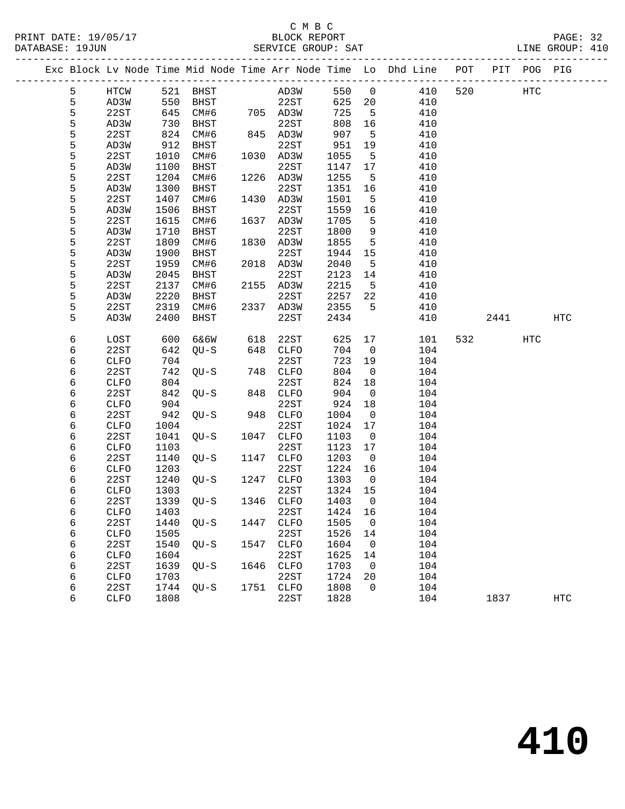#### C M B C<br>BLOCK REPORT PRINT DATE: 19/05/17 BLOCK REPORT PAGE: 32 SERVICE GROUP: SAT

|   |             |      |                |      |           |         |                          | Exc Block Lv Node Time Mid Node Time Arr Node Time Lo Dhd Line POT |     |      | PIT POG PIG |            |
|---|-------------|------|----------------|------|-----------|---------|--------------------------|--------------------------------------------------------------------|-----|------|-------------|------------|
| 5 | HTCW        |      | 521 BHST       |      | AD3W      | 550 0   |                          | 410                                                                | 520 | HTC  |             |            |
| 5 | AD3W        | 550  | BHST           |      | 22ST      | 625 20  |                          | 410                                                                |     |      |             |            |
| 5 | 22ST        | 645  | CM#6 705 AD3W  |      |           | 725     | $5^{\circ}$              | 410                                                                |     |      |             |            |
| 5 | AD3W        | 730  | BHST           |      | 22ST      | 808     | 16                       | 410                                                                |     |      |             |            |
| 5 | 22ST        | 824  | CM#6           |      | 845 AD3W  | 907     | $5^{\circ}$              | 410                                                                |     |      |             |            |
| 5 | AD3W        | 912  | BHST           |      | 22ST      | 951     | 19                       | 410                                                                |     |      |             |            |
| 5 | 22ST        | 1010 | CM#6           |      | 1030 AD3W | 1055    | $-5$                     | 410                                                                |     |      |             |            |
| 5 | AD3W        | 1100 | BHST           |      | 22ST      | 1147    | 17                       | 410                                                                |     |      |             |            |
| 5 | 22ST        | 1204 | CM#6           |      | 1226 AD3W | 1255    | $-5$                     | 410                                                                |     |      |             |            |
| 5 | AD3W        | 1300 | BHST           |      | 22ST      | 1351    | 16                       | 410                                                                |     |      |             |            |
| 5 | 22ST        | 1407 | CM#6           |      | 1430 AD3W | 1501    | $-5$                     | 410                                                                |     |      |             |            |
| 5 | AD3W        | 1506 | BHST           |      | 22ST      | 1559    | 16                       | 410                                                                |     |      |             |            |
| 5 | 22ST        | 1615 | CM#6           |      | 1637 AD3W | 1705    | 5                        | 410                                                                |     |      |             |            |
| 5 | AD3W        | 1710 | BHST           |      | 22ST      | 1800    | 9                        | 410                                                                |     |      |             |            |
| 5 | 22ST        | 1809 | CM#6           |      | 1830 AD3W | 1855    | $5^{\circ}$              | 410                                                                |     |      |             |            |
| 5 | AD3W        | 1900 | BHST           |      | 22ST      | 1944    | 15                       | 410                                                                |     |      |             |            |
| 5 | 22ST        | 1959 | CM#6           |      | 2018 AD3W | 2040    | $-5$                     | 410                                                                |     |      |             |            |
| 5 | AD3W        | 2045 | BHST           |      | 22ST      | 2123    | 14                       | 410                                                                |     |      |             |            |
| 5 | 22ST        | 2137 | CM#6           |      | 2155 AD3W | 2215    | $5^{\circ}$              | 410                                                                |     |      |             |            |
| 5 | AD3W        | 2220 | BHST           |      | 22ST      | 2257    | 22                       | 410                                                                |     |      |             |            |
| 5 | 22ST        | 2319 | CM#6           |      | 2337 AD3W | 2355    | 5                        | 410                                                                |     |      |             |            |
| 5 | AD3W        | 2400 | BHST           |      | 22ST      | 2434    |                          | 410                                                                |     | 2441 |             | HTC        |
| 6 | LOST        | 600  | 6&6W           | 618  | 22ST      | 625     | 17                       | 101                                                                |     | 532  | HTC         |            |
| 6 | 22ST        | 642  | QU-S           |      | 648 CLFO  | 704     | $\overline{0}$           | 104                                                                |     |      |             |            |
| 6 | CLFO        | 704  |                |      | 22ST      | 723     | 19                       | 104                                                                |     |      |             |            |
| 6 | 22ST        | 742  | QU-S           |      | 748 CLFO  | 804     | $\overline{0}$           | 104                                                                |     |      |             |            |
| 6 | <b>CLFO</b> | 804  |                |      | 22ST      | 824     | 18                       | 104                                                                |     |      |             |            |
| 6 | 22ST        | 842  | OU-S           |      | 848 CLFO  | 904     | $\overline{0}$           | 104                                                                |     |      |             |            |
| 6 | CLFO        | 904  |                |      | 22ST      | 924     | 18                       | 104                                                                |     |      |             |            |
| 6 | 22ST        | 942  | QU-S           |      | 948 CLFO  | 1004    | $\overline{0}$           | 104                                                                |     |      |             |            |
| 6 | <b>CLFO</b> | 1004 |                |      | 22ST      | 1024    | 17                       | 104                                                                |     |      |             |            |
| 6 | 22ST        | 1041 | QU-S           | 1047 | CLFO      | 1103    | $\overline{\mathbf{0}}$  | 104                                                                |     |      |             |            |
| 6 | <b>CLFO</b> | 1103 |                |      | 22ST      | 1123    | 17                       | 104                                                                |     |      |             |            |
| 6 | 22ST        | 1140 | QU-S           |      | 1147 CLFO | 1203    | $\overline{0}$           | 104                                                                |     |      |             |            |
| 6 | CLFO        | 1203 |                |      | 22ST      | 1224    | 16                       | 104                                                                |     |      |             |            |
| 6 | 22ST        | 1240 | OU-S           | 1247 | CLFO      | 1303    | $\overline{0}$           | 104                                                                |     |      |             |            |
| 6 | CLFO        | 1303 |                |      | 22ST      | 1324    | 15                       | 104                                                                |     |      |             |            |
| 6 | 22ST        | 1339 | $QU-S$         |      | 1346 CLFO | 1403    | $\overline{0}$           | 104                                                                |     |      |             |            |
| 6 |             |      | CLFO 1403 22ST |      |           | 1424 16 |                          | 104                                                                |     |      |             |            |
| 6 | 22ST        | 1440 | QU-S           | 1447 | CLFO      | 1505    | $\overline{\phantom{0}}$ | 104                                                                |     |      |             |            |
| 6 | <b>CLFO</b> | 1505 |                |      | 22ST      | 1526    | 14                       | 104                                                                |     |      |             |            |
| 6 | 22ST        | 1540 | QU-S           | 1547 | CLFO      | 1604    | $\overline{0}$           | 104                                                                |     |      |             |            |
| 6 | CLFO        | 1604 |                |      | 22ST      | 1625    | 14                       | 104                                                                |     |      |             |            |
| 6 | 22ST        | 1639 | $QU-S$         | 1646 | CLFO      | 1703    | 0                        | 104                                                                |     |      |             |            |
| 6 | CLFO        | 1703 |                |      | 22ST      | 1724    | 20                       | 104                                                                |     |      |             |            |
| 6 | 22ST        | 1744 | $QU-S$         | 1751 | CLFO      | 1808    | $\mathbf 0$              | 104                                                                |     |      |             |            |
| 6 | <b>CLFO</b> | 1808 |                |      | 22ST      | 1828    |                          | 104                                                                |     | 1837 |             | <b>HTC</b> |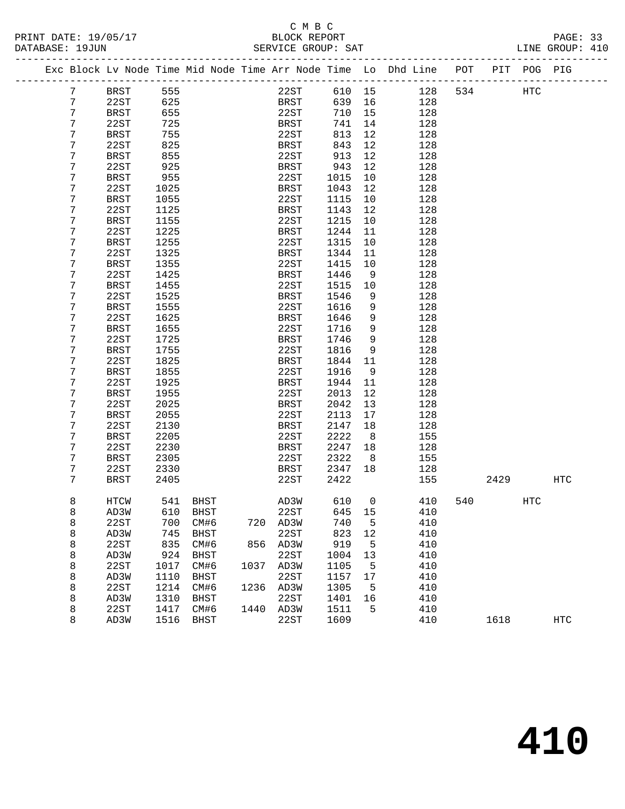# C M B C<br>BLOCK REPORT

| PRINT DATE: 19/05/17 | BLOCK REPORT       | PAGE: 33        |  |
|----------------------|--------------------|-----------------|--|
| DATABASE: 19JUN      | SERVICE GROUP: SAT | LINE GROUP: 410 |  |
|                      |                    |                 |  |

|  |   |             |      |             |      |             |        |    | Exc Block Lv Node Time Mid Node Time Arr Node Time Lo Dhd Line | POT | PIT  | POG PIG           |            |
|--|---|-------------|------|-------------|------|-------------|--------|----|----------------------------------------------------------------|-----|------|-------------------|------------|
|  | 7 | <b>BRST</b> | 555  |             |      | 22ST        | 610 15 |    | 128                                                            | 534 |      | $_{\mathrm{HTC}}$ |            |
|  | 7 | 22ST        | 625  |             |      | BRST        | 639    | 16 | 128                                                            |     |      |                   |            |
|  | 7 | <b>BRST</b> | 655  |             |      | 22ST        | 710    | 15 | 128                                                            |     |      |                   |            |
|  | 7 | 22ST        | 725  |             |      | BRST        | 741    | 14 | 128                                                            |     |      |                   |            |
|  | 7 | <b>BRST</b> | 755  |             |      | 22ST        | 813    | 12 | 128                                                            |     |      |                   |            |
|  | 7 | 22ST        | 825  |             |      | BRST        | 843    | 12 | 128                                                            |     |      |                   |            |
|  | 7 | <b>BRST</b> | 855  |             |      | 22ST        | 913    | 12 | 128                                                            |     |      |                   |            |
|  | 7 | 22ST        | 925  |             |      | BRST        | 943    | 12 | 128                                                            |     |      |                   |            |
|  | 7 | <b>BRST</b> | 955  |             |      | 22ST        | 1015   | 10 | 128                                                            |     |      |                   |            |
|  | 7 | 22ST        | 1025 |             |      | BRST        | 1043   | 12 | 128                                                            |     |      |                   |            |
|  | 7 | <b>BRST</b> | 1055 |             |      | 22ST        | 1115   | 10 | 128                                                            |     |      |                   |            |
|  | 7 | 22ST        | 1125 |             |      | BRST        | 1143   | 12 | 128                                                            |     |      |                   |            |
|  | 7 | <b>BRST</b> | 1155 |             |      | 22ST        | 1215   | 10 | 128                                                            |     |      |                   |            |
|  | 7 | 22ST        | 1225 |             |      | BRST        | 1244   | 11 | 128                                                            |     |      |                   |            |
|  | 7 | <b>BRST</b> | 1255 |             |      | 22ST        | 1315   | 10 | 128                                                            |     |      |                   |            |
|  | 7 | 22ST        | 1325 |             |      | BRST        | 1344   | 11 | 128                                                            |     |      |                   |            |
|  | 7 | <b>BRST</b> | 1355 |             |      | 22ST        | 1415   | 10 | 128                                                            |     |      |                   |            |
|  | 7 | 22ST        | 1425 |             |      | BRST        | 1446   | 9  | 128                                                            |     |      |                   |            |
|  | 7 | <b>BRST</b> | 1455 |             |      | 22ST        | 1515   | 10 | 128                                                            |     |      |                   |            |
|  | 7 | 22ST        | 1525 |             |      | BRST        | 1546   | 9  | 128                                                            |     |      |                   |            |
|  | 7 | <b>BRST</b> | 1555 |             |      | 22ST        | 1616   | 9  | 128                                                            |     |      |                   |            |
|  | 7 | 22ST        | 1625 |             |      | <b>BRST</b> | 1646   | 9  | 128                                                            |     |      |                   |            |
|  | 7 | <b>BRST</b> | 1655 |             |      | 22ST        | 1716   | 9  | 128                                                            |     |      |                   |            |
|  | 7 | 22ST        | 1725 |             |      | BRST        | 1746   | 9  | 128                                                            |     |      |                   |            |
|  | 7 | <b>BRST</b> | 1755 |             |      | 22ST        | 1816   | 9  | 128                                                            |     |      |                   |            |
|  | 7 | 22ST        | 1825 |             |      | <b>BRST</b> | 1844   | 11 | 128                                                            |     |      |                   |            |
|  | 7 | <b>BRST</b> | 1855 |             |      | 22ST        | 1916   | 9  | 128                                                            |     |      |                   |            |
|  | 7 | 22ST        | 1925 |             |      | BRST        | 1944   | 11 | 128                                                            |     |      |                   |            |
|  | 7 | <b>BRST</b> | 1955 |             |      | 22ST        | 2013   | 12 | 128                                                            |     |      |                   |            |
|  | 7 | 22ST        | 2025 |             |      | BRST        | 2042   | 13 | 128                                                            |     |      |                   |            |
|  | 7 | <b>BRST</b> | 2055 |             |      | 22ST        | 2113   | 17 | 128                                                            |     |      |                   |            |
|  | 7 | 22ST        | 2130 |             |      | BRST        | 2147   | 18 | 128                                                            |     |      |                   |            |
|  | 7 | <b>BRST</b> | 2205 |             |      | 22ST        | 2222   | 8  | 155                                                            |     |      |                   |            |
|  | 7 | 22ST        | 2230 |             |      | BRST        | 2247   | 18 | 128                                                            |     |      |                   |            |
|  | 7 | <b>BRST</b> | 2305 |             |      | 22ST        | 2322   | 8  | 155                                                            |     |      |                   |            |
|  | 7 | 22ST        | 2330 |             |      | BRST        | 2347   | 18 | 128                                                            |     |      |                   |            |
|  | 7 | BRST        | 2405 |             |      | 22ST        | 2422   |    | 155                                                            |     | 2429 |                   | HTC        |
|  | 8 | HTCW        | 541  | BHST        |      | AD3W        | 610    | 0  | 410                                                            | 540 |      | HTC               |            |
|  | 8 | AD3W        | 610  | <b>BHST</b> |      | 22ST        | 645    | 15 | 410                                                            |     |      |                   |            |
|  | 8 | 22ST        |      | 700 CM#6    |      | 720 AD3W    | 740    | 5  | 410                                                            |     |      |                   |            |
|  | 8 | AD3W        | 745  | BHST        |      | 22ST        | 823    | 12 | 410                                                            |     |      |                   |            |
|  | 8 | 22ST        | 835  | CM#6        |      | 856 AD3W    | 919    | 5  | 410                                                            |     |      |                   |            |
|  | 8 | AD3W        | 924  | <b>BHST</b> |      | 22ST        | 1004   | 13 | 410                                                            |     |      |                   |            |
|  | 8 | 22ST        | 1017 | CM#6        | 1037 | AD3W        | 1105   | 5  | 410                                                            |     |      |                   |            |
|  | 8 | AD3W        | 1110 | <b>BHST</b> |      | 22ST        | 1157   | 17 | 410                                                            |     |      |                   |            |
|  | 8 | 22ST        | 1214 | CM#6        | 1236 | AD3W        | 1305   | 5  | 410                                                            |     |      |                   |            |
|  | 8 | AD3W        | 1310 | BHST        |      | 22ST        | 1401   | 16 | 410                                                            |     |      |                   |            |
|  | 8 | 22ST        | 1417 | CM#6        |      | 1440 AD3W   | 1511   | 5  | 410                                                            |     |      |                   |            |
|  | 8 | AD3W        | 1516 | <b>BHST</b> |      | 22ST        | 1609   |    | 410                                                            |     | 1618 |                   | <b>HTC</b> |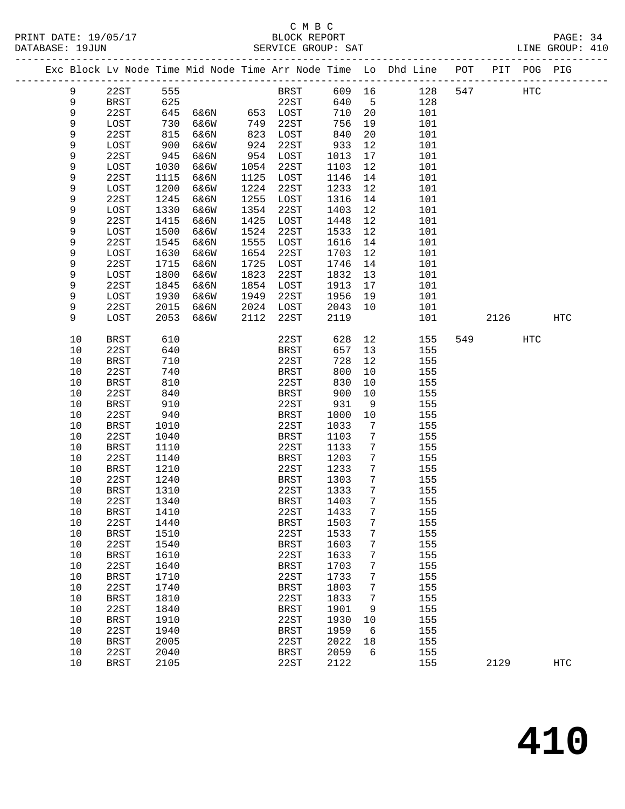# C M B C

| DATABASE: 19JUN |      |             |      |               |      | SERVICE GROUP: SAT |        |                 |                                                                                |     |      |     | LINE GROUP: 410 |  |
|-----------------|------|-------------|------|---------------|------|--------------------|--------|-----------------|--------------------------------------------------------------------------------|-----|------|-----|-----------------|--|
|                 |      |             |      |               |      |                    |        |                 | Exc Block Lv Node Time Mid Node Time Arr Node Time Lo Dhd Line POT PIT POG PIG |     |      |     |                 |  |
|                 | 9    | 22ST 555    |      |               |      | BRST 609 16        |        |                 | 128                                                                            | 547 | HTC  |     |                 |  |
|                 | 9    | BRST        | 625  |               |      | 22ST               | 640    | $5^{\circ}$     | 128                                                                            |     |      |     |                 |  |
|                 | 9    | 22ST        | 645  | 6&6N 653 LOST |      |                    | 710 20 |                 | 101                                                                            |     |      |     |                 |  |
|                 | 9    | LOST        | 730  | 6&6W          | 749  | 22ST               | 756    | 19              | 101                                                                            |     |      |     |                 |  |
|                 | 9    | 22ST        | 815  | 6&6N          | 823  | LOST               | 840    | 20              | 101                                                                            |     |      |     |                 |  |
|                 | 9    | LOST        | 900  | 6&6W          | 924  | 22ST               | 933    | 12              | 101                                                                            |     |      |     |                 |  |
|                 | 9    | 22ST        | 945  | 6&6N          | 954  | LOST               | 1013   | 17              | 101                                                                            |     |      |     |                 |  |
|                 | 9    | LOST        | 1030 | 6&6W          | 1054 | 22ST               | 1103   | 12              | 101                                                                            |     |      |     |                 |  |
|                 | 9    | 22ST        | 1115 | 6&6N          | 1125 | LOST               | 1146   | 14              | 101                                                                            |     |      |     |                 |  |
|                 | 9    | LOST        | 1200 | 6&6W          | 1224 | 22ST               | 1233   | 12              | 101                                                                            |     |      |     |                 |  |
|                 | 9    | 22ST        | 1245 | 6&6N          | 1255 | LOST               | 1316   | 14              | 101                                                                            |     |      |     |                 |  |
|                 | 9    | LOST        | 1330 | 6&6W          | 1354 | 22ST               | 1403   | 12              | 101                                                                            |     |      |     |                 |  |
|                 | 9    | 22ST        | 1415 | 6&6N          | 1425 | LOST               | 1448   | 12              | 101                                                                            |     |      |     |                 |  |
|                 | 9    | LOST        | 1500 | 6&6W          | 1524 | 22ST               | 1533   | 12              | 101                                                                            |     |      |     |                 |  |
|                 | 9    | 22ST        | 1545 | 6&6N          | 1555 | LOST               | 1616   | 14              | 101                                                                            |     |      |     |                 |  |
|                 | 9    | LOST        | 1630 | 6&6W          | 1654 | 22ST               | 1703   | 12              | 101                                                                            |     |      |     |                 |  |
|                 | 9    | 22ST        | 1715 | 6&6N          | 1725 | LOST               | 1746   | 14              | 101                                                                            |     |      |     |                 |  |
|                 | 9    | LOST        | 1800 | 6&6W          | 1823 | 22ST               | 1832   | 13              | 101                                                                            |     |      |     |                 |  |
|                 | 9    | 22ST        | 1845 | 6&6N          | 1854 | LOST               | 1913   | 17              | 101                                                                            |     |      |     |                 |  |
|                 | 9    | LOST        | 1930 | 6&6W          | 1949 | 22ST               | 1956   | 19              | 101                                                                            |     |      |     |                 |  |
|                 | 9    | 22ST        | 2015 | 6&6N          |      | 2024 LOST          | 2043   | 10              | 101                                                                            |     |      |     |                 |  |
|                 | 9    | LOST        | 2053 | 6&6W          | 2112 | 22ST               | 2119   |                 | 101                                                                            |     | 2126 |     | HTC             |  |
|                 |      |             |      |               |      |                    |        |                 |                                                                                |     |      |     |                 |  |
|                 | 10   | <b>BRST</b> | 610  |               |      | 22ST               | 628    | 12              | 155                                                                            |     | 549  | HTC |                 |  |
|                 | 10   | 22ST        | 640  |               |      | BRST               | 657    | 13              | 155                                                                            |     |      |     |                 |  |
|                 | 10   | BRST        | 710  |               |      | 22ST               | 728    | 12              | 155                                                                            |     |      |     |                 |  |
|                 | 10   | 22ST        | 740  |               |      | BRST               | 800    | 10              | 155                                                                            |     |      |     |                 |  |
|                 | 10   | BRST        | 810  |               |      | 22ST               | 830    | 10              | 155                                                                            |     |      |     |                 |  |
|                 | 10   | 22ST        | 840  |               |      | BRST               | 900    | 10              | 155                                                                            |     |      |     |                 |  |
|                 | 10   | BRST        | 910  |               |      | 22ST               | 931    | 9               | 155                                                                            |     |      |     |                 |  |
|                 | 10   | 22ST        | 940  |               |      | BRST               | 1000   | 10              | 155                                                                            |     |      |     |                 |  |
|                 | 10   | BRST        | 1010 |               |      | 22ST               | 1033   | 7               | 155                                                                            |     |      |     |                 |  |
|                 | 10   | 22ST        | 1040 |               |      | BRST               | 1103   | 7               | 155                                                                            |     |      |     |                 |  |
|                 | 10   | BRST        | 1110 |               |      | 22ST               | 1133   | $7\phantom{.0}$ | 155                                                                            |     |      |     |                 |  |
|                 | 10   | 22ST        | 1140 |               |      | BRST               | 1203   | 7               | 155                                                                            |     |      |     |                 |  |
|                 | 10   | BRST        | 1210 |               |      | 22ST               | 1233   | 7               | 155                                                                            |     |      |     |                 |  |
|                 | 10   | 22ST        | 1240 |               |      | BRST               | 1303   | $7\phantom{.0}$ | 155                                                                            |     |      |     |                 |  |
|                 | 10   | BRST        | 1310 |               |      | 22ST               | 1333   | $7\phantom{.0}$ | 155                                                                            |     |      |     |                 |  |
|                 | 10   | 22ST        | 1340 |               |      | BRST 1403 7        |        |                 | 155                                                                            |     |      |     |                 |  |
|                 | 10   | <b>BRST</b> | 1410 |               |      | 22ST               | 1433   | 7               | 155                                                                            |     |      |     |                 |  |
|                 | 10   | 22ST        | 1440 |               |      | <b>BRST</b>        | 1503   | 7               | 155                                                                            |     |      |     |                 |  |
|                 | $10$ | <b>BRST</b> | 1510 |               |      | 22ST               | 1533   | 7               | 155                                                                            |     |      |     |                 |  |
|                 | 10   | 22ST        | 1540 |               |      | <b>BRST</b>        | 1603   | 7               | 155                                                                            |     |      |     |                 |  |
|                 | 10   | <b>BRST</b> | 1610 |               |      | 22ST               | 1633   | 7               | 155                                                                            |     |      |     |                 |  |
|                 | 10   | 22ST        | 1640 |               |      | <b>BRST</b>        | 1703   | 7               | 155                                                                            |     |      |     |                 |  |
|                 | 10   | <b>BRST</b> | 1710 |               |      | 22ST               | 1733   | 7               | 155                                                                            |     |      |     |                 |  |
|                 | $10$ | 22ST        | 1740 |               |      | <b>BRST</b>        | 1803   | 7               | 155                                                                            |     |      |     |                 |  |
|                 | $10$ | <b>BRST</b> | 1810 |               |      | 22ST               | 1833   | 7               | 155                                                                            |     |      |     |                 |  |
|                 | 10   | 22ST        | 1840 |               |      | <b>BRST</b>        | 1901   | 9               | 155                                                                            |     |      |     |                 |  |
|                 | 10   | <b>BRST</b> | 1910 |               |      | 22ST               | 1930   | 10              | 155                                                                            |     |      |     |                 |  |
|                 | 10   | 22ST        | 1940 |               |      | <b>BRST</b>        | 1959   | 6               | 155                                                                            |     |      |     |                 |  |
|                 | 10   | <b>BRST</b> | 2005 |               |      | 22ST               | 2022   | 18              | 155                                                                            |     |      |     |                 |  |
|                 | 10   | 22ST        | 2040 |               |      | <b>BRST</b>        | 2059   | 6               | 155                                                                            |     |      |     |                 |  |
|                 | 10   | <b>BRST</b> | 2105 |               |      | 22ST               | 2122   |                 | 155                                                                            |     | 2129 |     | <b>HTC</b>      |  |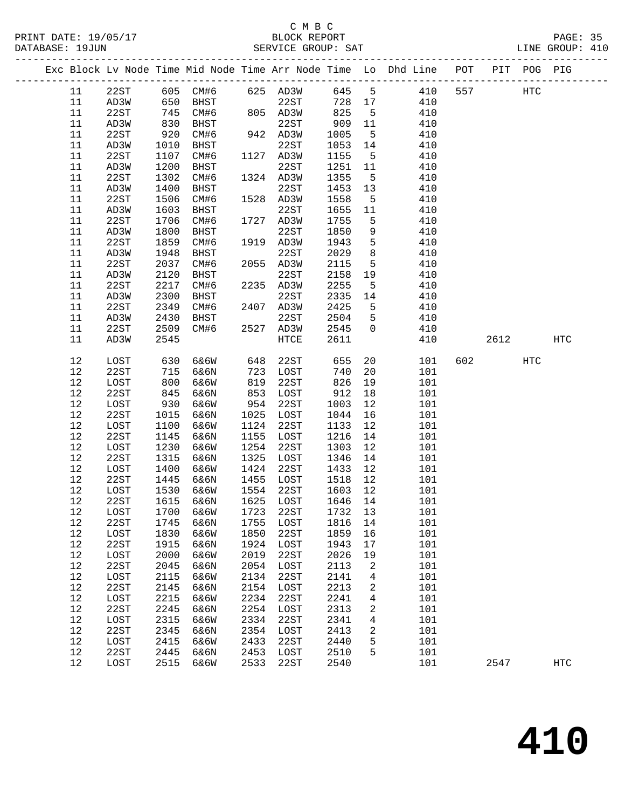#### C M B C<br>BLOCK REPORT PRINT DATE: 19/05/17 BLOCK REPORT PAGE: 35 SERVICE GROUP: SAT

|  |  | PAG. |
|--|--|------|
|  |  |      |

|          |              |            |                                     |            |              |             |                | Exc Block Lv Node Time Mid Node Time Arr Node Time Lo Dhd Line POT PIT POG PIG |     |         |     |                   |
|----------|--------------|------------|-------------------------------------|------------|--------------|-------------|----------------|--------------------------------------------------------------------------------|-----|---------|-----|-------------------|
| 11       |              |            | 22ST 605 CM#6 625 AD3W              |            |              | 645 5       |                | 410                                                                            | 557 |         | HTC |                   |
| 11       | AD3W         | 650        | BHST                                |            | 22ST         | 728 17      |                | 410                                                                            |     |         |     |                   |
| 11       | 22ST         | 745        | CM#6                                |            | 805 AD3W     | 825         | $-5$           | 410                                                                            |     |         |     |                   |
| 11       | AD3W         | 830        | BHST                                |            | 22ST         | 909         | 11             | 410                                                                            |     |         |     |                   |
| 11       | 22ST         | 920        | CM#6                                |            | 942 AD3W     | 1005        | $5^{\circ}$    | 410                                                                            |     |         |     |                   |
| 11       | AD3W         | 1010       | BHST                                |            | 22ST         | 1053        | 14             | 410                                                                            |     |         |     |                   |
| 11       | 22ST         | 1107       | CM#6                                |            | 1127 AD3W    | 1155        | $5^{\circ}$    | 410                                                                            |     |         |     |                   |
| 11       | AD3W         | 1200       | BHST                                |            | 22ST         | 1251        | 11             | 410                                                                            |     |         |     |                   |
| 11       | 22ST         | 1302       | CM#6                                |            | 1324 AD3W    | 1355        | $5^{\circ}$    | 410                                                                            |     |         |     |                   |
| 11       | AD3W         | 1400       | BHST                                |            | 22ST         | 1453        | 13             | 410                                                                            |     |         |     |                   |
| 11       | 22ST         | 1506       | CM#6                                |            | 1528 AD3W    | 1558        | $5^{\circ}$    | 410                                                                            |     |         |     |                   |
| 11       | AD3W         | 1603       | BHST                                |            | 22ST         | 1655        | 11             | 410                                                                            |     |         |     |                   |
| 11       | 22ST         | 1706       | CM#6                                |            | 1727 AD3W    | 1755        | 5              | 410                                                                            |     |         |     |                   |
| 11       | AD3W         | 1800       | BHST                                |            | 22ST         | 1850        | 9              | 410                                                                            |     |         |     |                   |
| 11       | 22ST         | 1859       | CM#6                                |            | 1919 AD3W    | 1943        | $5^{\circ}$    | 410                                                                            |     |         |     |                   |
| 11       | AD3W         | 1948       | BHST                                |            | 22ST         | 2029        | 8 <sup>8</sup> | 410                                                                            |     |         |     |                   |
| 11       | 22ST         | 2037       | CM#6                                |            | 2055 AD3W    | 2115        | $5^{\circ}$    | 410                                                                            |     |         |     |                   |
| 11       | AD3W         | 2120       | BHST                                |            | 22ST         | 2158        | 19             | 410                                                                            |     |         |     |                   |
| 11       | 22ST         | 2217       | CM#6                                |            | 2235 AD3W    | 2255        | $5^{\circ}$    | 410                                                                            |     |         |     |                   |
| 11       | AD3W         | 2300       | BHST                                |            | 22ST         | 2335        | 14             | 410                                                                            |     |         |     |                   |
| 11       | 22ST         | 2349       | CM#6                                |            | 2407 AD3W    | 2425        | 5              | 410                                                                            |     |         |     |                   |
| 11       | AD3W         | 2430       | <b>BHST</b>                         |            | 22ST         | 2504        | 5              | 410                                                                            |     |         |     |                   |
| 11       | 22ST         | 2509       | CM#6                                |            | 2527 AD3W    | 2545        | $\Omega$       | 410                                                                            |     |         |     |                   |
| 11       | AD3W         | 2545       |                                     |            | HTCE         | 2611        |                | 410                                                                            |     | 2612    |     | $_{\mathrm{HTC}}$ |
|          |              |            |                                     |            |              |             |                |                                                                                |     |         |     |                   |
| 12       | LOST         | 630<br>715 | 6&6W                                | 648        | 22ST         | 655         | 20             | 101                                                                            |     | 602 000 | HTC |                   |
| 12       | 22ST         |            | 6&6N                                | 723        | LOST         | 740         | 20             | 101                                                                            |     |         |     |                   |
| 12       | LOST         | 800        | 6&6W                                | 819        | 22ST         | 826         | 19             | 101                                                                            |     |         |     |                   |
| 12<br>12 | 22ST<br>LOST | 845<br>930 | 6&6N<br>6&6W                        | 853<br>954 | LOST<br>22ST | 912<br>1003 | 18<br>12       | 101                                                                            |     |         |     |                   |
| 12       | 22ST         | 1015       | 6&6N                                | 1025       | LOST         | 1044        | 16             | 101<br>101                                                                     |     |         |     |                   |
| $12$     | LOST         | 1100       | 6&6W                                | 1124       | 22ST         | 1133        | 12             | 101                                                                            |     |         |     |                   |
| 12       | 22ST         | 1145       | 6&6N                                | 1155       | LOST         | 1216        | 14             | 101                                                                            |     |         |     |                   |
| 12       | LOST         | 1230       | 6&6W                                | 1254       | 22ST         | 1303        | 12             | 101                                                                            |     |         |     |                   |
| 12       | 22ST         | 1315       | 6&6N                                | 1325       | LOST         | 1346        | 14             | 101                                                                            |     |         |     |                   |
| 12       | LOST         | 1400       | 6&6W                                | 1424       | 22ST         | 1433        | 12             | 101                                                                            |     |         |     |                   |
| 12       | 22ST         | 1445       | 6&6N                                | 1455       | LOST         | 1518        | 12             | 101                                                                            |     |         |     |                   |
| 12       | LOST         | 1530       | 6&6W                                | 1554       | 22ST         | 1603        | 12             | 101                                                                            |     |         |     |                   |
| 12       | 22ST         | 1615       | 6&6N                                |            | 1625 LOST    | 1646 14     |                | 101                                                                            |     |         |     |                   |
|          |              |            | 12 LOST 1700 6&6W 1723 22ST 1732 13 |            |              |             |                | 101                                                                            |     |         |     |                   |
| 12       | 22ST         | 1745       | 6&6N                                | 1755       | LOST         | 1816        | 14             | 101                                                                            |     |         |     |                   |
| 12       | LOST         | 1830       | 6&6W                                | 1850       | 22ST         | 1859        | 16             | 101                                                                            |     |         |     |                   |
| 12       | 22ST         | 1915       | 6&6N                                | 1924       | LOST         | 1943        | 17             | 101                                                                            |     |         |     |                   |
| 12       | LOST         | 2000       | 6&6W                                | 2019       | 22ST         | 2026        | 19             | 101                                                                            |     |         |     |                   |
| $12$     | 22ST         | 2045       | 6&6N                                | 2054       | LOST         | 2113        | 2              | 101                                                                            |     |         |     |                   |
| 12       | LOST         | 2115       | 6&6W                                | 2134       | 22ST         | 2141        | 4              | 101                                                                            |     |         |     |                   |
| 12       | 22ST         | 2145       | 6&6N                                | 2154       | LOST         | 2213        | 2              | 101                                                                            |     |         |     |                   |
| 12       | LOST         | 2215       | 6&6W                                | 2234       | 22ST         | 2241        | 4              | 101                                                                            |     |         |     |                   |
| 12       | 22ST         | 2245       | 6&6N                                | 2254       | LOST         | 2313        | 2              | 101                                                                            |     |         |     |                   |
| 12       | LOST         | 2315       | 6&6W                                | 2334       | 22ST         | 2341        | 4              | 101                                                                            |     |         |     |                   |
| 12       | 22ST         | 2345       | 6&6N                                | 2354       | LOST         | 2413        | 2              | 101                                                                            |     |         |     |                   |
| 12       | LOST         | 2415       | 6&6W                                | 2433       | 22ST         | 2440        | 5              | 101                                                                            |     |         |     |                   |
| 12       | 22ST         | 2445       | 6&6N                                | 2453       | LOST         | 2510        | 5              | 101                                                                            |     |         |     |                   |
| 12       | LOST         | 2515       | 6&6W                                | 2533       | 22ST         | 2540        |                | 101                                                                            |     | 2547    |     | <b>HTC</b>        |
|          |              |            |                                     |            |              |             |                |                                                                                |     |         |     |                   |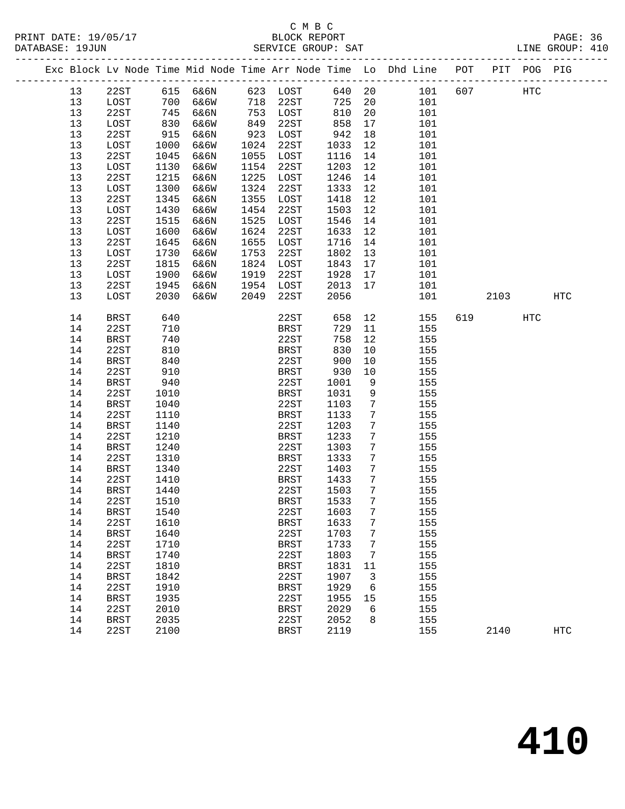# C M B C<br>BLOCK REPORT

PAGE: 36<br>LINE GROUP: 410

|  |          |                     |              |      |      |                     |              |                 | Exc Block Lv Node Time Mid Node Time Arr Node Time Lo Dhd Line POT |     |      | PIT POG PIG |            |
|--|----------|---------------------|--------------|------|------|---------------------|--------------|-----------------|--------------------------------------------------------------------|-----|------|-------------|------------|
|  | 13       | 22ST                | 615          | 6&6N |      | 623 LOST            | 640 20       |                 | 101                                                                | 607 |      | <b>HTC</b>  |            |
|  | 13       | LOST                | 700          | 6&6W | 718  | 22ST                | 725          | 20              | 101                                                                |     |      |             |            |
|  | 13       | 22ST                | 745          | 6&6N | 753  | LOST                | 810          | 20              | 101                                                                |     |      |             |            |
|  | 13       | LOST                | 830          | 6&6W | 849  | 22ST                | 858          | 17              | 101                                                                |     |      |             |            |
|  | 13       | 22ST                | 915          | 6&6N | 923  | LOST                | 942          | 18              | 101                                                                |     |      |             |            |
|  | 13       | LOST                | 1000         | 6&6W | 1024 | 22ST                | 1033         | 12              | 101                                                                |     |      |             |            |
|  | 13       | 22ST                | 1045         | 6&6N | 1055 | LOST                | 1116         | 14              | 101                                                                |     |      |             |            |
|  | 13       | LOST                | 1130         | 6&6W | 1154 | 22ST                | 1203         | 12              | 101                                                                |     |      |             |            |
|  | 13       | 22ST                | 1215         | 6&6N | 1225 | LOST                | 1246         | 14              | 101                                                                |     |      |             |            |
|  | 13       | LOST                | 1300         | 6&6W | 1324 | 22ST                | 1333         | 12              | 101                                                                |     |      |             |            |
|  | 13       | 22ST                | 1345         | 6&6N | 1355 | LOST                | 1418         | 12              | 101                                                                |     |      |             |            |
|  | 13       | LOST                | 1430         | 6&6W | 1454 | 22ST                | 1503         | 12              | 101                                                                |     |      |             |            |
|  | 13       | 22ST                | 1515         | 6&6N | 1525 | LOST                | 1546         | 14              | 101                                                                |     |      |             |            |
|  | 13       | LOST                | 1600         | 6&6W | 1624 | 22ST                | 1633         | 12              | 101                                                                |     |      |             |            |
|  | 13       | 22ST                | 1645         | 6&6N | 1655 | LOST                | 1716         | 14              | 101                                                                |     |      |             |            |
|  | 13       | LOST                | 1730         | 6&6W | 1753 | 22ST                | 1802         | 13              | 101                                                                |     |      |             |            |
|  | 13       | 22ST                | 1815         | 6&6N | 1824 | LOST                | 1843         | 17              | 101                                                                |     |      |             |            |
|  | 13       | LOST                | 1900         | 6&6W | 1919 | 22ST                | 1928         | 17              | 101                                                                |     |      |             |            |
|  | 13       | 22ST                | 1945         | 6&6N | 1954 | LOST                | 2013         | 17              | 101                                                                |     |      |             |            |
|  | 13       | LOST                | 2030         | 6&6W | 2049 | 22ST                | 2056         |                 | 101                                                                |     | 2103 |             | HTC        |
|  | 14       | BRST                | 640          |      |      | 22ST                | 658          | 12              | 155                                                                | 619 |      | <b>HTC</b>  |            |
|  | 14       | 22ST                | 710          |      |      | BRST                | 729          | 11              | 155                                                                |     |      |             |            |
|  | 14       | BRST                | 740          |      |      | 22ST                | 758          | 12              | 155                                                                |     |      |             |            |
|  | 14       | 22ST                | 810          |      |      | <b>BRST</b>         | 830          | 10              | 155                                                                |     |      |             |            |
|  | 14       | BRST                | 840          |      |      | 22ST                | 900          | 10              | 155                                                                |     |      |             |            |
|  | 14       | 22ST                | 910          |      |      | BRST                | 930          | 10              | 155                                                                |     |      |             |            |
|  | 14       | BRST                | 940          |      |      | 22ST                | 1001         | 9               | 155                                                                |     |      |             |            |
|  | 14       | 22ST                | 1010         |      |      | BRST                | 1031         | 9               | 155                                                                |     |      |             |            |
|  | 14       | BRST                | 1040         |      |      | 22ST                | 1103         | 7               | 155                                                                |     |      |             |            |
|  | 14       | 22ST                | 1110         |      |      | BRST                | 1133         | 7               | 155                                                                |     |      |             |            |
|  | 14       | BRST                | 1140         |      |      | 22ST                | 1203         | 7               | 155                                                                |     |      |             |            |
|  | 14       | 22ST                | 1210         |      |      | <b>BRST</b>         | 1233         | $7\phantom{.0}$ | 155                                                                |     |      |             |            |
|  | 14       | BRST                | 1240         |      |      | 22ST                | 1303         | $7\phantom{.0}$ | 155                                                                |     |      |             |            |
|  | 14       | 22ST                | 1310         |      |      | BRST                | 1333         | 7               | 155                                                                |     |      |             |            |
|  | 14       | <b>BRST</b>         | 1340         |      |      | 22ST                | 1403         | 7               | 155                                                                |     |      |             |            |
|  | 14       | 22ST                | 1410         |      |      | BRST                | 1433         | $7\phantom{.0}$ | 155                                                                |     |      |             |            |
|  | 14       | BRST                | 1440         |      |      | 22ST                | 1503         | 7               | 155                                                                |     |      |             |            |
|  | 14       | 22ST                | 1510         |      |      | BRST                | 1533         | 7               | 155                                                                |     |      |             |            |
|  | 14       | BRST                | 1540         |      |      | 22ST                | 1603         | 7               | 155                                                                |     |      |             |            |
|  | 14       | 22ST                | 1610         |      |      | <b>BRST</b>         | 1633         | 7               | 155                                                                |     |      |             |            |
|  | 14       | <b>BRST</b>         | 1640         |      |      | 22ST                | 1703         | 7               | 155                                                                |     |      |             |            |
|  | 14       | 22ST                | 1710         |      |      | <b>BRST</b>         | 1733         | 7               | 155                                                                |     |      |             |            |
|  | 14       | <b>BRST</b>         | 1740         |      |      | 22ST                | 1803         | 7               | 155                                                                |     |      |             |            |
|  | 14       | 22ST                | 1810         |      |      | <b>BRST</b>         | 1831<br>1907 | 11              | 155<br>155                                                         |     |      |             |            |
|  | 14<br>14 | <b>BRST</b><br>22ST | 1842<br>1910 |      |      | 22ST<br><b>BRST</b> | 1929         | 3               |                                                                    |     |      |             |            |
|  | 14       | <b>BRST</b>         | 1935         |      |      | 22ST                | 1955         | 6<br>15         | 155<br>155                                                         |     |      |             |            |
|  | 14       | 22ST                | 2010         |      |      | <b>BRST</b>         | 2029         | 6               | 155                                                                |     |      |             |            |
|  | 14       | <b>BRST</b>         | 2035         |      |      | 22ST                | 2052         | 8               | 155                                                                |     |      |             |            |
|  | 14       | 22ST                | 2100         |      |      | <b>BRST</b>         | 2119         |                 | 155                                                                |     | 2140 |             | <b>HTC</b> |
|  |          |                     |              |      |      |                     |              |                 |                                                                    |     |      |             |            |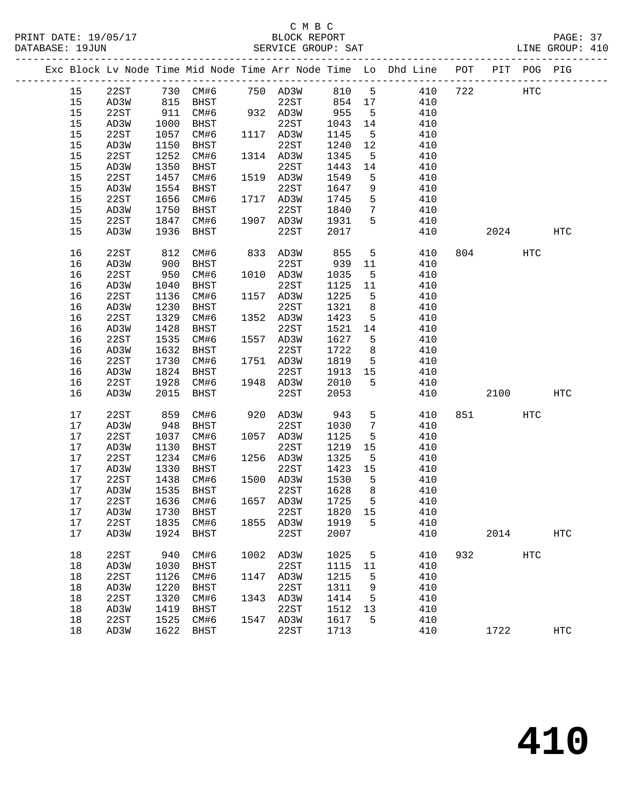# C M B C<br>BLOCK REPORT

|      |      |            |                                                      |      |                   |                   |                 |                                                                                |     |         |            | PAGE: 37<br>LINE GROUP: 410 |  |
|------|------|------------|------------------------------------------------------|------|-------------------|-------------------|-----------------|--------------------------------------------------------------------------------|-----|---------|------------|-----------------------------|--|
|      |      |            |                                                      |      |                   |                   |                 | Exc Block Lv Node Time Mid Node Time Arr Node Time Lo Dhd Line POT PIT POG PIG |     |         |            |                             |  |
| 15   |      |            |                                                      |      |                   |                   |                 | 22ST 730 CM#6 750 AD3W 810 5 410 722 HTC                                       |     |         |            |                             |  |
| 15   |      |            |                                                      |      |                   |                   |                 | 22ST 854 17 410                                                                |     |         |            |                             |  |
| 15   |      |            | 22ST 815 BHST 22ST 854<br>22ST 911 CM#6 932 AD3W 955 |      |                   |                   | 5 <sup>5</sup>  | 410                                                                            |     |         |            |                             |  |
| 15   | AD3W | 1000       | BHST                                                 |      | 22ST              | 1043 14<br>1145 5 |                 | 410                                                                            |     |         |            |                             |  |
| 15   | 22ST | 1057       | CM#6                                                 |      | 1117 AD3W         | 1145              | 5 <sup>5</sup>  | 410                                                                            |     |         |            |                             |  |
| 15   | AD3W | 1150       | BHST                                                 |      | 22ST              | 1240 12           |                 | 410                                                                            |     |         |            |                             |  |
| 15   | 22ST | 1252       | CM#6                                                 |      | 1314 AD3W         | 1345              | $5^{\circ}$     | 410                                                                            |     |         |            |                             |  |
| 15   | AD3W | 1350       | BHST                                                 |      | 22ST<br>1519 AD3W | 1443              | 14              | 410                                                                            |     |         |            |                             |  |
| 15   | 22ST | 1457       | CM#6                                                 |      |                   | 1549              | 5 <sup>5</sup>  | 410                                                                            |     |         |            |                             |  |
| 15   | AD3W | 1554       | BHST                                                 |      | 22ST              | 1647              | 9               | 410                                                                            |     |         |            |                             |  |
| 15   | 22ST | 1656       | CM#6                                                 |      | 1717 AD3W         | 1745              | 5 <sup>5</sup>  | 410                                                                            |     |         |            |                             |  |
| 15   | AD3W | 1750       | BHST                                                 |      | 22ST              | 1840              | $7\overline{ }$ | 410                                                                            |     |         |            |                             |  |
| 15   | 22ST | 1847       | CM#6                                                 |      | 1907 AD3W         | 1931              | 5 <sup>5</sup>  | 410                                                                            |     |         |            |                             |  |
| 15   | AD3W | 1936       | BHST                                                 |      | 22ST              | 2017              |                 | 410                                                                            |     |         | 2024       | HTC                         |  |
| 16   | 22ST |            | CM#6                                                 |      | 833 AD3W          | 855               | 5 <sup>5</sup>  | 410                                                                            |     | 804     | HTC        |                             |  |
| 16   | AD3W | 812<br>900 | BHST                                                 |      | 22ST              | 939 11            |                 | 410                                                                            |     |         |            |                             |  |
| 16   | 22ST | 950        | CM#6                                                 |      | 1010 AD3W         | 1035              | $5^{\circ}$     | 410                                                                            |     |         |            |                             |  |
| 16   | AD3W | 1040       | BHST                                                 |      | 22ST              | 1125 11           |                 | 410                                                                            |     |         |            |                             |  |
| 16   | 22ST | 1136       | CM#6                                                 |      | 1157 AD3W         | 1225              | 5 <sup>5</sup>  | 410                                                                            |     |         |            |                             |  |
| 16   | AD3W | 1230       | BHST                                                 |      | 22ST              | 1321              | 8 <sup>8</sup>  | 410                                                                            |     |         |            |                             |  |
| 16   | 22ST | 1329       | CM#6                                                 |      | 1352 AD3W         | 1423              | 5 <sup>5</sup>  | 410                                                                            |     |         |            |                             |  |
| 16   | AD3W | 1428       | BHST                                                 |      | 22ST              | 1521 14           |                 | 410                                                                            |     |         |            |                             |  |
| 16   | 22ST | 1535       | CM#6                                                 |      | 1557 AD3W         | 1627              | $5^{\circ}$     | 410                                                                            |     |         |            |                             |  |
| 16   | AD3W | 1632       | BHST                                                 |      | 22ST              | 1722              | 8 <sup>8</sup>  | 410                                                                            |     |         |            |                             |  |
| 16   | 22ST | 1730       | CM#6                                                 |      | 1751 AD3W         | 1819              | 5 <sup>5</sup>  | 410                                                                            |     |         |            |                             |  |
| 16   | AD3W | 1824       | BHST                                                 |      | 22ST              | 1913 15           |                 | 410                                                                            |     |         |            |                             |  |
| 16   | 22ST | 1928       | CM#6                                                 |      | 1948 AD3W         | 2010              | 5 <sup>5</sup>  | 410                                                                            |     |         |            |                             |  |
| 16   | AD3W | 2015       | BHST                                                 |      | 22ST              | 2053              |                 | 410                                                                            |     |         | 2100       | HTC                         |  |
| 17   | 22ST | 859        | CM#6                                                 |      | 920 AD3W          | 943               | 5 <sup>5</sup>  | 410                                                                            |     | 851 000 | HTC        |                             |  |
| 17   | AD3W | 948        | BHST                                                 |      | 22ST              | 1030              | $7\overline{ }$ | 410                                                                            |     |         |            |                             |  |
| 17   | 22ST | 1037       | CM#6                                                 |      | 1057 AD3W         | 1125              | 5 <sup>5</sup>  | 410                                                                            |     |         |            |                             |  |
| 17   | AD3W | 1130       | BHST                                                 |      | 22ST              | 1219              | 15              | 410                                                                            |     |         |            |                             |  |
| 17   | 22ST | 1234       | CM#6                                                 |      | 1256 AD3W         | 1325              | $5^{\circ}$     | 410                                                                            |     |         |            |                             |  |
| 17   | AD3W | 1330       | BHST                                                 |      | 22ST              | 1423 15           |                 | 410                                                                            |     |         |            |                             |  |
| 17   | 22ST | 1438       | CM#6                                                 |      | 1500 AD3W         | 1530              | $5^{\circ}$     | 410                                                                            |     |         |            |                             |  |
|      |      |            | 17 AD3W 1535 BHST 22ST 1628 8                        |      |                   |                   |                 | 410                                                                            |     |         |            |                             |  |
| 17   | 22ST | 1636       | CM#6                                                 | 1657 | AD3W              | 1725              | 5               | 410                                                                            |     |         |            |                             |  |
| 17   | AD3W | 1730       | BHST                                                 |      | 22ST              | 1820              | 15              | 410                                                                            |     |         |            |                             |  |
| $17$ | 22ST | 1835       | CM#6                                                 | 1855 | AD3W              | 1919              | 5               | 410                                                                            |     |         |            |                             |  |
| $17$ | AD3W | 1924       | <b>BHST</b>                                          |      | 22ST              | 2007              |                 | 410                                                                            |     | 2014    |            | HTC                         |  |
| 18   | 22ST | 940        | CM#6                                                 | 1002 | AD3W              | 1025              | 5               | 410                                                                            | 932 |         | <b>HTC</b> |                             |  |
| 18   | AD3W | 1030       | BHST                                                 |      | 22ST              | 1115              | 11              | 410                                                                            |     |         |            |                             |  |
| 18   | 22ST | 1126       | CM#6                                                 | 1147 | AD3W              | 1215              | 5               | 410                                                                            |     |         |            |                             |  |
| 18   | AD3W | 1220       | <b>BHST</b>                                          |      | 22ST              | 1311              | 9               | 410                                                                            |     |         |            |                             |  |
| 18   | 22ST | 1320       | CM#6                                                 |      | 1343 AD3W         | 1414              | 5               | 410                                                                            |     |         |            |                             |  |
|      |      |            |                                                      |      |                   |                   |                 |                                                                                |     |         |            |                             |  |

 18 AD3W 1419 BHST 22ST 1512 13 410 18 22ST 1525 CM#6 1547 AD3W 1617 5 410

18 AD3W 1622 BHST 22ST 1713 410 1722 HTC